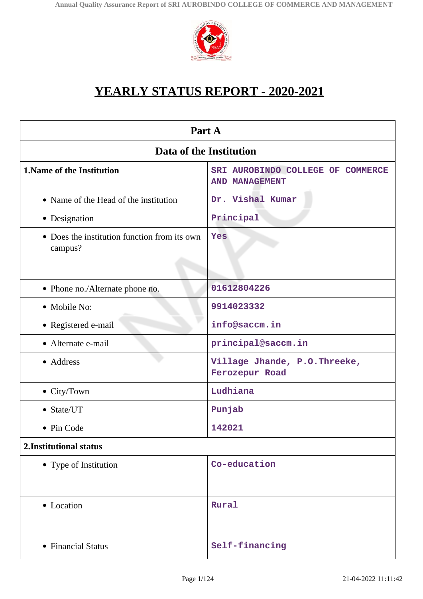

# **YEARLY STATUS REPORT - 2020-2021**

| Part A                                                  |                                                            |  |
|---------------------------------------------------------|------------------------------------------------------------|--|
| Data of the Institution                                 |                                                            |  |
| 1. Name of the Institution                              | SRI AUROBINDO COLLEGE OF COMMERCE<br><b>AND MANAGEMENT</b> |  |
| • Name of the Head of the institution                   | Dr. Vishal Kumar                                           |  |
| • Designation                                           | Principal                                                  |  |
| • Does the institution function from its own<br>campus? | Yes                                                        |  |
| • Phone no./Alternate phone no.                         | 01612804226                                                |  |
| • Mobile No:                                            | 9914023332                                                 |  |
| • Registered e-mail                                     | info@saccm.in                                              |  |
| • Alternate e-mail                                      | principal@saccm.in                                         |  |
| • Address                                               | Village Jhande, P.O.Threeke,<br>Ferozepur Road             |  |
| $\bullet$ City/Town                                     | Ludhiana                                                   |  |
| $\bullet$ State/UT                                      | Punjab                                                     |  |
| • Pin Code                                              | 142021                                                     |  |
| 2. Institutional status                                 |                                                            |  |
| • Type of Institution                                   | Co-education                                               |  |
| • Location                                              | Rural                                                      |  |
| • Financial Status                                      | Self-financing                                             |  |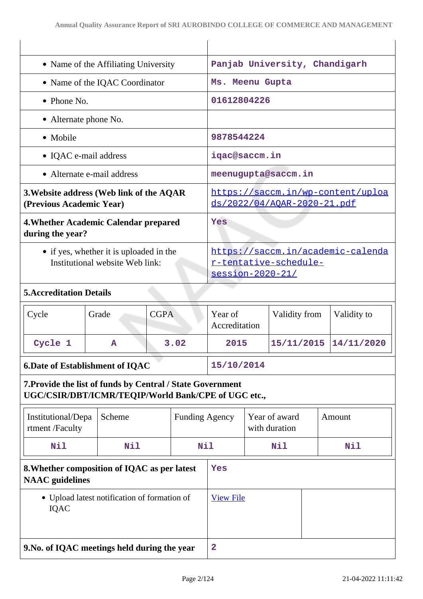|                                                                                                                   |                                              | • Name of the Affiliating University                                           |                       | Panjab University, Chandigarh |                                                                         |                                |  |             |
|-------------------------------------------------------------------------------------------------------------------|----------------------------------------------|--------------------------------------------------------------------------------|-----------------------|-------------------------------|-------------------------------------------------------------------------|--------------------------------|--|-------------|
|                                                                                                                   | • Name of the IQAC Coordinator               |                                                                                | Ms. Meenu Gupta       |                               |                                                                         |                                |  |             |
| $\bullet$ Phone No.                                                                                               |                                              |                                                                                |                       | 01612804226                   |                                                                         |                                |  |             |
| • Alternate phone No.                                                                                             |                                              |                                                                                |                       |                               |                                                                         |                                |  |             |
| • Mobile                                                                                                          |                                              |                                                                                |                       | 9878544224                    |                                                                         |                                |  |             |
| • IQAC e-mail address                                                                                             |                                              |                                                                                |                       | iqac@saccm.in                 |                                                                         |                                |  |             |
|                                                                                                                   | • Alternate e-mail address                   |                                                                                |                       | meenugupta@saccm.in           |                                                                         |                                |  |             |
| 3. Website address (Web link of the AQAR<br>(Previous Academic Year)                                              |                                              |                                                                                |                       |                               | https://saccm.in/wp-content/uploa<br><u>ds/2022/04/AOAR-2020-21.pdf</u> |                                |  |             |
| 4. Whether Academic Calendar prepared<br>during the year?                                                         |                                              |                                                                                |                       | Yes                           |                                                                         |                                |  |             |
| • if yes, whether it is uploaded in the<br>Institutional website Web link:                                        |                                              | https://saccm.in/academic-calenda<br>r-tentative-schedule-<br>session-2020-21/ |                       |                               |                                                                         |                                |  |             |
| <b>5. Accreditation Details</b>                                                                                   |                                              |                                                                                |                       |                               |                                                                         |                                |  |             |
| Cycle                                                                                                             | Grade                                        | <b>CGPA</b>                                                                    |                       | Year of<br>Accreditation      |                                                                         | Validity from                  |  | Validity to |
| Cycle 1                                                                                                           | A                                            | 3.02                                                                           |                       | 2015                          |                                                                         | 15/11/2015                     |  | 14/11/2020  |
|                                                                                                                   | <b>6.Date of Establishment of IQAC</b>       |                                                                                | 15/10/2014            |                               |                                                                         |                                |  |             |
| 7. Provide the list of funds by Central / State Government<br>UGC/CSIR/DBT/ICMR/TEQIP/World Bank/CPE of UGC etc., |                                              |                                                                                |                       |                               |                                                                         |                                |  |             |
| Institutional/Depa<br>rtment /Faculty                                                                             | Scheme                                       |                                                                                | <b>Funding Agency</b> |                               |                                                                         | Year of award<br>with duration |  | Amount      |
| Nil                                                                                                               | Nil                                          | <b>Nil</b>                                                                     |                       |                               |                                                                         | Nil                            |  | Nil         |
| 8. Whether composition of IQAC as per latest<br><b>NAAC</b> guidelines                                            |                                              | Yes                                                                            |                       |                               |                                                                         |                                |  |             |
| IQAC                                                                                                              | • Upload latest notification of formation of |                                                                                |                       | <b>View File</b>              |                                                                         |                                |  |             |
| 9. No. of IQAC meetings held during the year                                                                      |                                              |                                                                                |                       | $\mathbf{2}$                  |                                                                         |                                |  |             |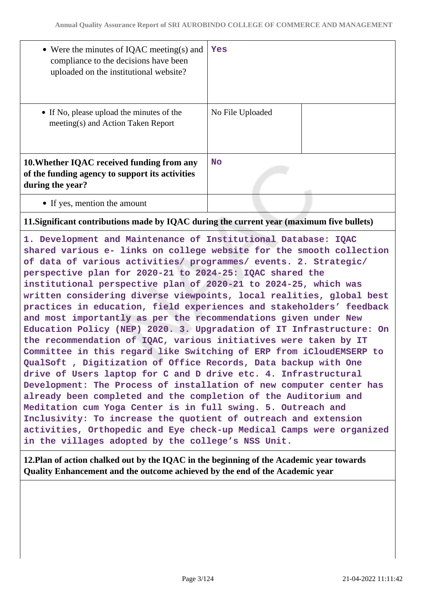| • Were the minutes of IQAC meeting(s) and<br>compliance to the decisions have been<br>uploaded on the institutional website? | Yes              |
|------------------------------------------------------------------------------------------------------------------------------|------------------|
| • If No, please upload the minutes of the<br>meeting(s) and Action Taken Report                                              | No File Uploaded |
| 10. Whether IQAC received funding from any<br>of the funding agency to support its activities<br>during the year?            | <b>No</b>        |
| • If yes, mention the amount                                                                                                 |                  |
|                                                                                                                              |                  |

#### **11.Significant contributions made by IQAC during the current year (maximum five bullets)**

**1. Development and Maintenance of Institutional Database: IQAC shared various e- links on college website for the smooth collection of data of various activities/ programmes/ events. 2. Strategic/ perspective plan for 2020-21 to 2024-25: IQAC shared the institutional perspective plan of 2020-21 to 2024-25, which was written considering diverse viewpoints, local realities, global best practices in education, field experiences and stakeholders' feedback and most importantly as per the recommendations given under New Education Policy (NEP) 2020. 3. Upgradation of IT Infrastructure: On the recommendation of IQAC, various initiatives were taken by IT Committee in this regard like Switching of ERP from iCloudEMSERP to QualSoft , Digitization of Office Records, Data backup with One drive of Users laptop for C and D drive etc. 4. Infrastructural Development: The Process of installation of new computer center has already been completed and the completion of the Auditorium and Meditation cum Yoga Center is in full swing. 5. Outreach and Inclusivity: To increase the quotient of outreach and extension activities, Orthopedic and Eye check-up Medical Camps were organized in the villages adopted by the college's NSS Unit.**

**12.Plan of action chalked out by the IQAC in the beginning of the Academic year towards Quality Enhancement and the outcome achieved by the end of the Academic year**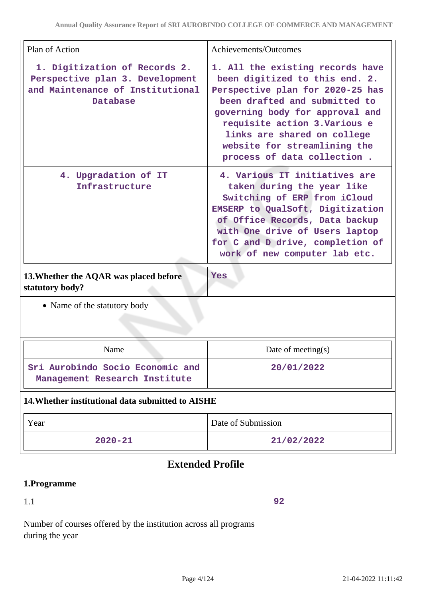| Plan of Action                                                                                                   | Achievements/Outcomes                                                                                                                                                                                                                                                                                     |  |
|------------------------------------------------------------------------------------------------------------------|-----------------------------------------------------------------------------------------------------------------------------------------------------------------------------------------------------------------------------------------------------------------------------------------------------------|--|
| 1. Digitization of Records 2.<br>Perspective plan 3. Development<br>and Maintenance of Institutional<br>Database | 1. All the existing records have<br>been digitized to this end. 2.<br>Perspective plan for 2020-25 has<br>been drafted and submitted to<br>governing body for approval and<br>requisite action 3. Various e<br>links are shared on college<br>website for streamlining the<br>process of data collection. |  |
| 4. Upgradation of IT<br>Infrastructure                                                                           | 4. Various IT initiatives are<br>taken during the year like<br>Switching of ERP from iCloud<br>EMSERP to QualSoft, Digitization<br>of Office Records, Data backup<br>with One drive of Users laptop<br>for C and D drive, completion of<br>work of new computer lab etc.                                  |  |
| 13. Whether the AQAR was placed before<br>statutory body?                                                        | <b>Yes</b>                                                                                                                                                                                                                                                                                                |  |
| • Name of the statutory body                                                                                     |                                                                                                                                                                                                                                                                                                           |  |
| Name                                                                                                             | Date of meeting $(s)$                                                                                                                                                                                                                                                                                     |  |
| Sri Aurobindo Socio Economic and<br>Management Research Institute                                                | 20/01/2022                                                                                                                                                                                                                                                                                                |  |
| 14. Whether institutional data submitted to AISHE                                                                |                                                                                                                                                                                                                                                                                                           |  |
| Year                                                                                                             | Date of Submission                                                                                                                                                                                                                                                                                        |  |
| $2020 - 21$                                                                                                      | 21/02/2022                                                                                                                                                                                                                                                                                                |  |

## **Extended Profile**

## **1.Programme**

1.1

**92**

Number of courses offered by the institution across all programs during the year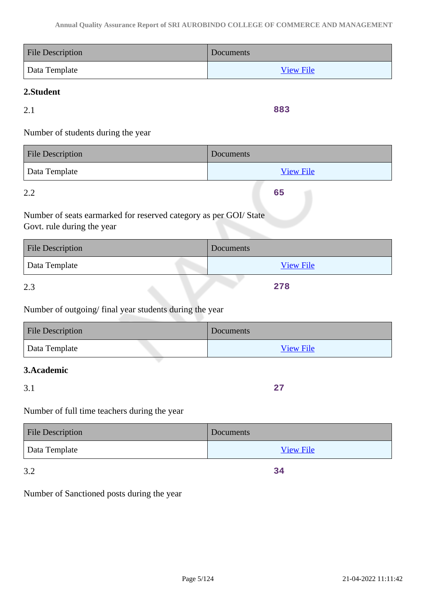| <b>File Description</b> | <b>Documents</b> |
|-------------------------|------------------|
| Data Template           | <b>View File</b> |

## **2.Student**

2.1

**883**

**65**

Number of students during the year

| <b>File Description</b> | Documents        |
|-------------------------|------------------|
| Data Template           | <b>View File</b> |

2.2

Number of seats earmarked for reserved category as per GOI/ State Govt. rule during the year

| <b>File Description</b> | Documents        |
|-------------------------|------------------|
| Data Template           | <b>View File</b> |
| 2 <sup>2</sup>          | 278              |

2.3

## Number of outgoing/ final year students during the year

| <b>File Description</b> | Documents        |
|-------------------------|------------------|
| Data Template           | <b>View File</b> |

## **3.Academic**

3.1

**27**

**34**

## Number of full time teachers during the year

| <b>File Description</b> | Documents        |
|-------------------------|------------------|
| Data Template           | <b>View File</b> |

3.2

Number of Sanctioned posts during the year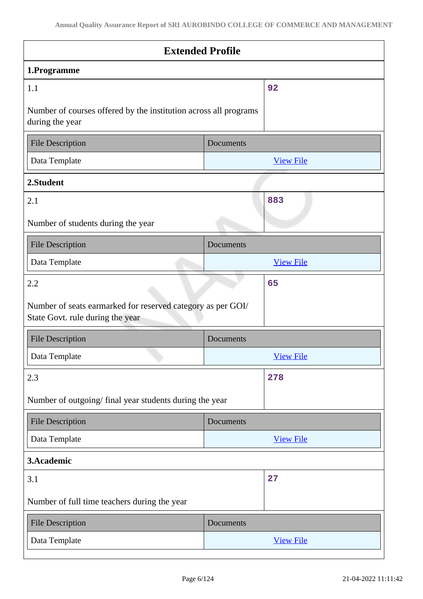| 1.Programme<br>92<br>1.1<br>Number of courses offered by the institution across all programs<br>during the year<br><b>File Description</b><br>Documents<br>Data Template<br><b>View File</b><br>2.Student<br>883<br>2.1<br><b>File Description</b><br>Documents<br>Data Template<br><b>View File</b><br>65<br>2.2<br>Number of seats earmarked for reserved category as per GOI/<br>State Govt. rule during the year<br><b>File Description</b><br>Documents<br>Data Template<br><b>View File</b><br>278<br>2.3<br>Number of outgoing/ final year students during the year<br><b>File Description</b><br>Documents<br>Data Template<br><b>View File</b><br>3.Academic<br>27<br>3.1<br>Number of full time teachers during the year | <b>Extended Profile</b>            |  |  |
|------------------------------------------------------------------------------------------------------------------------------------------------------------------------------------------------------------------------------------------------------------------------------------------------------------------------------------------------------------------------------------------------------------------------------------------------------------------------------------------------------------------------------------------------------------------------------------------------------------------------------------------------------------------------------------------------------------------------------------|------------------------------------|--|--|
|                                                                                                                                                                                                                                                                                                                                                                                                                                                                                                                                                                                                                                                                                                                                    |                                    |  |  |
|                                                                                                                                                                                                                                                                                                                                                                                                                                                                                                                                                                                                                                                                                                                                    |                                    |  |  |
|                                                                                                                                                                                                                                                                                                                                                                                                                                                                                                                                                                                                                                                                                                                                    |                                    |  |  |
|                                                                                                                                                                                                                                                                                                                                                                                                                                                                                                                                                                                                                                                                                                                                    |                                    |  |  |
|                                                                                                                                                                                                                                                                                                                                                                                                                                                                                                                                                                                                                                                                                                                                    |                                    |  |  |
|                                                                                                                                                                                                                                                                                                                                                                                                                                                                                                                                                                                                                                                                                                                                    |                                    |  |  |
|                                                                                                                                                                                                                                                                                                                                                                                                                                                                                                                                                                                                                                                                                                                                    |                                    |  |  |
|                                                                                                                                                                                                                                                                                                                                                                                                                                                                                                                                                                                                                                                                                                                                    | Number of students during the year |  |  |
|                                                                                                                                                                                                                                                                                                                                                                                                                                                                                                                                                                                                                                                                                                                                    |                                    |  |  |
|                                                                                                                                                                                                                                                                                                                                                                                                                                                                                                                                                                                                                                                                                                                                    |                                    |  |  |
|                                                                                                                                                                                                                                                                                                                                                                                                                                                                                                                                                                                                                                                                                                                                    |                                    |  |  |
|                                                                                                                                                                                                                                                                                                                                                                                                                                                                                                                                                                                                                                                                                                                                    |                                    |  |  |
|                                                                                                                                                                                                                                                                                                                                                                                                                                                                                                                                                                                                                                                                                                                                    |                                    |  |  |
|                                                                                                                                                                                                                                                                                                                                                                                                                                                                                                                                                                                                                                                                                                                                    |                                    |  |  |
|                                                                                                                                                                                                                                                                                                                                                                                                                                                                                                                                                                                                                                                                                                                                    |                                    |  |  |
|                                                                                                                                                                                                                                                                                                                                                                                                                                                                                                                                                                                                                                                                                                                                    |                                    |  |  |
|                                                                                                                                                                                                                                                                                                                                                                                                                                                                                                                                                                                                                                                                                                                                    |                                    |  |  |
|                                                                                                                                                                                                                                                                                                                                                                                                                                                                                                                                                                                                                                                                                                                                    |                                    |  |  |
|                                                                                                                                                                                                                                                                                                                                                                                                                                                                                                                                                                                                                                                                                                                                    |                                    |  |  |
|                                                                                                                                                                                                                                                                                                                                                                                                                                                                                                                                                                                                                                                                                                                                    |                                    |  |  |
|                                                                                                                                                                                                                                                                                                                                                                                                                                                                                                                                                                                                                                                                                                                                    |                                    |  |  |
| <b>File Description</b><br>Documents                                                                                                                                                                                                                                                                                                                                                                                                                                                                                                                                                                                                                                                                                               |                                    |  |  |
| Data Template<br><b>View File</b>                                                                                                                                                                                                                                                                                                                                                                                                                                                                                                                                                                                                                                                                                                  |                                    |  |  |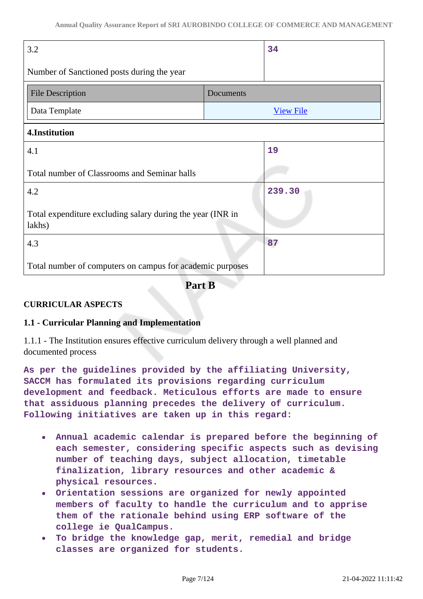| 3.2                                                                  |           | 34               |
|----------------------------------------------------------------------|-----------|------------------|
| Number of Sanctioned posts during the year                           |           |                  |
| <b>File Description</b>                                              | Documents |                  |
| Data Template                                                        |           | <b>View File</b> |
| 4.Institution                                                        |           |                  |
| 4.1                                                                  |           | 19               |
| Total number of Classrooms and Seminar halls                         |           |                  |
| 4.2                                                                  |           | 239.30           |
| Total expenditure excluding salary during the year (INR in<br>lakhs) |           |                  |
| 4.3                                                                  |           | 87               |
| Total number of computers on campus for academic purposes            |           |                  |

**Part B**

## **CURRICULAR ASPECTS**

#### **1.1 - Curricular Planning and Implementation**

1.1.1 - The Institution ensures effective curriculum delivery through a well planned and documented process

**As per the guidelines provided by the affiliating University, SACCM has formulated its provisions regarding curriculum development and feedback. Meticulous efforts are made to ensure that assiduous planning precedes the delivery of curriculum. Following initiatives are taken up in this regard:**

- **Annual academic calendar is prepared before the beginning of each semester, considering specific aspects such as devising number of teaching days, subject allocation, timetable finalization, library resources and other academic & physical resources.**
- **Orientation sessions are organized for newly appointed members of faculty to handle the curriculum and to apprise them of the rationale behind using ERP software of the college ie QualCampus.**
- **To bridge the knowledge gap, merit, remedial and bridge**  $\bullet$ **classes are organized for students.**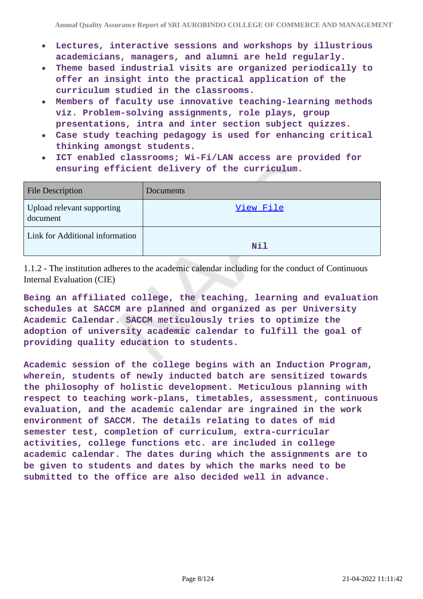- **Lectures, interactive sessions and workshops by illustrious academicians, managers, and alumni are held regularly.**
- **Theme based industrial visits are organized periodically to offer an insight into the practical application of the curriculum studied in the classrooms.**
- **Members of faculty use innovative teaching-learning methods viz. Problem-solving assignments, role plays, group presentations, intra and inter section subject quizzes.**
- **Case study teaching pedagogy is used for enhancing critical thinking amongst students.**
- **ICT enabled classrooms; Wi-Fi/LAN access are provided for ensuring efficient delivery of the curriculum.**

| <b>File Description</b>                | Documents  |
|----------------------------------------|------------|
| Upload relevant supporting<br>document | View File  |
| Link for Additional information        | <b>Nil</b> |

1.1.2 - The institution adheres to the academic calendar including for the conduct of Continuous Internal Evaluation (CIE)

**Being an affiliated college, the teaching, learning and evaluation schedules at SACCM are planned and organized as per University Academic Calendar. SACCM meticulously tries to optimize the adoption of university academic calendar to fulfill the goal of providing quality education to students.**

**Academic session of the college begins with an Induction Program, wherein, students of newly inducted batch are sensitized towards the philosophy of holistic development. Meticulous planning with respect to teaching work-plans, timetables, assessment, continuous evaluation, and the academic calendar are ingrained in the work environment of SACCM. The details relating to dates of mid semester test, completion of curriculum, extra-curricular activities, college functions etc. are included in college academic calendar. The dates during which the assignments are to be given to students and dates by which the marks need to be submitted to the office are also decided well in advance.**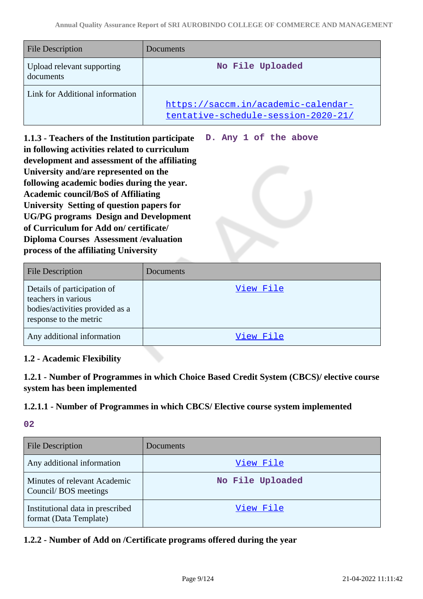**D. Any 1 of the above**

| <b>File Description</b>                 | Documents                                                                  |
|-----------------------------------------|----------------------------------------------------------------------------|
| Upload relevant supporting<br>documents | No File Uploaded                                                           |
| Link for Additional information         | https://saccm.in/academic-calendar-<br>tentative-schedule-session-2020-21/ |

**1.1.3 - Teachers of the Institution participate in following activities related to curriculum development and assessment of the affiliating University and/are represented on the following academic bodies during the year. Academic council/BoS of Affiliating University Setting of question papers for UG/PG programs Design and Development of Curriculum for Add on/ certificate/ Diploma Courses Assessment /evaluation process of the affiliating University**

| File Description                                                                                                | Documents |
|-----------------------------------------------------------------------------------------------------------------|-----------|
| Details of participation of<br>teachers in various<br>bodies/activities provided as a<br>response to the metric | View File |
| Any additional information                                                                                      | View File |

## **1.2 - Academic Flexibility**

**1.2.1 - Number of Programmes in which Choice Based Credit System (CBCS)/ elective course system has been implemented**

#### **1.2.1.1 - Number of Programmes in which CBCS/ Elective course system implemented**

#### **02**

| <b>File Description</b>                                    | Documents        |
|------------------------------------------------------------|------------------|
| Any additional information                                 | View File        |
| Minutes of relevant Academic<br>Council/BOS meetings       | No File Uploaded |
| Institutional data in prescribed<br>format (Data Template) | View File        |

**1.2.2 - Number of Add on /Certificate programs offered during the year**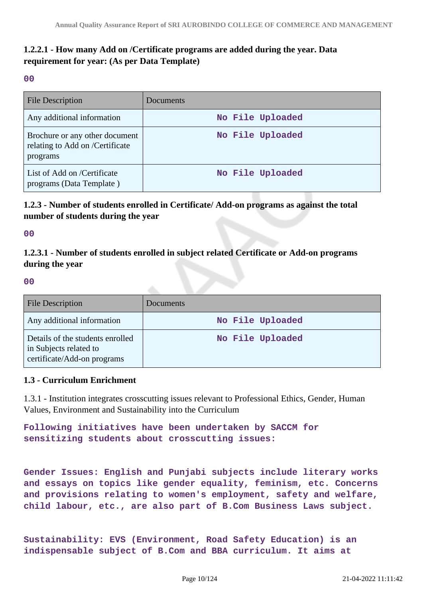## **1.2.2.1 - How many Add on /Certificate programs are added during the year. Data requirement for year: (As per Data Template)**

**00**

| File Description                                                              | Documents        |
|-------------------------------------------------------------------------------|------------------|
| Any additional information                                                    | No File Uploaded |
| Brochure or any other document<br>relating to Add on /Certificate<br>programs | No File Uploaded |
| List of Add on /Certificate<br>programs (Data Template)                       | No File Uploaded |

## **1.2.3 - Number of students enrolled in Certificate/ Add-on programs as against the total number of students during the year**

**00**

**1.2.3.1 - Number of students enrolled in subject related Certificate or Add-on programs during the year**

**00**

| <b>File Description</b>                                                                   | Documents        |
|-------------------------------------------------------------------------------------------|------------------|
| Any additional information                                                                | No File Uploaded |
| Details of the students enrolled<br>in Subjects related to<br>certificate/Add-on programs | No File Uploaded |

#### **1.3 - Curriculum Enrichment**

1.3.1 - Institution integrates crosscutting issues relevant to Professional Ethics, Gender, Human Values, Environment and Sustainability into the Curriculum

**Following initiatives have been undertaken by SACCM for sensitizing students about crosscutting issues:**

**Gender Issues: English and Punjabi subjects include literary works and essays on topics like gender equality, feminism, etc. Concerns and provisions relating to women's employment, safety and welfare, child labour, etc., are also part of B.Com Business Laws subject.**

**Sustainability: EVS (Environment, Road Safety Education) is an indispensable subject of B.Com and BBA curriculum. It aims at**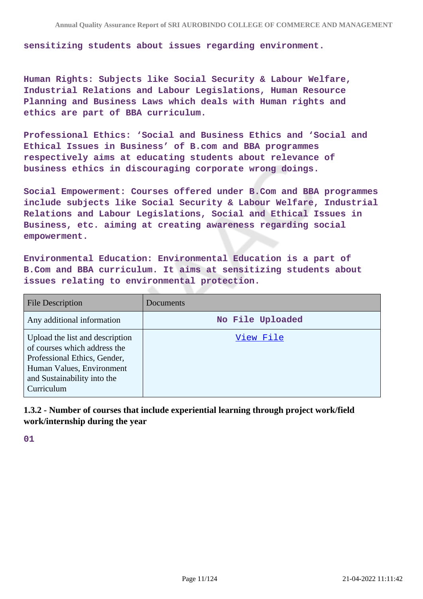**sensitizing students about issues regarding environment.**

**Human Rights: Subjects like Social Security & Labour Welfare, Industrial Relations and Labour Legislations, Human Resource Planning and Business Laws which deals with Human rights and ethics are part of BBA curriculum.**

**Professional Ethics: 'Social and Business Ethics and 'Social and Ethical Issues in Business' of B.com and BBA programmes respectively aims at educating students about relevance of business ethics in discouraging corporate wrong doings.**

**Social Empowerment: Courses offered under B.Com and BBA programmes include subjects like Social Security & Labour Welfare, Industrial Relations and Labour Legislations, Social and Ethical Issues in Business, etc. aiming at creating awareness regarding social empowerment.**

**Environmental Education: Environmental Education is a part of B.Com and BBA curriculum. It aims at sensitizing students about issues relating to environmental protection.**

| <b>File Description</b>                                                                                                                                                   | Documents        |
|---------------------------------------------------------------------------------------------------------------------------------------------------------------------------|------------------|
| Any additional information                                                                                                                                                | No File Uploaded |
| Upload the list and description<br>of courses which address the<br>Professional Ethics, Gender,<br>Human Values, Environment<br>and Sustainability into the<br>Curriculum | View File        |

**1.3.2 - Number of courses that include experiential learning through project work/field work/internship during the year**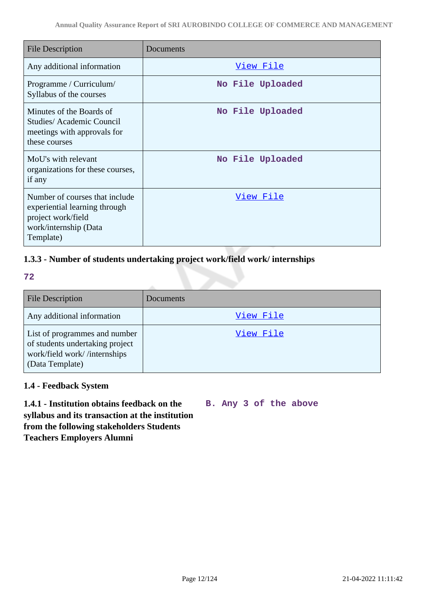| File Description                                                                                                            | Documents        |
|-----------------------------------------------------------------------------------------------------------------------------|------------------|
| Any additional information                                                                                                  | View File        |
| Programme / Curriculum/<br>Syllabus of the courses                                                                          | No File Uploaded |
| Minutes of the Boards of<br>Studies/Academic Council<br>meetings with approvals for<br>these courses                        | No File Uploaded |
| MoU's with relevant<br>organizations for these courses,<br>if any                                                           | No File Uploaded |
| Number of courses that include<br>experiential learning through<br>project work/field<br>work/internship (Data<br>Template) | <u>View File</u> |

## **1.3.3 - Number of students undertaking project work/field work/ internships**

**72**

| <b>File Description</b>                                                                                             | Documents |
|---------------------------------------------------------------------------------------------------------------------|-----------|
| Any additional information                                                                                          | View File |
| List of programmes and number<br>of students undertaking project<br>work/field work//internships<br>(Data Template) | View File |

## **1.4 - Feedback System**

**B. Any 3 of the above**

**1.4.1 - Institution obtains feedback on the syllabus and its transaction at the institution from the following stakeholders Students Teachers Employers Alumni**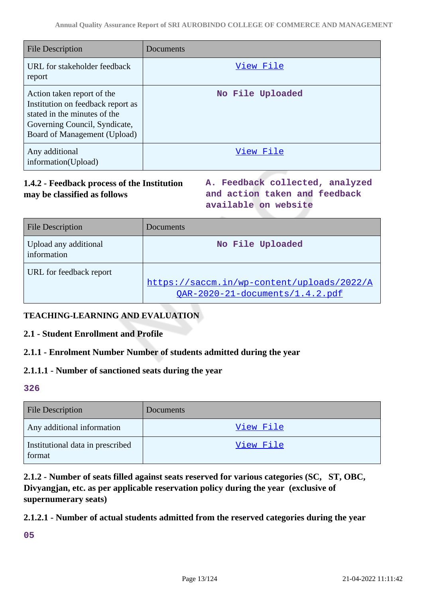| <b>File Description</b>                                                                                                                                          | Documents        |
|------------------------------------------------------------------------------------------------------------------------------------------------------------------|------------------|
| URL for stakeholder feedback<br>report                                                                                                                           | View File        |
| Action taken report of the<br>Institution on feedback report as<br>stated in the minutes of the<br>Governing Council, Syndicate,<br>Board of Management (Upload) | No File Uploaded |
| Any additional<br>information(Upload)                                                                                                                            | View File        |

## **1.4.2 - Feedback process of the Institution may be classified as follows**

**A. Feedback collected, analyzed and action taken and feedback available on website**

| <b>File Description</b>              | Documents                                                                     |
|--------------------------------------|-------------------------------------------------------------------------------|
| Upload any additional<br>information | No File Uploaded                                                              |
| URL for feedback report              | https://saccm.in/wp-content/uploads/2022/A<br>OAR-2020-21-documents/1.4.2.pdf |

## **TEACHING-LEARNING AND EVALUATION**

## **2.1 - Student Enrollment and Profile**

## **2.1.1 - Enrolment Number Number of students admitted during the year**

#### **2.1.1.1 - Number of sanctioned seats during the year**

#### **326**

| <b>File Description</b>                    | Documents |
|--------------------------------------------|-----------|
| Any additional information                 | View File |
| Institutional data in prescribed<br>format | View File |

**2.1.2 - Number of seats filled against seats reserved for various categories (SC, ST, OBC, Divyangjan, etc. as per applicable reservation policy during the year (exclusive of supernumerary seats)**

#### **2.1.2.1 - Number of actual students admitted from the reserved categories during the year**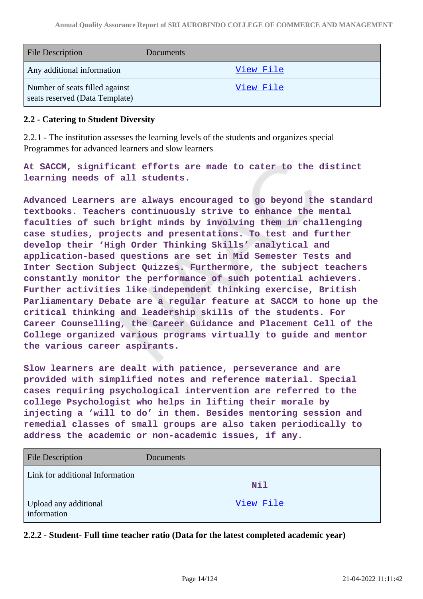| <b>File Description</b>                                          | Documents        |
|------------------------------------------------------------------|------------------|
| Any additional information                                       | View File        |
| Number of seats filled against<br>seats reserved (Data Template) | <u>View File</u> |

#### **2.2 - Catering to Student Diversity**

2.2.1 - The institution assesses the learning levels of the students and organizes special Programmes for advanced learners and slow learners

**At SACCM, significant efforts are made to cater to the distinct learning needs of all students.**

**Advanced Learners are always encouraged to go beyond the standard textbooks. Teachers continuously strive to enhance the mental faculties of such bright minds by involving them in challenging case studies, projects and presentations. To test and further develop their 'High Order Thinking Skills' analytical and application-based questions are set in Mid Semester Tests and Inter Section Subject Quizzes. Furthermore, the subject teachers constantly monitor the performance of such potential achievers. Further activities like independent thinking exercise, British Parliamentary Debate are a regular feature at SACCM to hone up the critical thinking and leadership skills of the students. For Career Counselling, the Career Guidance and Placement Cell of the College organized various programs virtually to guide and mentor the various career aspirants.**

**Slow learners are dealt with patience, perseverance and are provided with simplified notes and reference material. Special cases requiring psychological intervention are referred to the college Psychologist who helps in lifting their morale by injecting a 'will to do' in them. Besides mentoring session and remedial classes of small groups are also taken periodically to address the academic or non-academic issues, if any.**

| <b>File Description</b>              | Documents  |
|--------------------------------------|------------|
| Link for additional Information      | <b>Nil</b> |
| Upload any additional<br>information | View File  |

**2.2.2 - Student- Full time teacher ratio (Data for the latest completed academic year)**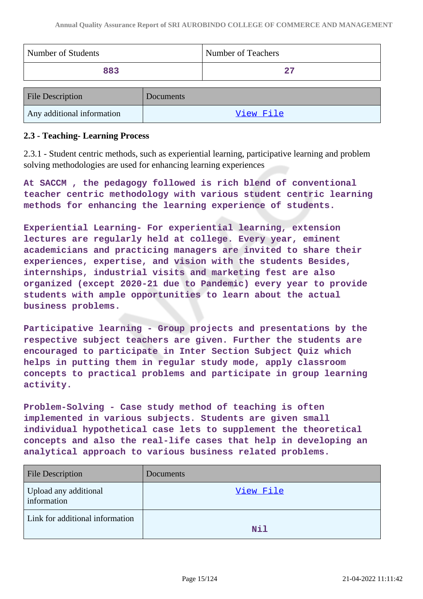| Number of Students | Number of Teachers |
|--------------------|--------------------|
| 883                | 27                 |
| Eile Description   | Documents          |

| <b>File Description</b>    | <b>Documents</b> |
|----------------------------|------------------|
| Any additional information | View File        |

#### **2.3 - Teaching- Learning Process**

2.3.1 - Student centric methods, such as experiential learning, participative learning and problem solving methodologies are used for enhancing learning experiences

**At SACCM , the pedagogy followed is rich blend of conventional teacher centric methodology with various student centric learning methods for enhancing the learning experience of students.**

**Experiential Learning- For experiential learning, extension lectures are regularly held at college. Every year, eminent academicians and practicing managers are invited to share their experiences, expertise, and vision with the students Besides, internships, industrial visits and marketing fest are also organized (except 2020-21 due to Pandemic) every year to provide students with ample opportunities to learn about the actual business problems.**

**Participative learning - Group projects and presentations by the respective subject teachers are given. Further the students are encouraged to participate in Inter Section Subject Quiz which helps in putting them in regular study mode, apply classroom concepts to practical problems and participate in group learning activity.**

**Problem-Solving - Case study method of teaching is often implemented in various subjects. Students are given small individual hypothetical case lets to supplement the theoretical concepts and also the real-life cases that help in developing an analytical approach to various business related problems.**

| <b>File Description</b>              | Documents |
|--------------------------------------|-----------|
| Upload any additional<br>information | View File |
| Link for additional information      | Nil       |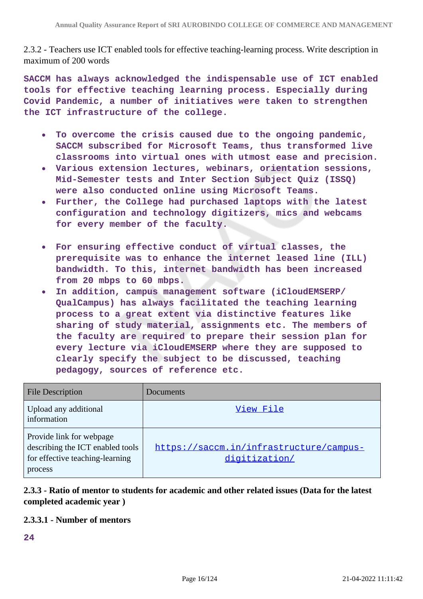2.3.2 - Teachers use ICT enabled tools for effective teaching-learning process. Write description in maximum of 200 words

**SACCM has always acknowledged the indispensable use of ICT enabled tools for effective teaching learning process. Especially during Covid Pandemic, a number of initiatives were taken to strengthen the ICT infrastructure of the college.**

- **To overcome the crisis caused due to the ongoing pandemic,**  $\bullet$ **SACCM subscribed for Microsoft Teams, thus transformed live classrooms into virtual ones with utmost ease and precision.**
- **Various extension lectures, webinars, orientation sessions, Mid-Semester tests and Inter Section Subject Quiz (ISSQ) were also conducted online using Microsoft Teams.**
- **Further, the College had purchased laptops with the latest configuration and technology digitizers, mics and webcams for every member of the faculty.**
- **For ensuring effective conduct of virtual classes, the prerequisite was to enhance the internet leased line (ILL) bandwidth. To this, internet bandwidth has been increased from 20 mbps to 60 mbps.**
- **In addition, campus management software (iCloudEMSERP/**  $\bullet$ **QualCampus) has always facilitated the teaching learning process to a great extent via distinctive features like sharing of study material, assignments etc. The members of the faculty are required to prepare their session plan for every lecture via iCloudEMSERP where they are supposed to clearly specify the subject to be discussed, teaching pedagogy, sources of reference etc.**

| <b>File Description</b>                                                                                    | Documents                                                |
|------------------------------------------------------------------------------------------------------------|----------------------------------------------------------|
| Upload any additional<br>information                                                                       | View File                                                |
| Provide link for webpage<br>describing the ICT enabled tools<br>for effective teaching-learning<br>process | https://saccm.in/infrastructure/campus-<br>digitization/ |

## **2.3.3 - Ratio of mentor to students for academic and other related issues (Data for the latest completed academic year )**

#### **2.3.3.1 - Number of mentors**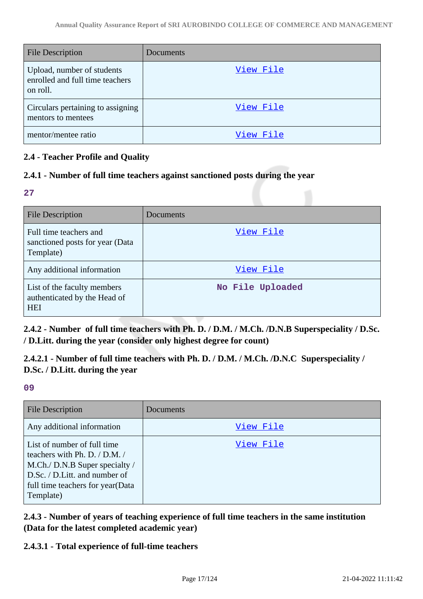| <b>File Description</b>                                                   | Documents |
|---------------------------------------------------------------------------|-----------|
| Upload, number of students<br>enrolled and full time teachers<br>on roll. | View File |
| Circulars pertaining to assigning<br>mentors to mentees                   | View File |
| mentor/mentee ratio                                                       | View File |

## **2.4 - Teacher Profile and Quality**

## **2.4.1 - Number of full time teachers against sanctioned posts during the year**

#### **27**

| <b>File Description</b>                                                   | Documents        |
|---------------------------------------------------------------------------|------------------|
| Full time teachers and<br>sanctioned posts for year (Data<br>Template)    | View File        |
| Any additional information                                                | View File        |
| List of the faculty members<br>authenticated by the Head of<br><b>HEI</b> | No File Uploaded |

**2.4.2 - Number of full time teachers with Ph. D. / D.M. / M.Ch. /D.N.B Superspeciality / D.Sc. / D.Litt. during the year (consider only highest degree for count)**

**2.4.2.1 - Number of full time teachers with Ph. D. / D.M. / M.Ch. /D.N.C Superspeciality / D.Sc. / D.Litt. during the year**

**09**

| <b>File Description</b>                                                                                                                                                           | Documents |
|-----------------------------------------------------------------------------------------------------------------------------------------------------------------------------------|-----------|
| Any additional information                                                                                                                                                        | View File |
| List of number of full time<br>teachers with Ph. D. / D.M. /<br>M.Ch./ D.N.B Super specialty /<br>D.Sc. / D.Litt. and number of<br>full time teachers for year (Data<br>Template) | View File |

**2.4.3 - Number of years of teaching experience of full time teachers in the same institution (Data for the latest completed academic year)**

## **2.4.3.1 - Total experience of full-time teachers**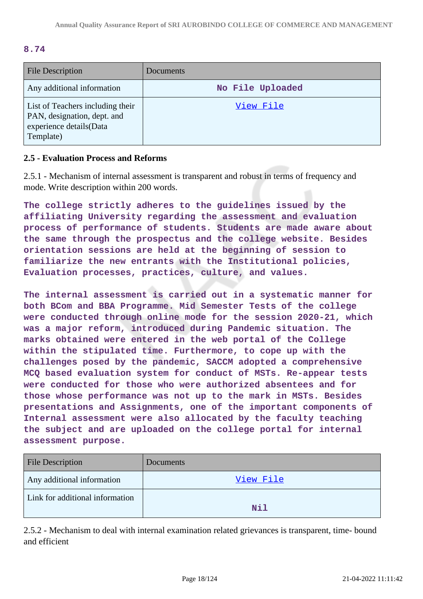#### **8.74**

| <b>File Description</b>                                                                                 | Documents        |
|---------------------------------------------------------------------------------------------------------|------------------|
| Any additional information                                                                              | No File Uploaded |
| List of Teachers including their<br>PAN, designation, dept. and<br>experience details(Data<br>Template) | View File        |

#### **2.5 - Evaluation Process and Reforms**

2.5.1 - Mechanism of internal assessment is transparent and robust in terms of frequency and mode. Write description within 200 words.

**The college strictly adheres to the guidelines issued by the affiliating University regarding the assessment and evaluation process of performance of students. Students are made aware about the same through the prospectus and the college website. Besides orientation sessions are held at the beginning of session to familiarize the new entrants with the Institutional policies, Evaluation processes, practices, culture, and values.**

**The internal assessment is carried out in a systematic manner for both BCom and BBA Programme. Mid Semester Tests of the college were conducted through online mode for the session 2020-21, which was a major reform, introduced during Pandemic situation. The marks obtained were entered in the web portal of the College within the stipulated time. Furthermore, to cope up with the challenges posed by the pandemic, SACCM adopted a comprehensive MCQ based evaluation system for conduct of MSTs. Re-appear tests were conducted for those who were authorized absentees and for those whose performance was not up to the mark in MSTs. Besides presentations and Assignments, one of the important components of Internal assessment were also allocated by the faculty teaching the subject and are uploaded on the college portal for internal assessment purpose.**

| <b>File Description</b>         | Documents |
|---------------------------------|-----------|
| Any additional information      | View File |
| Link for additional information | Nil       |

2.5.2 - Mechanism to deal with internal examination related grievances is transparent, time- bound and efficient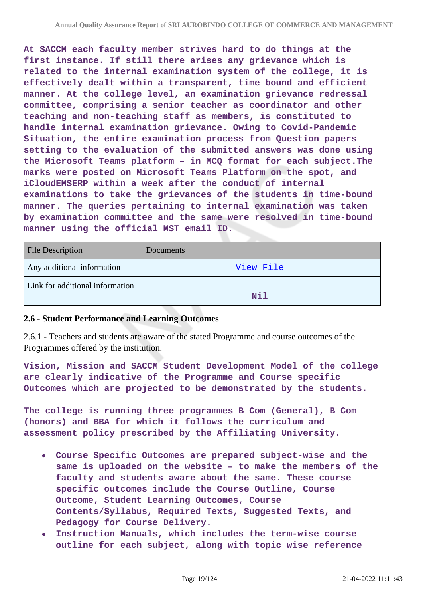**At SACCM each faculty member strives hard to do things at the first instance. If still there arises any grievance which is related to the internal examination system of the college, it is effectively dealt within a transparent, time bound and efficient manner. At the college level, an examination grievance redressal committee, comprising a senior teacher as coordinator and other teaching and non-teaching staff as members, is constituted to handle internal examination grievance. Owing to Covid-Pandemic Situation, the entire examination process from Question papers setting to the evaluation of the submitted answers was done using the Microsoft Teams platform – in MCQ format for each subject.The marks were posted on Microsoft Teams Platform on the spot, and iCloudEMSERP within a week after the conduct of internal examinations to take the grievances of the students in time-bound manner. The queries pertaining to internal examination was taken by examination committee and the same were resolved in time-bound manner using the official MST email ID.**

| <b>File Description</b>         | Documents  |
|---------------------------------|------------|
| Any additional information      | View File  |
| Link for additional information | <b>Nil</b> |

#### **2.6 - Student Performance and Learning Outcomes**

2.6.1 - Teachers and students are aware of the stated Programme and course outcomes of the Programmes offered by the institution.

**Vision, Mission and SACCM Student Development Model of the college are clearly indicative of the Programme and Course specific Outcomes which are projected to be demonstrated by the students.**

**The college is running three programmes B Com (General), B Com (honors) and BBA for which it follows the curriculum and assessment policy prescribed by the Affiliating University.**

- **Course Specific Outcomes are prepared subject-wise and the same is uploaded on the website – to make the members of the faculty and students aware about the same. These course specific outcomes include the Course Outline, Course Outcome, Student Learning Outcomes, Course Contents/Syllabus, Required Texts, Suggested Texts, and Pedagogy for Course Delivery.**
- **Instruction Manuals, which includes the term-wise course outline for each subject, along with topic wise reference**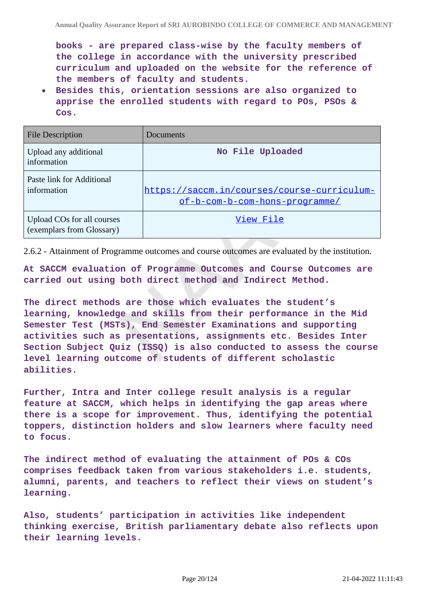**books - are prepared class-wise by the faculty members of the college in accordance with the university prescribed curriculum and uploaded on the website for the reference of the members of faculty and students.**

**Besides this, orientation sessions are also organized to apprise the enrolled students with regard to POs, PSOs & Cos.**

| <b>File Description</b>                                 | Documents                                                                     |
|---------------------------------------------------------|-------------------------------------------------------------------------------|
| Upload any additional<br>information                    | No File Uploaded                                                              |
| Paste link for Additional<br>information                | https://saccm.in/courses/course-curriculum-<br>of-b-com-b-com-hons-programme/ |
| Upload COs for all courses<br>(exemplars from Glossary) | View File                                                                     |

2.6.2 - Attainment of Programme outcomes and course outcomes are evaluated by the institution.

**At SACCM evaluation of Programme Outcomes and Course Outcomes are carried out using both direct method and Indirect Method.**

**The direct methods are those which evaluates the student's learning, knowledge and skills from their performance in the Mid Semester Test (MSTs), End Semester Examinations and supporting activities such as presentations, assignments etc. Besides Inter Section Subject Quiz (ISSQ) is also conducted to assess the course level learning outcome of students of different scholastic abilities.**

**Further, Intra and Inter college result analysis is a regular feature at SACCM, which helps in identifying the gap areas where there is a scope for improvement. Thus, identifying the potential toppers, distinction holders and slow learners where faculty need to focus.**

**The indirect method of evaluating the attainment of POs & COs comprises feedback taken from various stakeholders i.e. students, alumni, parents, and teachers to reflect their views on student's learning.**

**Also, students' participation in activities like independent thinking exercise, British parliamentary debate also reflects upon their learning levels.**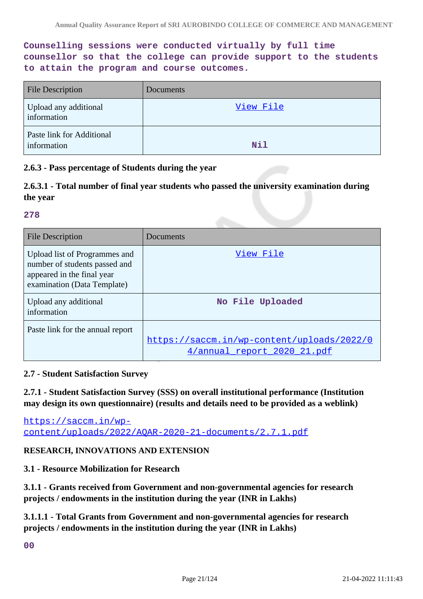**Counselling sessions were conducted virtually by full time counsellor so that the college can provide support to the students to attain the program and course outcomes.**

| <b>File Description</b>                  | Documents |
|------------------------------------------|-----------|
| Upload any additional<br>information     | View File |
| Paste link for Additional<br>information | Nil       |

#### **2.6.3 - Pass percentage of Students during the year**

## **2.6.3.1 - Total number of final year students who passed the university examination during the year**

#### **278**

| File Description                                                                                                            | Documents                                                                 |
|-----------------------------------------------------------------------------------------------------------------------------|---------------------------------------------------------------------------|
| Upload list of Programmes and<br>number of students passed and<br>appeared in the final year<br>examination (Data Template) | View File                                                                 |
| Upload any additional<br>information                                                                                        | No File Uploaded                                                          |
| Paste link for the annual report                                                                                            | https://saccm.in/wp-content/uploads/2022/0<br>4/annual report 2020 21.pdf |

#### **2.7 - Student Satisfaction Survey**

**2.7.1 - Student Satisfaction Survey (SSS) on overall institutional performance (Institution may design its own questionnaire) (results and details need to be provided as a weblink)**

[https://saccm.in/wp](https://saccm.in/wp-content/uploads/2022/AQAR-2020-21-documents/2.7.1.pdf)[content/uploads/2022/AQAR-2020-21-documents/2.7.1.pdf](https://saccm.in/wp-content/uploads/2022/AQAR-2020-21-documents/2.7.1.pdf)

#### **RESEARCH, INNOVATIONS AND EXTENSION**

#### **3.1 - Resource Mobilization for Research**

**3.1.1 - Grants received from Government and non-governmental agencies for research projects / endowments in the institution during the year (INR in Lakhs)**

**3.1.1.1 - Total Grants from Government and non-governmental agencies for research projects / endowments in the institution during the year (INR in Lakhs)**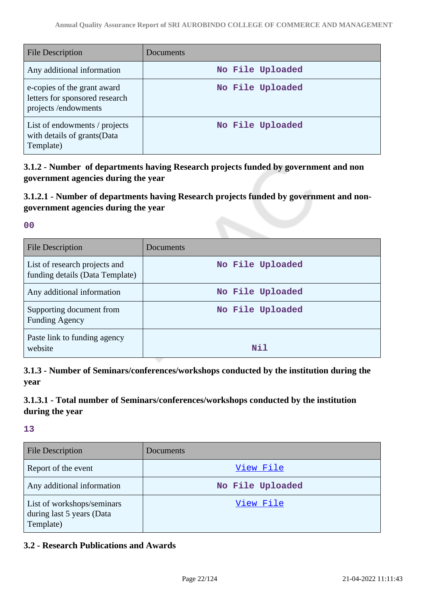| <b>File Description</b>                                                              | Documents        |
|--------------------------------------------------------------------------------------|------------------|
| Any additional information                                                           | No File Uploaded |
| e-copies of the grant award<br>letters for sponsored research<br>projects/endowments | No File Uploaded |
| List of endowments / projects<br>with details of grants (Data<br>Template)           | No File Uploaded |

**3.1.2 - Number of departments having Research projects funded by government and non government agencies during the year**

**3.1.2.1 - Number of departments having Research projects funded by government and nongovernment agencies during the year**

**00**

| <b>File Description</b>                                          | Documents        |
|------------------------------------------------------------------|------------------|
| List of research projects and<br>funding details (Data Template) | No File Uploaded |
| Any additional information                                       | No File Uploaded |
| Supporting document from<br><b>Funding Agency</b>                | No File Uploaded |
| Paste link to funding agency<br>website                          | N11              |

**3.1.3 - Number of Seminars/conferences/workshops conducted by the institution during the year**

## **3.1.3.1 - Total number of Seminars/conferences/workshops conducted by the institution during the year**

**13**

| <b>File Description</b>                                              | Documents        |
|----------------------------------------------------------------------|------------------|
| Report of the event                                                  | View File        |
| Any additional information                                           | No File Uploaded |
| List of workshops/seminars<br>during last 5 years (Data<br>Template) | View File        |

## **3.2 - Research Publications and Awards**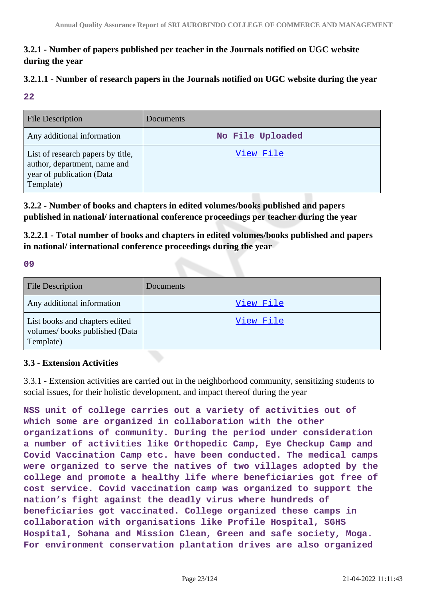## **3.2.1 - Number of papers published per teacher in the Journals notified on UGC website during the year**

# **3.2.1.1 - Number of research papers in the Journals notified on UGC website during the year**

#### **22**

| File Description                                                                                            | Documents        |
|-------------------------------------------------------------------------------------------------------------|------------------|
| Any additional information                                                                                  | No File Uploaded |
| List of research papers by title,<br>author, department, name and<br>year of publication (Data<br>Template) | View File        |

**3.2.2 - Number of books and chapters in edited volumes/books published and papers published in national/ international conference proceedings per teacher during the year**

**3.2.2.1 - Total number of books and chapters in edited volumes/books published and papers in national/ international conference proceedings during the year**

#### **09**

| <b>File Description</b>                                                      | Documents |
|------------------------------------------------------------------------------|-----------|
| Any additional information                                                   | View File |
| List books and chapters edited<br>volumes/books published (Data<br>Template) | View File |

## **3.3 - Extension Activities**

3.3.1 - Extension activities are carried out in the neighborhood community, sensitizing students to social issues, for their holistic development, and impact thereof during the year

**NSS unit of college carries out a variety of activities out of which some are organized in collaboration with the other organizations of community. During the period under consideration a number of activities like Orthopedic Camp, Eye Checkup Camp and Covid Vaccination Camp etc. have been conducted. The medical camps were organized to serve the natives of two villages adopted by the college and promote a healthy life where beneficiaries got free of cost service. Covid vaccination camp was organized to support the nation's fight against the deadly virus where hundreds of beneficiaries got vaccinated. College organized these camps in collaboration with organisations like Profile Hospital, SGHS Hospital, Sohana and Mission Clean, Green and safe society, Moga. For environment conservation plantation drives are also organized**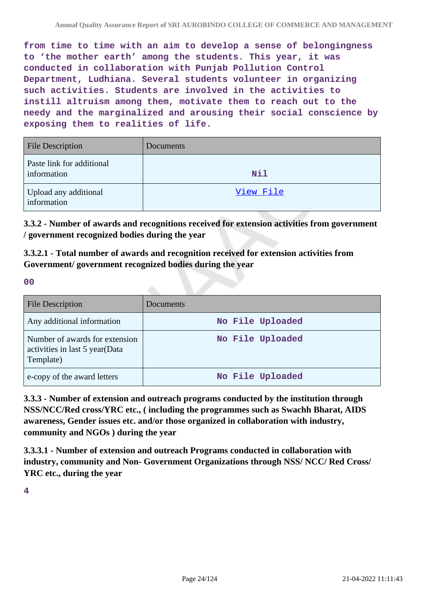**from time to time with an aim to develop a sense of belongingness to 'the mother earth' among the students. This year, it was conducted in collaboration with Punjab Pollution Control Department, Ludhiana. Several students volunteer in organizing such activities. Students are involved in the activities to instill altruism among them, motivate them to reach out to the needy and the marginalized and arousing their social conscience by exposing them to realities of life.**

| <b>File Description</b>                  | Documents  |
|------------------------------------------|------------|
| Paste link for additional<br>information | <b>Nil</b> |
| Upload any additional<br>information     | View File  |

**3.3.2 - Number of awards and recognitions received for extension activities from government / government recognized bodies during the year**

**3.3.2.1 - Total number of awards and recognition received for extension activities from Government/ government recognized bodies during the year**

**00**

| <b>File Description</b>                                                       | Documents        |
|-------------------------------------------------------------------------------|------------------|
| Any additional information                                                    | No File Uploaded |
| Number of awards for extension<br>activities in last 5 year(Data<br>Template) | No File Uploaded |
| e-copy of the award letters                                                   | No File Uploaded |

**3.3.3 - Number of extension and outreach programs conducted by the institution through NSS/NCC/Red cross/YRC etc., ( including the programmes such as Swachh Bharat, AIDS awareness, Gender issues etc. and/or those organized in collaboration with industry, community and NGOs ) during the year**

**3.3.3.1 - Number of extension and outreach Programs conducted in collaboration with industry, community and Non- Government Organizations through NSS/ NCC/ Red Cross/ YRC etc., during the year**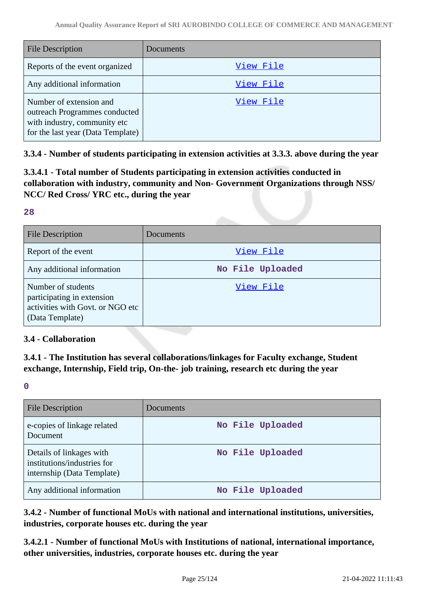| <b>File Description</b>                                                                                                       | Documents |
|-------------------------------------------------------------------------------------------------------------------------------|-----------|
| Reports of the event organized                                                                                                | View File |
| Any additional information                                                                                                    | View File |
| Number of extension and<br>outreach Programmes conducted<br>with industry, community etc<br>for the last year (Data Template) | View File |

**3.3.4 - Number of students participating in extension activities at 3.3.3. above during the year**

**3.3.4.1 - Total number of Students participating in extension activities conducted in collaboration with industry, community and Non- Government Organizations through NSS/ NCC/ Red Cross/ YRC etc., during the year**

#### **28**

| <b>File Description</b>                                                                                 | Documents        |
|---------------------------------------------------------------------------------------------------------|------------------|
| Report of the event                                                                                     | View File        |
| Any additional information                                                                              | No File Uploaded |
| Number of students<br>participating in extension<br>activities with Govt. or NGO etc<br>(Data Template) | View File        |

#### **3.4 - Collaboration**

**3.4.1 - The Institution has several collaborations/linkages for Faculty exchange, Student exchange, Internship, Field trip, On-the- job training, research etc during the year**

**0**

| <b>File Description</b>                                                               | Documents        |
|---------------------------------------------------------------------------------------|------------------|
| e-copies of linkage related<br>Document                                               | No File Uploaded |
| Details of linkages with<br>institutions/industries for<br>internship (Data Template) | No File Uploaded |
| Any additional information                                                            | No File Uploaded |

**3.4.2 - Number of functional MoUs with national and international institutions, universities, industries, corporate houses etc. during the year**

**3.4.2.1 - Number of functional MoUs with Institutions of national, international importance, other universities, industries, corporate houses etc. during the year**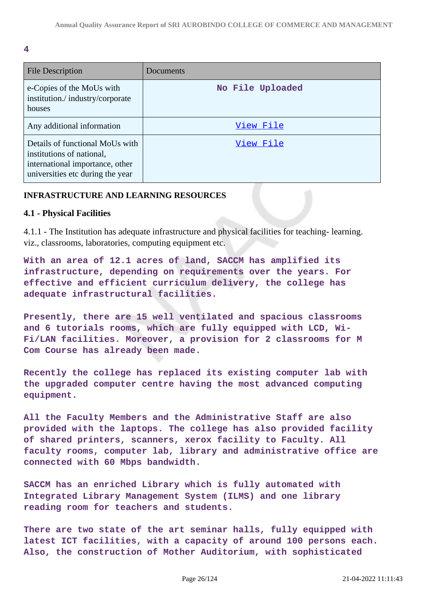**4**

| <b>File Description</b>                                                                                                             | Documents        |
|-------------------------------------------------------------------------------------------------------------------------------------|------------------|
| e-Copies of the MoUs with<br>institution./industry/corporate<br>houses                                                              | No File Uploaded |
| Any additional information                                                                                                          | View File        |
| Details of functional MoUs with<br>institutions of national,<br>international importance, other<br>universities etc during the year | View File        |

#### **INFRASTRUCTURE AND LEARNING RESOURCES**

#### **4.1 - Physical Facilities**

4.1.1 - The Institution has adequate infrastructure and physical facilities for teaching- learning. viz., classrooms, laboratories, computing equipment etc.

**With an area of 12.1 acres of land, SACCM has amplified its infrastructure, depending on requirements over the years. For effective and efficient curriculum delivery, the college has adequate infrastructural facilities.**

**Presently, there are 15 well ventilated and spacious classrooms and 6 tutorials rooms, which are fully equipped with LCD, Wi-Fi/LAN facilities. Moreover, a provision for 2 classrooms for M Com Course has already been made.**

**Recently the college has replaced its existing computer lab with the upgraded computer centre having the most advanced computing equipment.**

**All the Faculty Members and the Administrative Staff are also provided with the laptops. The college has also provided facility of shared printers, scanners, xerox facility to Faculty. All faculty rooms, computer lab, library and administrative office are connected with 60 Mbps bandwidth.**

**SACCM has an enriched Library which is fully automated with Integrated Library Management System (ILMS) and one library reading room for teachers and students.**

**There are two state of the art seminar halls, fully equipped with latest ICT facilities, with a capacity of around 100 persons each. Also, the construction of Mother Auditorium, with sophisticated**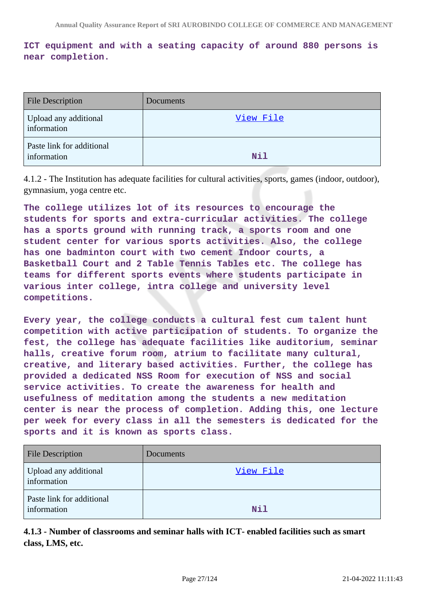## **ICT equipment and with a seating capacity of around 880 persons is near completion.**

| <b>File Description</b>                  | Documents |
|------------------------------------------|-----------|
| Upload any additional<br>information     | View File |
| Paste link for additional<br>information | Nil       |

4.1.2 - The Institution has adequate facilities for cultural activities, sports, games (indoor, outdoor), gymnasium, yoga centre etc.

**The college utilizes lot of its resources to encourage the students for sports and extra-curricular activities. The college has a sports ground with running track, a sports room and one student center for various sports activities. Also, the college has one badminton court with two cement Indoor courts, a Basketball Court and 2 Table Tennis Tables etc. The college has teams for different sports events where students participate in various inter college, intra college and university level competitions.**

**Every year, the college conducts a cultural fest cum talent hunt competition with active participation of students. To organize the fest, the college has adequate facilities like auditorium, seminar halls, creative forum room, atrium to facilitate many cultural, creative, and literary based activities. Further, the college has provided a dedicated NSS Room for execution of NSS and social service activities. To create the awareness for health and usefulness of meditation among the students a new meditation center is near the process of completion. Adding this, one lecture per week for every class in all the semesters is dedicated for the sports and it is known as sports class.**

| <b>File Description</b>                  | Documents |
|------------------------------------------|-----------|
| Upload any additional<br>information     | View File |
| Paste link for additional<br>information | Nil       |

**4.1.3 - Number of classrooms and seminar halls with ICT- enabled facilities such as smart class, LMS, etc.**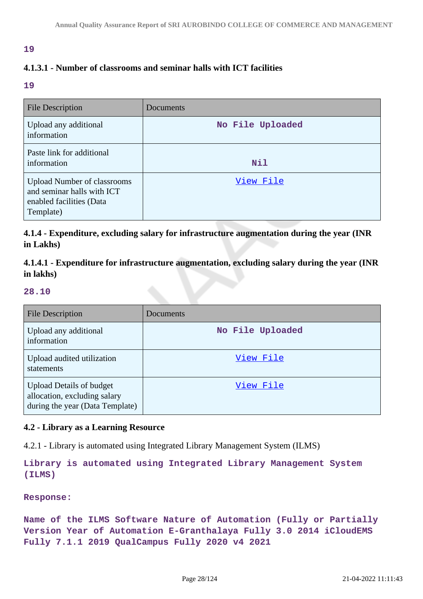#### **19**

## **4.1.3.1 - Number of classrooms and seminar halls with ICT facilities**

**19**

| <b>File Description</b>                                                                                   | Documents        |
|-----------------------------------------------------------------------------------------------------------|------------------|
| Upload any additional<br>information                                                                      | No File Uploaded |
| Paste link for additional<br>information                                                                  | <b>Nil</b>       |
| <b>Upload Number of classrooms</b><br>and seminar halls with ICT<br>enabled facilities (Data<br>Template) | View File        |

**4.1.4 - Expenditure, excluding salary for infrastructure augmentation during the year (INR in Lakhs)**

**4.1.4.1 - Expenditure for infrastructure augmentation, excluding salary during the year (INR in lakhs)**

#### **28.10**

| <b>File Description</b>                                                                            | Documents        |
|----------------------------------------------------------------------------------------------------|------------------|
| Upload any additional<br>information                                                               | No File Uploaded |
| Upload audited utilization<br>statements                                                           | View File        |
| <b>Upload Details of budget</b><br>allocation, excluding salary<br>during the year (Data Template) | View File        |

#### **4.2 - Library as a Learning Resource**

4.2.1 - Library is automated using Integrated Library Management System (ILMS)

**Library is automated using Integrated Library Management System (ILMS)**

#### **Response:**

**Name of the ILMS Software Nature of Automation (Fully or Partially Version Year of Automation E-Granthalaya Fully 3.0 2014 iCloudEMS Fully 7.1.1 2019 QualCampus Fully 2020 v4 2021**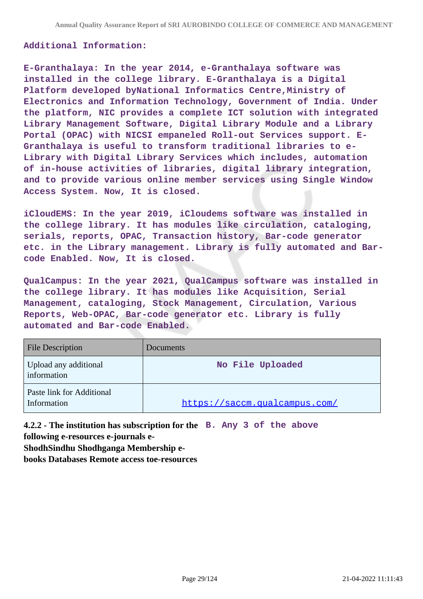#### **Additional Information:**

**E-Granthalaya: In the year 2014, e-Granthalaya software was installed in the college library. E-Granthalaya is a Digital Platform developed byNational Informatics Centre,Ministry of Electronics and Information Technology, Government of India. Under the platform, NIC provides a complete ICT solution with integrated Library Management Software, Digital Library Module and a Library Portal (OPAC) with NICSI empaneled Roll-out Services support. E-Granthalaya is useful to transform traditional libraries to e-Library with Digital Library Services which includes, automation of in-house activities of libraries, digital library integration, and to provide various online member services using Single Window Access System. Now, It is closed.**

**iCloudEMS: In the year 2019, iCloudems software was installed in the college library. It has modules like circulation, cataloging, serials, reports, OPAC, Transaction history, Bar-code generator etc. in the Library management. Library is fully automated and Barcode Enabled. Now, It is closed.**

**QualCampus: In the year 2021, QualCampus software was installed in the college library. It has modules like Acquisition, Serial Management, cataloging, Stock Management, Circulation, Various Reports, Web-OPAC, Bar-code generator etc. Library is fully automated and Bar-code Enabled.**

| <b>File Description</b>                  | Documents                     |
|------------------------------------------|-------------------------------|
| Upload any additional<br>information     | No File Uploaded              |
| Paste link for Additional<br>Information | https://saccm.qualcampus.com/ |

**4.2.2 - The institution has subscription for the B. Any 3 of the above following e-resources e-journals e-**

**ShodhSindhu Shodhganga Membership e-**

**books Databases Remote access toe-resources**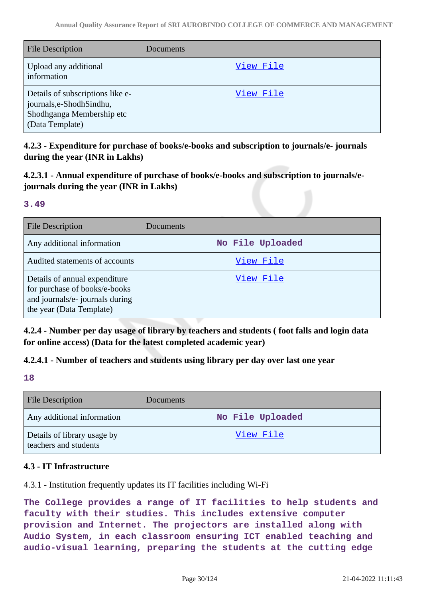| <b>File Description</b>                                                                                     | Documents |
|-------------------------------------------------------------------------------------------------------------|-----------|
| Upload any additional<br>information                                                                        | View File |
| Details of subscriptions like e-<br>journals,e-ShodhSindhu,<br>Shodhganga Membership etc<br>(Data Template) | View File |

**4.2.3 - Expenditure for purchase of books/e-books and subscription to journals/e- journals during the year (INR in Lakhs)**

**4.2.3.1 - Annual expenditure of purchase of books/e-books and subscription to journals/ejournals during the year (INR in Lakhs)**

#### **3.49**

| <b>File Description</b>                                                                                                       | Documents        |
|-------------------------------------------------------------------------------------------------------------------------------|------------------|
| Any additional information                                                                                                    | No File Uploaded |
| Audited statements of accounts                                                                                                | View File        |
| Details of annual expenditure<br>for purchase of books/e-books<br>and journals/e- journals during<br>the year (Data Template) | View File        |

**4.2.4 - Number per day usage of library by teachers and students ( foot falls and login data for online access) (Data for the latest completed academic year)**

## **4.2.4.1 - Number of teachers and students using library per day over last one year**

**18**

| <b>File Description</b>                              | <b>Documents</b> |
|------------------------------------------------------|------------------|
| Any additional information                           | No File Uploaded |
| Details of library usage by<br>teachers and students | <u>View File</u> |

## **4.3 - IT Infrastructure**

4.3.1 - Institution frequently updates its IT facilities including Wi-Fi

**The College provides a range of IT facilities to help students and faculty with their studies. This includes extensive computer provision and Internet. The projectors are installed along with Audio System, in each classroom ensuring ICT enabled teaching and audio-visual learning, preparing the students at the cutting edge**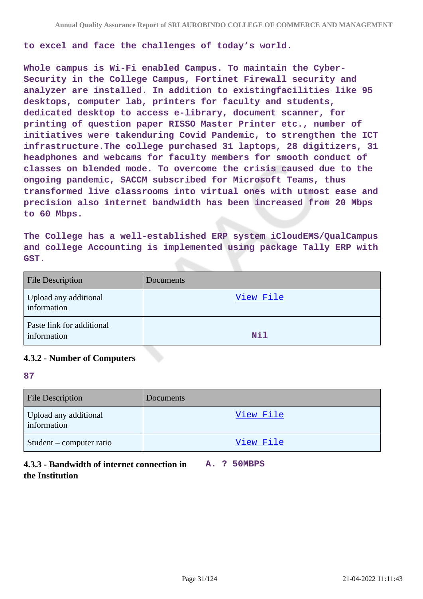**to excel and face the challenges of today's world.**

**Whole campus is Wi-Fi enabled Campus. To maintain the Cyber-Security in the College Campus, Fortinet Firewall security and analyzer are installed. In addition to existingfacilities like 95 desktops, computer lab, printers for faculty and students, dedicated desktop to access e-library, document scanner, for printing of question paper RISSO Master Printer etc., number of initiatives were takenduring Covid Pandemic, to strengthen the ICT infrastructure.The college purchased 31 laptops, 28 digitizers, 31 headphones and webcams for faculty members for smooth conduct of classes on blended mode. To overcome the crisis caused due to the ongoing pandemic, SACCM subscribed for Microsoft Teams, thus transformed live classrooms into virtual ones with utmost ease and precision also internet bandwidth has been increased from 20 Mbps to 60 Mbps.**

**The College has a well-established ERP system iCloudEMS/QualCampus and college Accounting is implemented using package Tally ERP with GST.**

| <b>File Description</b>                  | Documents |
|------------------------------------------|-----------|
| Upload any additional<br>information     | View File |
| Paste link for additional<br>information | Nil       |

#### **4.3.2 - Number of Computers**

#### **87**

| <b>File Description</b>              | Documents |
|--------------------------------------|-----------|
| Upload any additional<br>information | View File |
| Student – computer ratio             | View File |

## **4.3.3 - Bandwidth of internet connection in A. ? 50MBPS the Institution**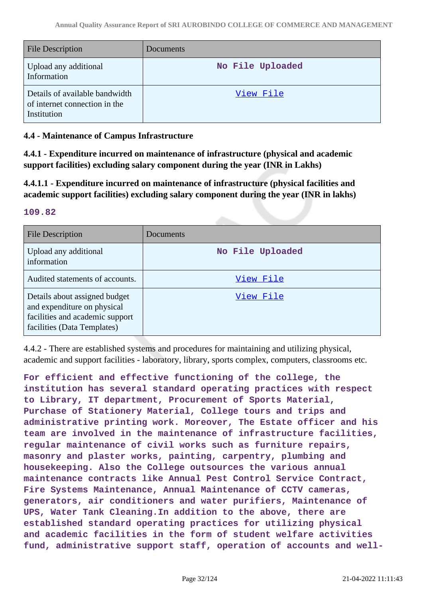| <b>File Description</b>                                                        | Documents        |
|--------------------------------------------------------------------------------|------------------|
| Upload any additional<br>Information                                           | No File Uploaded |
| Details of available bandwidth<br>of internet connection in the<br>Institution | View File        |

#### **4.4 - Maintenance of Campus Infrastructure**

**4.4.1 - Expenditure incurred on maintenance of infrastructure (physical and academic support facilities) excluding salary component during the year (INR in Lakhs)**

**4.4.1.1 - Expenditure incurred on maintenance of infrastructure (physical facilities and academic support facilities) excluding salary component during the year (INR in lakhs)**

#### **109.82**

| <b>File Description</b>                                                                                                        | Documents        |
|--------------------------------------------------------------------------------------------------------------------------------|------------------|
| Upload any additional<br>information                                                                                           | No File Uploaded |
| Audited statements of accounts.                                                                                                | View File        |
| Details about assigned budget<br>and expenditure on physical<br>facilities and academic support<br>facilities (Data Templates) | View File        |

4.4.2 - There are established systems and procedures for maintaining and utilizing physical, academic and support facilities - laboratory, library, sports complex, computers, classrooms etc.

**For efficient and effective functioning of the college, the institution has several standard operating practices with respect to Library, IT department, Procurement of Sports Material, Purchase of Stationery Material, College tours and trips and administrative printing work. Moreover, The Estate officer and his team are involved in the maintenance of infrastructure facilities, regular maintenance of civil works such as furniture repairs, masonry and plaster works, painting, carpentry, plumbing and housekeeping. Also the College outsources the various annual maintenance contracts like Annual Pest Control Service Contract, Fire Systems Maintenance, Annual Maintenance of CCTV cameras, generators, air conditioners and water purifiers, Maintenance of UPS, Water Tank Cleaning.In addition to the above, there are established standard operating practices for utilizing physical and academic facilities in the form of student welfare activities fund, administrative support staff, operation of accounts and well-**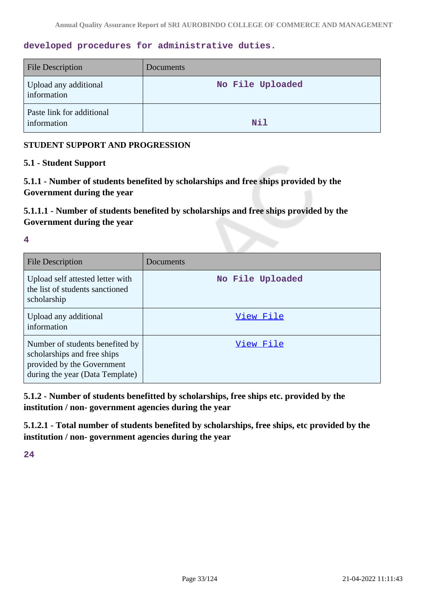#### **developed procedures for administrative duties.**

| <b>File Description</b>                  | Documents        |
|------------------------------------------|------------------|
| Upload any additional<br>information     | No File Uploaded |
| Paste link for additional<br>information | Nil              |

#### **STUDENT SUPPORT AND PROGRESSION**

#### **5.1 - Student Support**

**5.1.1 - Number of students benefited by scholarships and free ships provided by the Government during the year**

**5.1.1.1 - Number of students benefited by scholarships and free ships provided by the Government during the year**

**4**

| File Description                                                                                                                | Documents        |
|---------------------------------------------------------------------------------------------------------------------------------|------------------|
| Upload self attested letter with<br>the list of students sanctioned<br>scholarship                                              | No File Uploaded |
| Upload any additional<br>information                                                                                            | View File        |
| Number of students benefited by<br>scholarships and free ships<br>provided by the Government<br>during the year (Data Template) | View File        |

**5.1.2 - Number of students benefitted by scholarships, free ships etc. provided by the institution / non- government agencies during the year**

**5.1.2.1 - Total number of students benefited by scholarships, free ships, etc provided by the institution / non- government agencies during the year**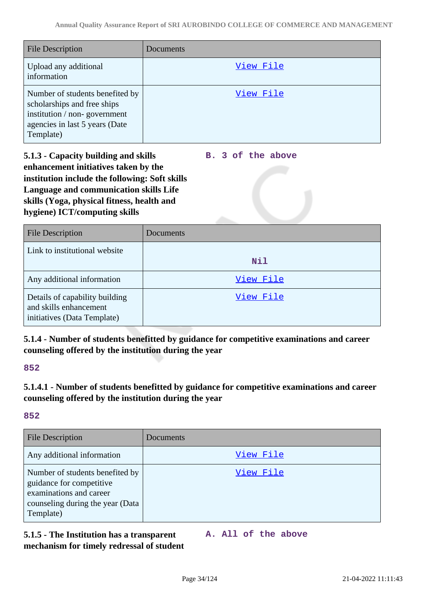| <b>File Description</b>                                                                                                                       | Documents |
|-----------------------------------------------------------------------------------------------------------------------------------------------|-----------|
| Upload any additional<br>information                                                                                                          | View File |
| Number of students benefited by<br>scholarships and free ships<br>institution / non-government<br>agencies in last 5 years (Date<br>Template) | View File |

**5.1.3 - Capacity building and skills enhancement initiatives taken by the institution include the following: Soft skills Language and communication skills Life skills (Yoga, physical fitness, health and hygiene) ICT/computing skills**

**B. 3 of the above**

| <b>File Description</b>                                                                 | Documents  |
|-----------------------------------------------------------------------------------------|------------|
| Link to institutional website                                                           | <b>Nil</b> |
| Any additional information                                                              | View File  |
| Details of capability building<br>and skills enhancement<br>initiatives (Data Template) | View File  |

## **5.1.4 - Number of students benefitted by guidance for competitive examinations and career counseling offered by the institution during the year**

#### **852**

## **5.1.4.1 - Number of students benefitted by guidance for competitive examinations and career counseling offered by the institution during the year**

## **852**

| <b>File Description</b>                                                                                                                 | Documents |
|-----------------------------------------------------------------------------------------------------------------------------------------|-----------|
| Any additional information                                                                                                              | View File |
| Number of students benefited by<br>guidance for competitive<br>examinations and career<br>counseling during the year (Data<br>Template) | View File |

## **5.1.5 - The Institution has a transparent mechanism for timely redressal of student**

**A. All of the above**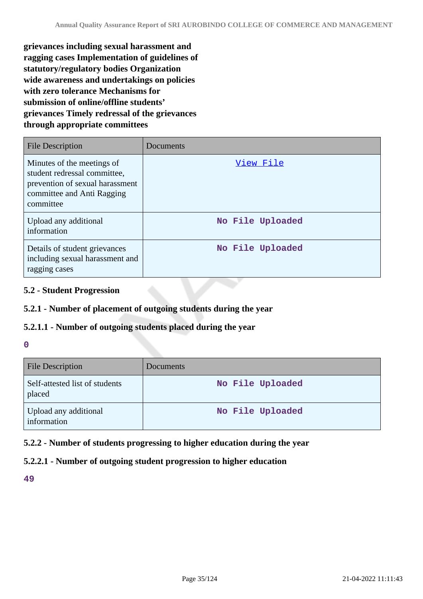**grievances including sexual harassment and ragging cases Implementation of guidelines of statutory/regulatory bodies Organization wide awareness and undertakings on policies with zero tolerance Mechanisms for submission of online/offline students' grievances Timely redressal of the grievances through appropriate committees**

| <b>File Description</b>                                                                                                                  | Documents        |
|------------------------------------------------------------------------------------------------------------------------------------------|------------------|
| Minutes of the meetings of<br>student redressal committee,<br>prevention of sexual harassment<br>committee and Anti Ragging<br>committee | View File        |
| Upload any additional<br>information                                                                                                     | No File Uploaded |
| Details of student grievances<br>including sexual harassment and<br>ragging cases                                                        | No File Uploaded |

## **5.2 - Student Progression**

## **5.2.1 - Number of placement of outgoing students during the year**

#### **5.2.1.1 - Number of outgoing students placed during the year**

#### **0**

| <b>File Description</b>                  | Documents        |
|------------------------------------------|------------------|
| Self-attested list of students<br>placed | No File Uploaded |
| Upload any additional<br>information     | No File Uploaded |

## **5.2.2 - Number of students progressing to higher education during the year**

## **5.2.2.1 - Number of outgoing student progression to higher education**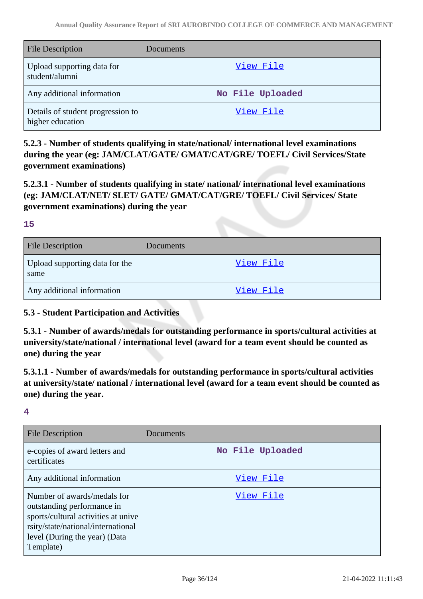| <b>File Description</b>                               | Documents        |
|-------------------------------------------------------|------------------|
| Upload supporting data for<br>student/alumni          | View File        |
| Any additional information                            | No File Uploaded |
| Details of student progression to<br>higher education | View File        |

**5.2.3 - Number of students qualifying in state/national/ international level examinations during the year (eg: JAM/CLAT/GATE/ GMAT/CAT/GRE/ TOEFL/ Civil Services/State government examinations)**

**5.2.3.1 - Number of students qualifying in state/ national/ international level examinations (eg: JAM/CLAT/NET/ SLET/ GATE/ GMAT/CAT/GRE/ TOEFL/ Civil Services/ State government examinations) during the year**

#### **15**

| <b>File Description</b>                | Documents        |
|----------------------------------------|------------------|
| Upload supporting data for the<br>same | <u>View File</u> |
| Any additional information             | <u>View File</u> |

#### **5.3 - Student Participation and Activities**

**5.3.1 - Number of awards/medals for outstanding performance in sports/cultural activities at university/state/national / international level (award for a team event should be counted as one) during the year**

**5.3.1.1 - Number of awards/medals for outstanding performance in sports/cultural activities at university/state/ national / international level (award for a team event should be counted as one) during the year.**

| <b>File Description</b>                                                                                                                                                              | Documents        |
|--------------------------------------------------------------------------------------------------------------------------------------------------------------------------------------|------------------|
| e-copies of award letters and<br>certificates                                                                                                                                        | No File Uploaded |
| Any additional information                                                                                                                                                           | View File        |
| Number of awards/medals for<br>outstanding performance in<br>sports/cultural activities at unive<br>rsity/state/national/international<br>level (During the year) (Data<br>Template) | View File        |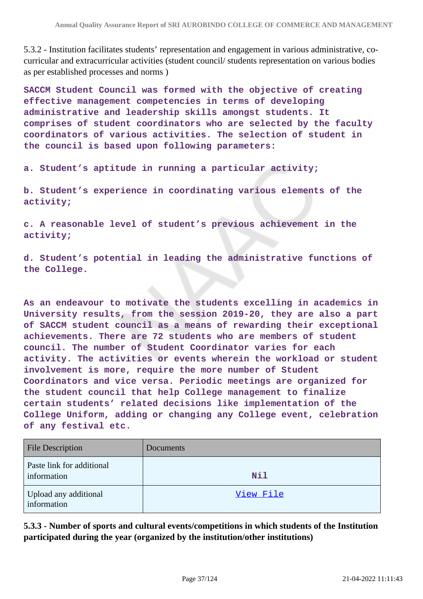5.3.2 - Institution facilitates students' representation and engagement in various administrative, cocurricular and extracurricular activities (student council/ students representation on various bodies as per established processes and norms )

**SACCM Student Council was formed with the objective of creating effective management competencies in terms of developing administrative and leadership skills amongst students. It comprises of student coordinators who are selected by the faculty coordinators of various activities. The selection of student in the council is based upon following parameters:**

**a. Student's aptitude in running a particular activity;**

**b. Student's experience in coordinating various elements of the activity;**

**c. A reasonable level of student's previous achievement in the activity;**

**d. Student's potential in leading the administrative functions of the College.**

**As an endeavour to motivate the students excelling in academics in University results, from the session 2019-20, they are also a part of SACCM student council as a means of rewarding their exceptional achievements. There are 72 students who are members of student council. The number of Student Coordinator varies for each activity. The activities or events wherein the workload or student involvement is more, require the more number of Student Coordinators and vice versa. Periodic meetings are organized for the student council that help College management to finalize certain students' related decisions like implementation of the College Uniform, adding or changing any College event, celebration of any festival etc.**

| <b>File Description</b>                  | Documents  |
|------------------------------------------|------------|
| Paste link for additional<br>information | <b>Nil</b> |
| Upload any additional<br>information     | View File  |

**5.3.3 - Number of sports and cultural events/competitions in which students of the Institution participated during the year (organized by the institution/other institutions)**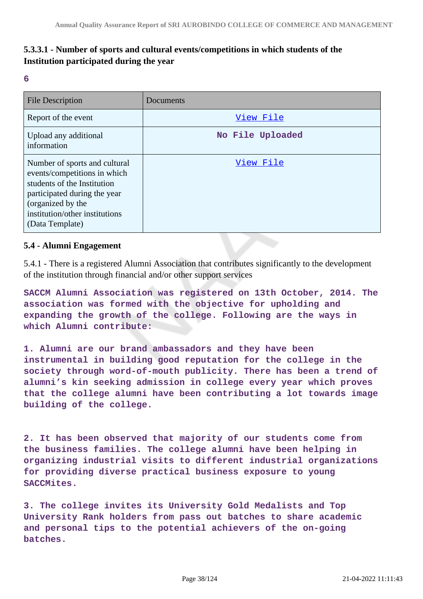## **5.3.3.1 - Number of sports and cultural events/competitions in which students of the Institution participated during the year**

**6**

| <b>File Description</b>                                                                                                                                                                                | Documents        |
|--------------------------------------------------------------------------------------------------------------------------------------------------------------------------------------------------------|------------------|
| Report of the event                                                                                                                                                                                    | View File        |
| Upload any additional<br>information                                                                                                                                                                   | No File Uploaded |
| Number of sports and cultural<br>events/competitions in which<br>students of the Institution<br>participated during the year<br>(organized by the<br>institution/other institutions<br>(Data Template) | View File        |

## **5.4 - Alumni Engagement**

5.4.1 - There is a registered Alumni Association that contributes significantly to the development of the institution through financial and/or other support services

**SACCM Alumni Association was registered on 13th October, 2014. The association was formed with the objective for upholding and expanding the growth of the college. Following are the ways in which Alumni contribute:**

**1. Alumni are our brand ambassadors and they have been instrumental in building good reputation for the college in the society through word-of-mouth publicity. There has been a trend of alumni's kin seeking admission in college every year which proves that the college alumni have been contributing a lot towards image building of the college.**

**2. It has been observed that majority of our students come from the business families. The college alumni have been helping in organizing industrial visits to different industrial organizations for providing diverse practical business exposure to young SACCMites.**

**3. The college invites its University Gold Medalists and Top University Rank holders from pass out batches to share academic and personal tips to the potential achievers of the on-going batches.**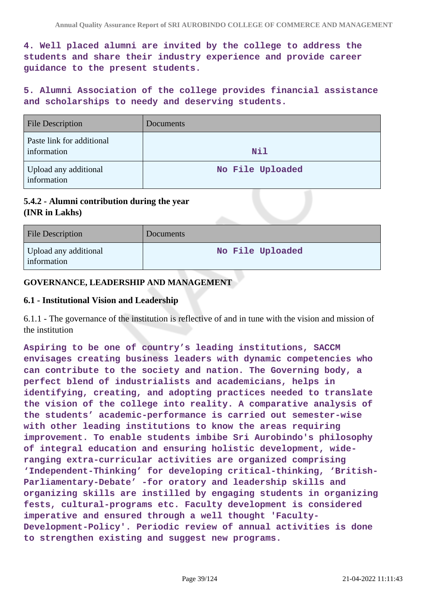**4. Well placed alumni are invited by the college to address the students and share their industry experience and provide career guidance to the present students.**

**5. Alumni Association of the college provides financial assistance and scholarships to needy and deserving students.**

| <b>File Description</b>                  | Documents        |
|------------------------------------------|------------------|
| Paste link for additional<br>information | <b>Nil</b>       |
| Upload any additional<br>information     | No File Uploaded |

## **5.4.2 - Alumni contribution during the year (INR in Lakhs)**

| <b>File Description</b>              | <b>Documents</b> |
|--------------------------------------|------------------|
| Upload any additional<br>information | No File Uploaded |

## **GOVERNANCE, LEADERSHIP AND MANAGEMENT**

### **6.1 - Institutional Vision and Leadership**

6.1.1 - The governance of the institution is reflective of and in tune with the vision and mission of the institution

**Aspiring to be one of country's leading institutions, SACCM envisages creating business leaders with dynamic competencies who can contribute to the society and nation. The Governing body, a perfect blend of industrialists and academicians, helps in identifying, creating, and adopting practices needed to translate the vision of the college into reality. A comparative analysis of the students' academic-performance is carried out semester-wise with other leading institutions to know the areas requiring improvement. To enable students imbibe Sri Aurobindo's philosophy of integral education and ensuring holistic development, wideranging extra-curricular activities are organized comprising 'Independent-Thinking' for developing critical-thinking, 'British-Parliamentary-Debate' -for oratory and leadership skills and organizing skills are instilled by engaging students in organizing fests, cultural-programs etc. Faculty development is considered imperative and ensured through a well thought 'Faculty-Development-Policy'. Periodic review of annual activities is done to strengthen existing and suggest new programs.**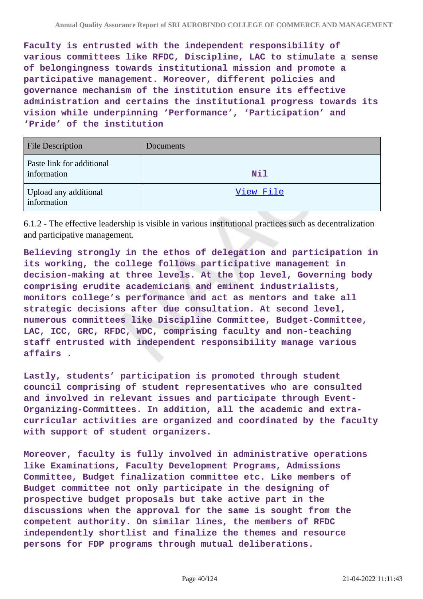**Faculty is entrusted with the independent responsibility of various committees like RFDC, Discipline, LAC to stimulate a sense of belongingness towards institutional mission and promote a participative management. Moreover, different policies and governance mechanism of the institution ensure its effective administration and certains the institutional progress towards its vision while underpinning 'Performance', 'Participation' and 'Pride' of the institution**

| <b>File Description</b>                  | Documents  |
|------------------------------------------|------------|
| Paste link for additional<br>information | <b>Nil</b> |
| Upload any additional<br>information     | View File  |

6.1.2 - The effective leadership is visible in various institutional practices such as decentralization and participative management.

**Believing strongly in the ethos of delegation and participation in its working, the college follows participative management in decision-making at three levels. At the top level, Governing body comprising erudite academicians and eminent industrialists, monitors college's performance and act as mentors and take all strategic decisions after due consultation. At second level, numerous committees like Discipline Committee, Budget-Committee, LAC, ICC, GRC, RFDC, WDC, comprising faculty and non-teaching staff entrusted with independent responsibility manage various affairs .**

**Lastly, students' participation is promoted through student council comprising of student representatives who are consulted and involved in relevant issues and participate through Event-Organizing-Committees. In addition, all the academic and extracurricular activities are organized and coordinated by the faculty with support of student organizers.**

**Moreover, faculty is fully involved in administrative operations like Examinations, Faculty Development Programs, Admissions Committee, Budget finalization committee etc. Like members of Budget committee not only participate in the designing of prospective budget proposals but take active part in the discussions when the approval for the same is sought from the competent authority. On similar lines, the members of RFDC independently shortlist and finalize the themes and resource persons for FDP programs through mutual deliberations.**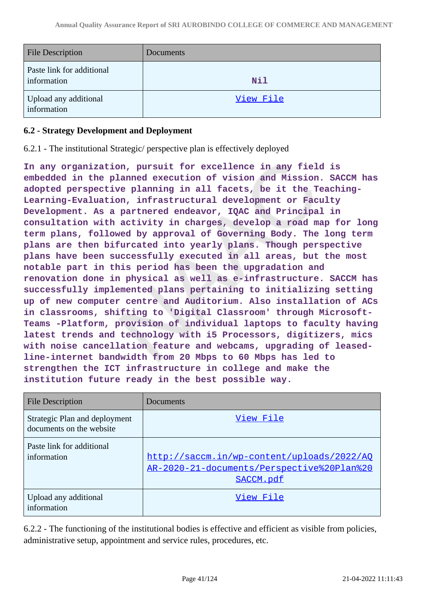| <b>File Description</b>                  | Documents  |
|------------------------------------------|------------|
| Paste link for additional<br>information | <b>Nil</b> |
| Upload any additional<br>information     | View File  |

## **6.2 - Strategy Development and Deployment**

6.2.1 - The institutional Strategic/ perspective plan is effectively deployed

**In any organization, pursuit for excellence in any field is embedded in the planned execution of vision and Mission. SACCM has adopted perspective planning in all facets, be it the Teaching-Learning-Evaluation, infrastructural development or Faculty Development. As a partnered endeavor, IQAC and Principal in consultation with activity in charges, develop a road map for long term plans, followed by approval of Governing Body. The long term plans are then bifurcated into yearly plans. Though perspective plans have been successfully executed in all areas, but the most notable part in this period has been the upgradation and renovation done in physical as well as e-infrastructure. SACCM has successfully implemented plans pertaining to initializing setting up of new computer centre and Auditorium. Also installation of ACs in classrooms, shifting to 'Digital Classroom' through Microsoft-Teams -Platform, provision of individual laptops to faculty having latest trends and technology with i5 Processors, digitizers, mics with noise cancellation feature and webcams, upgrading of leasedline-internet bandwidth from 20 Mbps to 60 Mbps has led to strengthen the ICT infrastructure in college and make the institution future ready in the best possible way.**

| <b>File Description</b>                                   | Documents                                                                                             |
|-----------------------------------------------------------|-------------------------------------------------------------------------------------------------------|
| Strategic Plan and deployment<br>documents on the website | View File                                                                                             |
| Paste link for additional<br>information                  | http://saccm.in/wp-content/uploads/2022/AQ<br>AR-2020-21-documents/Perspective%20Plan%20<br>SACCM.pdf |
| Upload any additional<br>information                      | View File                                                                                             |

6.2.2 - The functioning of the institutional bodies is effective and efficient as visible from policies, administrative setup, appointment and service rules, procedures, etc.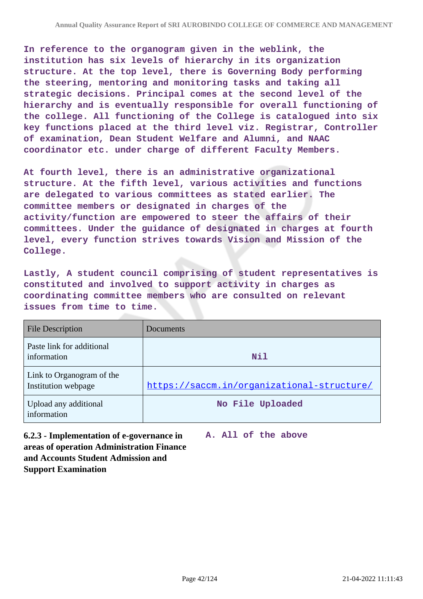**In reference to the organogram given in the weblink, the institution has six levels of hierarchy in its organization structure. At the top level, there is Governing Body performing the steering, mentoring and monitoring tasks and taking all strategic decisions. Principal comes at the second level of the hierarchy and is eventually responsible for overall functioning of the college. All functioning of the College is catalogued into six key functions placed at the third level viz. Registrar, Controller of examination, Dean Student Welfare and Alumni, and NAAC coordinator etc. under charge of different Faculty Members.**

**At fourth level, there is an administrative organizational structure. At the fifth level, various activities and functions are delegated to various committees as stated earlier. The committee members or designated in charges of the activity/function are empowered to steer the affairs of their committees. Under the guidance of designated in charges at fourth level, every function strives towards Vision and Mission of the College.**

**Lastly, A student council comprising of student representatives is constituted and involved to support activity in charges as coordinating committee members who are consulted on relevant issues from time to time.**

| <b>File Description</b>                          | Documents                                  |
|--------------------------------------------------|--------------------------------------------|
| Paste link for additional<br>information         | Nil                                        |
| Link to Organogram of the<br>Institution webpage | https://saccm.in/organizational-structure/ |
| Upload any additional<br>information             | No File Uploaded                           |

**6.2.3 - Implementation of e-governance in areas of operation Administration Finance and Accounts Student Admission and Support Examination**

**A. All of the above**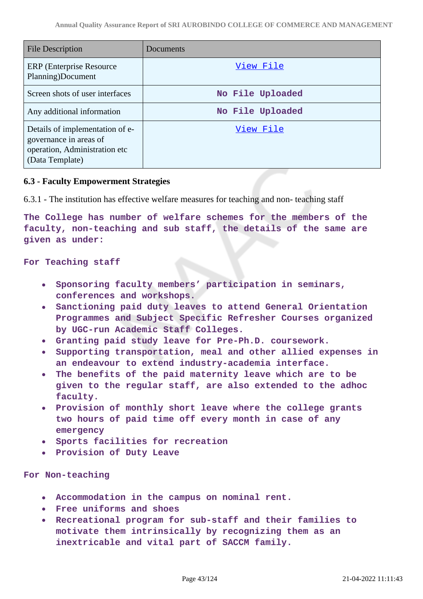| File Description                                                                                              | Documents        |
|---------------------------------------------------------------------------------------------------------------|------------------|
| <b>ERP</b> (Enterprise Resource)<br>Planning)Document                                                         | View File        |
| Screen shots of user interfaces                                                                               | No File Uploaded |
| Any additional information                                                                                    | No File Uploaded |
| Details of implementation of e-<br>governance in areas of<br>operation, Administration etc<br>(Data Template) | View File        |

## **6.3 - Faculty Empowerment Strategies**

6.3.1 - The institution has effective welfare measures for teaching and non- teaching staff

**The College has number of welfare schemes for the members of the faculty, non-teaching and sub staff, the details of the same are given as under:**

#### **For Teaching staff**

- **Sponsoring faculty members' participation in seminars,**  $\bullet$ **conferences and workshops.**
- **Sanctioning paid duty leaves to attend General Orientation Programmes and Subject Specific Refresher Courses organized by UGC-run Academic Staff Colleges.**
- **Granting paid study leave for Pre-Ph.D. coursework.**
- **Supporting transportation, meal and other allied expenses in an endeavour to extend industry-academia interface.**
- **The benefits of the paid maternity leave which are to be given to the regular staff, are also extended to the adhoc faculty.**
- **Provision of monthly short leave where the college grants two hours of paid time off every month in case of any emergency**
- **Sports facilities for recreation**
- **Provision of Duty Leave**

#### **For Non-teaching**

- **Accommodation in the campus on nominal rent.**
- **Free uniforms and shoes**  $\bullet$
- **Recreational program for sub-staff and their families to motivate them intrinsically by recognizing them as an inextricable and vital part of SACCM family.**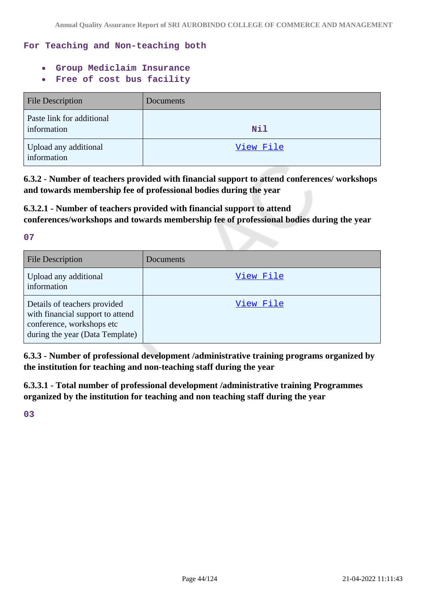## **For Teaching and Non-teaching both**

- **Group Mediclaim Insurance**
- **Free of cost bus facility**  $\bullet$

| <b>File Description</b>                  | Documents  |
|------------------------------------------|------------|
| Paste link for additional<br>information | <b>Nil</b> |
| Upload any additional<br>information     | View File  |

**6.3.2 - Number of teachers provided with financial support to attend conferences/ workshops and towards membership fee of professional bodies during the year**

## **6.3.2.1 - Number of teachers provided with financial support to attend conferences/workshops and towards membership fee of professional bodies during the year**

**07**

| <b>File Description</b>                                                                                                          | Documents |
|----------------------------------------------------------------------------------------------------------------------------------|-----------|
| Upload any additional<br>information                                                                                             | View File |
| Details of teachers provided<br>with financial support to attend<br>conference, workshops etc<br>during the year (Data Template) | View File |

**6.3.3 - Number of professional development /administrative training programs organized by the institution for teaching and non-teaching staff during the year**

**6.3.3.1 - Total number of professional development /administrative training Programmes organized by the institution for teaching and non teaching staff during the year**

**03**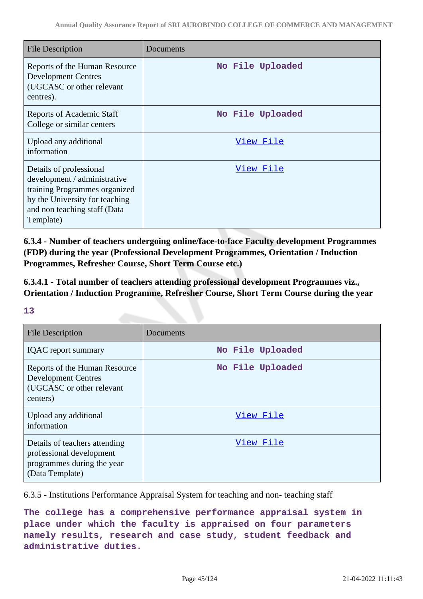| <b>File Description</b>                                                                                                                                                 | Documents        |
|-------------------------------------------------------------------------------------------------------------------------------------------------------------------------|------------------|
| Reports of the Human Resource<br><b>Development Centres</b><br>(UGCASC or other relevant<br>centres).                                                                   | No File Uploaded |
| <b>Reports of Academic Staff</b><br>College or similar centers                                                                                                          | No File Uploaded |
| Upload any additional<br>information                                                                                                                                    | <u>View File</u> |
| Details of professional<br>development / administrative<br>training Programmes organized<br>by the University for teaching<br>and non teaching staff (Data<br>Template) | <u>View File</u> |

**6.3.4 - Number of teachers undergoing online/face-to-face Faculty development Programmes (FDP) during the year (Professional Development Programmes, Orientation / Induction Programmes, Refresher Course, Short Term Course etc.)**

**6.3.4.1 - Total number of teachers attending professional development Programmes viz., Orientation / Induction Programme, Refresher Course, Short Term Course during the year**

### **13**

| <b>File Description</b>                                                                                    | Documents        |
|------------------------------------------------------------------------------------------------------------|------------------|
| <b>IQAC</b> report summary                                                                                 | No File Uploaded |
| Reports of the Human Resource<br><b>Development Centres</b><br>(UGCASC or other relevant<br>centers)       | No File Uploaded |
| Upload any additional<br>information                                                                       | View File        |
| Details of teachers attending<br>professional development<br>programmes during the year<br>(Data Template) | View File        |

6.3.5 - Institutions Performance Appraisal System for teaching and non- teaching staff

**The college has a comprehensive performance appraisal system in place under which the faculty is appraised on four parameters namely results, research and case study, student feedback and administrative duties.**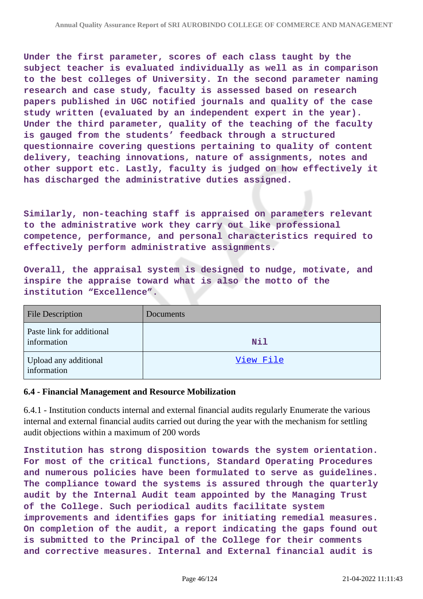**Under the first parameter, scores of each class taught by the subject teacher is evaluated individually as well as in comparison to the best colleges of University. In the second parameter naming research and case study, faculty is assessed based on research papers published in UGC notified journals and quality of the case study written (evaluated by an independent expert in the year). Under the third parameter, quality of the teaching of the faculty is gauged from the students' feedback through a structured questionnaire covering questions pertaining to quality of content delivery, teaching innovations, nature of assignments, notes and other support etc. Lastly, faculty is judged on how effectively it has discharged the administrative duties assigned.**

**Similarly, non-teaching staff is appraised on parameters relevant to the administrative work they carry out like professional competence, performance, and personal characteristics required to effectively perform administrative assignments.**

**Overall, the appraisal system is designed to nudge, motivate, and inspire the appraise toward what is also the motto of the institution "Excellence".**

| <b>File Description</b>                  | Documents  |
|------------------------------------------|------------|
| Paste link for additional<br>information | <b>Nil</b> |
| Upload any additional<br>information     | View File  |

### **6.4 - Financial Management and Resource Mobilization**

6.4.1 - Institution conducts internal and external financial audits regularly Enumerate the various internal and external financial audits carried out during the year with the mechanism for settling audit objections within a maximum of 200 words

**Institution has strong disposition towards the system orientation. For most of the critical functions, Standard Operating Procedures and numerous policies have been formulated to serve as guidelines. The compliance toward the systems is assured through the quarterly audit by the Internal Audit team appointed by the Managing Trust of the College. Such periodical audits facilitate system improvements and identifies gaps for initiating remedial measures. On completion of the audit, a report indicating the gaps found out is submitted to the Principal of the College for their comments and corrective measures. Internal and External financial audit is**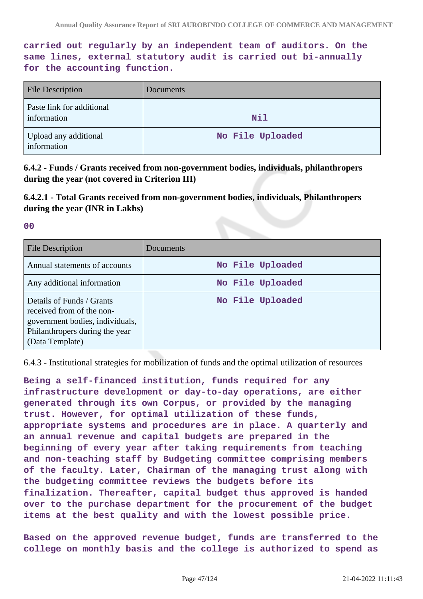**carried out regularly by an independent team of auditors. On the same lines, external statutory audit is carried out bi-annually for the accounting function.**

| <b>File Description</b>                  | Documents        |
|------------------------------------------|------------------|
| Paste link for additional<br>information | Nil              |
| Upload any additional<br>information     | No File Uploaded |

**6.4.2 - Funds / Grants received from non-government bodies, individuals, philanthropers during the year (not covered in Criterion III)**

**6.4.2.1 - Total Grants received from non-government bodies, individuals, Philanthropers during the year (INR in Lakhs)**

**00**

| File Description                                                                                                                               | Documents        |
|------------------------------------------------------------------------------------------------------------------------------------------------|------------------|
| Annual statements of accounts                                                                                                                  | No File Uploaded |
| Any additional information                                                                                                                     | No File Uploaded |
| Details of Funds / Grants<br>received from of the non-<br>government bodies, individuals,<br>Philanthropers during the year<br>(Data Template) | No File Uploaded |

6.4.3 - Institutional strategies for mobilization of funds and the optimal utilization of resources

**Being a self-financed institution, funds required for any infrastructure development or day-to-day operations, are either generated through its own Corpus, or provided by the managing trust. However, for optimal utilization of these funds, appropriate systems and procedures are in place. A quarterly and an annual revenue and capital budgets are prepared in the beginning of every year after taking requirements from teaching and non-teaching staff by Budgeting committee comprising members of the faculty. Later, Chairman of the managing trust along with the budgeting committee reviews the budgets before its finalization. Thereafter, capital budget thus approved is handed over to the purchase department for the procurement of the budget items at the best quality and with the lowest possible price.**

**Based on the approved revenue budget, funds are transferred to the college on monthly basis and the college is authorized to spend as**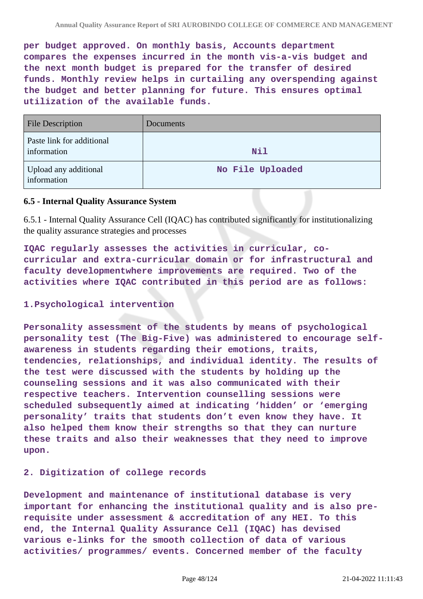**per budget approved. On monthly basis, Accounts department compares the expenses incurred in the month vis-a-vis budget and the next month budget is prepared for the transfer of desired funds. Monthly review helps in curtailing any overspending against the budget and better planning for future. This ensures optimal utilization of the available funds.**

| <b>File Description</b>                  | Documents        |
|------------------------------------------|------------------|
| Paste link for additional<br>information | <b>Nil</b>       |
| Upload any additional<br>information     | No File Uploaded |

## **6.5 - Internal Quality Assurance System**

6.5.1 - Internal Quality Assurance Cell (IQAC) has contributed significantly for institutionalizing the quality assurance strategies and processes

**IQAC regularly assesses the activities in curricular, cocurricular and extra-curricular domain or for infrastructural and faculty developmentwhere improvements are required. Two of the activities where IQAC contributed in this period are as follows:**

## **1.Psychological intervention**

**Personality assessment of the students by means of psychological personality test (The Big-Five) was administered to encourage selfawareness in students regarding their emotions, traits, tendencies, relationships, and individual identity. The results of the test were discussed with the students by holding up the counseling sessions and it was also communicated with their respective teachers. Intervention counselling sessions were scheduled subsequently aimed at indicating 'hidden' or 'emerging personality' traits that students don't even know they have. It also helped them know their strengths so that they can nurture these traits and also their weaknesses that they need to improve upon.**

### **2. Digitization of college records**

**Development and maintenance of institutional database is very important for enhancing the institutional quality and is also prerequisite under assessment & accreditation of any HEI. To this end, the Internal Quality Assurance Cell (IQAC) has devised various e-links for the smooth collection of data of various activities/ programmes/ events. Concerned member of the faculty**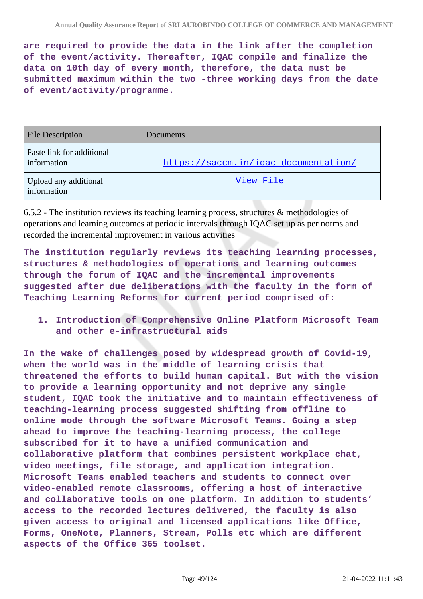**are required to provide the data in the link after the completion of the event/activity. Thereafter, IQAC compile and finalize the data on 10th day of every month, therefore, the data must be submitted maximum within the two -three working days from the date of event/activity/programme.**

| <b>File Description</b>                  | Documents                            |
|------------------------------------------|--------------------------------------|
| Paste link for additional<br>information | https://saccm.in/iqac-documentation/ |
| Upload any additional<br>information     | View File                            |

6.5.2 - The institution reviews its teaching learning process, structures & methodologies of operations and learning outcomes at periodic intervals through IQAC set up as per norms and recorded the incremental improvement in various activities

**The institution regularly reviews its teaching learning processes, structures & methodologies of operations and learning outcomes through the forum of IQAC and the incremental improvements suggested after due deliberations with the faculty in the form of Teaching Learning Reforms for current period comprised of:**

**1. Introduction of Comprehensive Online Platform Microsoft Team and other e-infrastructural aids**

**In the wake of challenges posed by widespread growth of Covid-19, when the world was in the middle of learning crisis that threatened the efforts to build human capital. But with the vision to provide a learning opportunity and not deprive any single student, IQAC took the initiative and to maintain effectiveness of teaching-learning process suggested shifting from offline to online mode through the software Microsoft Teams. Going a step ahead to improve the teaching-learning process, the college subscribed for it to have a unified communication and collaborative platform that combines persistent workplace chat, video meetings, file storage, and application integration. Microsoft Teams enabled teachers and students to connect over video-enabled remote classrooms, offering a host of interactive and collaborative tools on one platform. In addition to students' access to the recorded lectures delivered, the faculty is also given access to original and licensed applications like Office, Forms, OneNote, Planners, Stream, Polls etc which are different aspects of the Office 365 toolset.**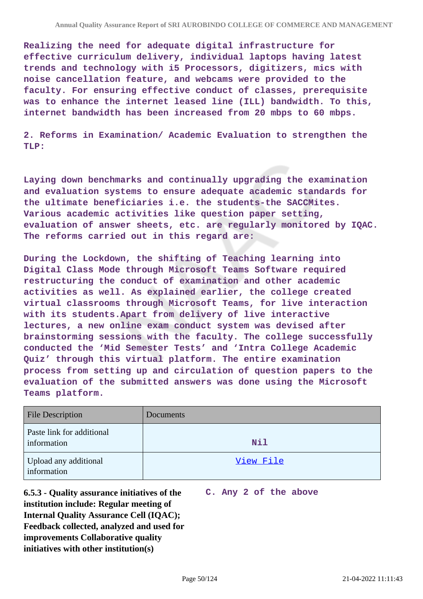**Realizing the need for adequate digital infrastructure for effective curriculum delivery, individual laptops having latest trends and technology with i5 Processors, digitizers, mics with noise cancellation feature, and webcams were provided to the faculty. For ensuring effective conduct of classes, prerequisite was to enhance the internet leased line (ILL) bandwidth. To this, internet bandwidth has been increased from 20 mbps to 60 mbps.**

**2. Reforms in Examination/ Academic Evaluation to strengthen the TLP:**

**Laying down benchmarks and continually upgrading the examination and evaluation systems to ensure adequate academic standards for the ultimate beneficiaries i.e. the students-the SACCMites. Various academic activities like question paper setting, evaluation of answer sheets, etc. are regularly monitored by IQAC. The reforms carried out in this regard are:**

**During the Lockdown, the shifting of Teaching learning into Digital Class Mode through Microsoft Teams Software required restructuring the conduct of examination and other academic activities as well. As explained earlier, the college created virtual classrooms through Microsoft Teams, for live interaction with its students.Apart from delivery of live interactive lectures, a new online exam conduct system was devised after brainstorming sessions with the faculty. The college successfully conducted the 'Mid Semester Tests' and 'Intra College Academic Quiz' through this virtual platform. The entire examination process from setting up and circulation of question papers to the evaluation of the submitted answers was done using the Microsoft Teams platform.**

| <b>File Description</b>                  | Documents  |
|------------------------------------------|------------|
| Paste link for additional<br>information | <b>Nil</b> |
| Upload any additional<br>information     | View File  |

**6.5.3 - Quality assurance initiatives of the institution include: Regular meeting of Internal Quality Assurance Cell (IQAC); Feedback collected, analyzed and used for improvements Collaborative quality initiatives with other institution(s)**

**C. Any 2 of the above**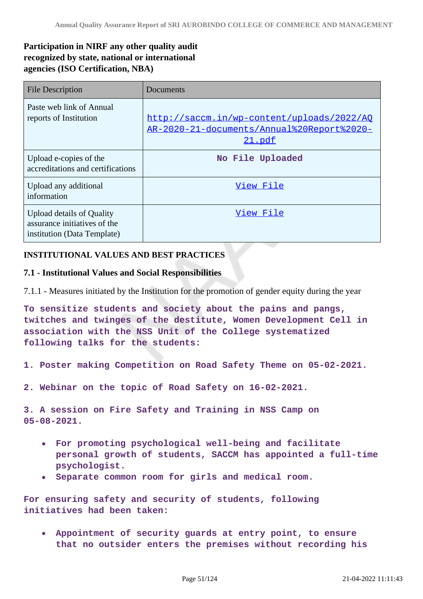## **Participation in NIRF any other quality audit recognized by state, national or international agencies (ISO Certification, NBA)**

| <b>File Description</b>                                                                         | Documents                                                                                          |
|-------------------------------------------------------------------------------------------------|----------------------------------------------------------------------------------------------------|
| Paste web link of Annual<br>reports of Institution                                              | http://saccm.in/wp-content/uploads/2022/AQ<br>AR-2020-21-documents/Annual%20Report%2020-<br>21.pdf |
| Upload e-copies of the<br>accreditations and certifications                                     | No File Uploaded                                                                                   |
| Upload any additional<br>information                                                            | View File                                                                                          |
| <b>Upload details of Quality</b><br>assurance initiatives of the<br>institution (Data Template) | View File                                                                                          |

## **INSTITUTIONAL VALUES AND BEST PRACTICES**

## **7.1 - Institutional Values and Social Responsibilities**

7.1.1 - Measures initiated by the Institution for the promotion of gender equity during the year

**To sensitize students and society about the pains and pangs, twitches and twinges of the destitute, Women Development Cell in association with the NSS Unit of the College systematized following talks for the students:**

- **1. Poster making Competition on Road Safety Theme on 05-02-2021.**
- **2. Webinar on the topic of Road Safety on 16-02-2021.**

**3. A session on Fire Safety and Training in NSS Camp on 05-08-2021.**

- **For promoting psychological well-being and facilitate**  $\bullet$ **personal growth of students, SACCM has appointed a full-time psychologist.**
- **Separate common room for girls and medical room.**

**For ensuring safety and security of students, following initiatives had been taken:**

**Appointment of security guards at entry point, to ensure that no outsider enters the premises without recording his**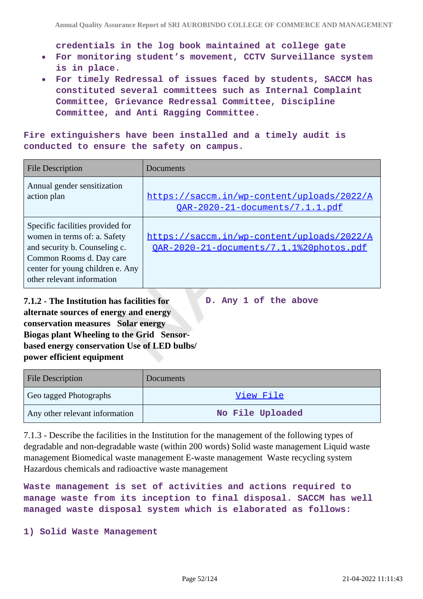**credentials in the log book maintained at college gate**

- **For monitoring student's movement, CCTV Surveillance system is in place.**
- **For timely Redressal of issues faced by students, SACCM has constituted several committees such as Internal Complaint Committee, Grievance Redressal Committee, Discipline Committee, and Anti Ragging Committee.**

**Fire extinguishers have been installed and a timely audit is conducted to ensure the safety on campus.**

| <b>File Description</b>                                                                                                                                                                         | Documents                                                                              |
|-------------------------------------------------------------------------------------------------------------------------------------------------------------------------------------------------|----------------------------------------------------------------------------------------|
| Annual gender sensitization<br>action plan                                                                                                                                                      | https://saccm.in/wp-content/uploads/2022/A<br>OAR-2020-21-documents/7.1.1.pdf          |
| Specific facilities provided for<br>women in terms of: a. Safety<br>and security b. Counseling c.<br>Common Rooms d. Day care<br>center for young children e. Any<br>other relevant information | https://saccm.in/wp-content/uploads/2022/A<br>OAR-2020-21-documents/7.1.1%20photos.pdf |

**D. Any 1 of the above**

**7.1.2 - The Institution has facilities for alternate sources of energy and energy conservation measures Solar energy Biogas plant Wheeling to the Grid Sensorbased energy conservation Use of LED bulbs/ power efficient equipment** 

| <b>File Description</b>        | Documents        |
|--------------------------------|------------------|
| Geo tagged Photographs         | View File        |
| Any other relevant information | No File Uploaded |

7.1.3 - Describe the facilities in the Institution for the management of the following types of degradable and non-degradable waste (within 200 words) Solid waste management Liquid waste management Biomedical waste management E-waste management Waste recycling system Hazardous chemicals and radioactive waste management

**Waste management is set of activities and actions required to manage waste from its inception to final disposal. SACCM has well managed waste disposal system which is elaborated as follows:**

**1) Solid Waste Management**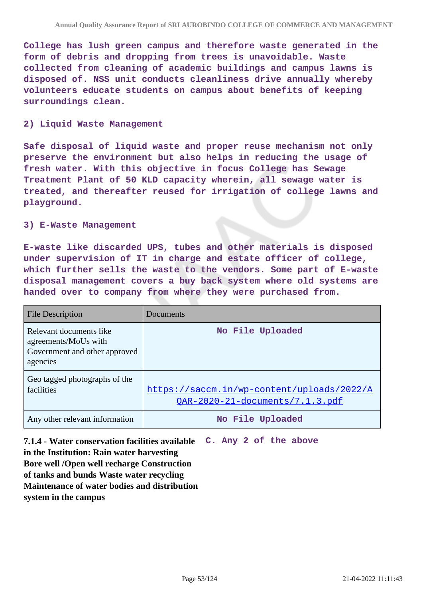**College has lush green campus and therefore waste generated in the form of debris and dropping from trees is unavoidable. Waste collected from cleaning of academic buildings and campus lawns is disposed of. NSS unit conducts cleanliness drive annually whereby volunteers educate students on campus about benefits of keeping surroundings clean.**

### **2) Liquid Waste Management**

**Safe disposal of liquid waste and proper reuse mechanism not only preserve the environment but also helps in reducing the usage of fresh water. With this objective in focus College has Sewage Treatment Plant of 50 KLD capacity wherein, all sewage water is treated, and thereafter reused for irrigation of college lawns and playground.**

#### **3) E-Waste Management**

**E-waste like discarded UPS, tubes and other materials is disposed under supervision of IT in charge and estate officer of college, which further sells the waste to the vendors. Some part of E-waste disposal management covers a buy back system where old systems are handed over to company from where they were purchased from.**

| File Description                                                                             | Documents                                                                     |
|----------------------------------------------------------------------------------------------|-------------------------------------------------------------------------------|
| Relevant documents like<br>agreements/MoUs with<br>Government and other approved<br>agencies | No File Uploaded                                                              |
| Geo tagged photographs of the<br>facilities                                                  | https://saccm.in/wp-content/uploads/2022/A<br>OAR-2020-21-documents/7.1.3.pdf |
| Any other relevant information                                                               | No File Uploaded                                                              |

**7.1.4 - Water conservation facilities available in the Institution: Rain water harvesting Bore well /Open well recharge Construction of tanks and bunds Waste water recycling Maintenance of water bodies and distribution system in the campus C. Any 2 of the above**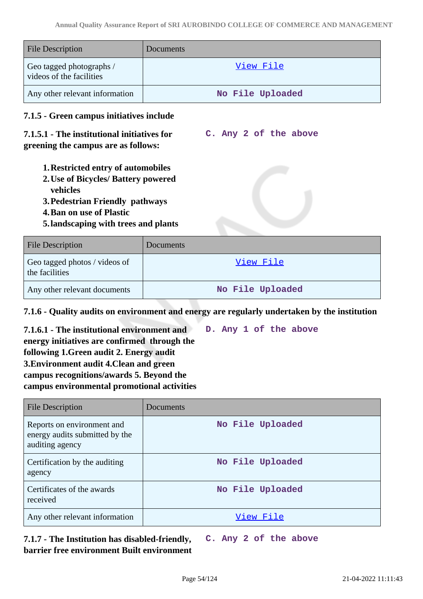| <b>File Description</b>                              | Documents        |
|------------------------------------------------------|------------------|
| Geo tagged photographs /<br>videos of the facilities | <u>View File</u> |
| Any other relevant information                       | No File Uploaded |

## **7.1.5 - Green campus initiatives include**

## **7.1.5.1 - The institutional initiatives for greening the campus are as follows:**

- **C. Any 2 of the above**
- **1.Restricted entry of automobiles**
- **2.Use of Bicycles/ Battery powered vehicles**
- **3.Pedestrian Friendly pathways**
- **4.Ban on use of Plastic**
- **5.landscaping with trees and plants**

| <b>File Description</b>                         | Documents        |
|-------------------------------------------------|------------------|
| Geo tagged photos / videos of<br>the facilities | View File        |
| Any other relevant documents                    | No File Uploaded |

**7.1.6 - Quality audits on environment and energy are regularly undertaken by the institution**

**7.1.6.1 - The institutional environment and energy initiatives are confirmed through the following 1.Green audit 2. Energy audit 3.Environment audit 4.Clean and green campus recognitions/awards 5. Beyond the campus environmental promotional activities D. Any 1 of the above**

| <b>File Description</b>                                                         | Documents        |
|---------------------------------------------------------------------------------|------------------|
| Reports on environment and<br>energy audits submitted by the<br>auditing agency | No File Uploaded |
| Certification by the auditing<br>agency                                         | No File Uploaded |
| Certificates of the awards<br>received                                          | No File Uploaded |
| Any other relevant information                                                  | View File        |

**7.1.7 - The Institution has disabled-friendly, barrier free environment Built environment C. Any 2 of the above**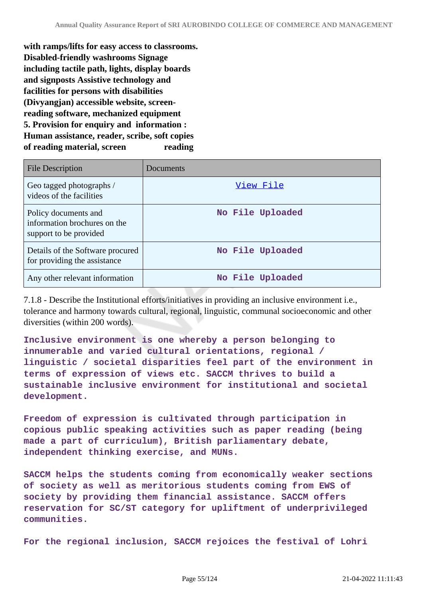**with ramps/lifts for easy access to classrooms. Disabled-friendly washrooms Signage including tactile path, lights, display boards and signposts Assistive technology and facilities for persons with disabilities (Divyangjan) accessible website, screenreading software, mechanized equipment 5. Provision for enquiry and information : Human assistance, reader, scribe, soft copies of reading material, screen reading**

| <b>File Description</b>                                                        | Documents        |
|--------------------------------------------------------------------------------|------------------|
| Geo tagged photographs /<br>videos of the facilities                           | View File        |
| Policy documents and<br>information brochures on the<br>support to be provided | No File Uploaded |
| Details of the Software procured<br>for providing the assistance               | No File Uploaded |
| Any other relevant information                                                 | No File Uploaded |

7.1.8 - Describe the Institutional efforts/initiatives in providing an inclusive environment i.e., tolerance and harmony towards cultural, regional, linguistic, communal socioeconomic and other diversities (within 200 words).

**Inclusive environment is one whereby a person belonging to innumerable and varied cultural orientations, regional / linguistic / societal disparities feel part of the environment in terms of expression of views etc. SACCM thrives to build a sustainable inclusive environment for institutional and societal development.**

**Freedom of expression is cultivated through participation in copious public speaking activities such as paper reading (being made a part of curriculum), British parliamentary debate, independent thinking exercise, and MUNs.**

**SACCM helps the students coming from economically weaker sections of society as well as meritorious students coming from EWS of society by providing them financial assistance. SACCM offers reservation for SC/ST category for upliftment of underprivileged communities.**

**For the regional inclusion, SACCM rejoices the festival of Lohri**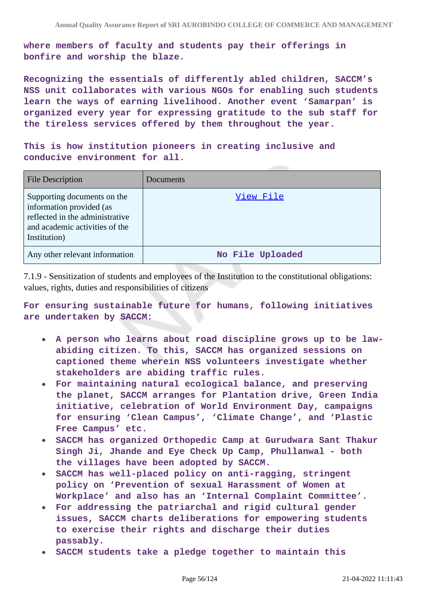**where members of faculty and students pay their offerings in bonfire and worship the blaze.**

**Recognizing the essentials of differently abled children, SACCM's NSS unit collaborates with various NGOs for enabling such students learn the ways of earning livelihood. Another event 'Samarpan' is organized every year for expressing gratitude to the sub staff for the tireless services offered by them throughout the year.**

**This is how institution pioneers in creating inclusive and conducive environment for all.**

| <b>File Description</b>                                                                                                                      | Documents        |
|----------------------------------------------------------------------------------------------------------------------------------------------|------------------|
| Supporting documents on the<br>information provided (as<br>reflected in the administrative<br>and academic activities of the<br>Institution) | View File        |
| Any other relevant information                                                                                                               | No File Uploaded |

7.1.9 - Sensitization of students and employees of the Institution to the constitutional obligations: values, rights, duties and responsibilities of citizens

**For ensuring sustainable future for humans, following initiatives are undertaken by SACCM:**

- **A person who learns about road discipline grows up to be lawabiding citizen. To this, SACCM has organized sessions on captioned theme wherein NSS volunteers investigate whether stakeholders are abiding traffic rules.**
- **For maintaining natural ecological balance, and preserving the planet, SACCM arranges for Plantation drive, Green India initiative, celebration of World Environment Day, campaigns for ensuring 'Clean Campus', 'Climate Change', and 'Plastic Free Campus' etc.**
- **SACCM has organized Orthopedic Camp at Gurudwara Sant Thakur Singh Ji, Jhande and Eye Check Up Camp, Phullanwal - both the villages have been adopted by SACCM.**
- **SACCM has well-placed policy on anti-ragging, stringent policy on 'Prevention of sexual Harassment of Women at Workplace' and also has an 'Internal Complaint Committee'.**
- **For addressing the patriarchal and rigid cultural gender issues, SACCM charts deliberations for empowering students to exercise their rights and discharge their duties passably.**
- **SACCM students take a pledge together to maintain this**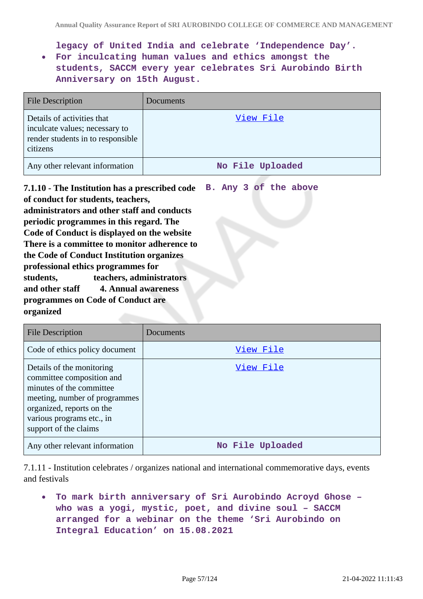**legacy of United India and celebrate 'Independence Day'.**

**For inculcating human values and ethics amongst the students, SACCM every year celebrates Sri Aurobindo Birth Anniversary on 15th August.**

| <b>File Description</b>                                                                                       | Documents        |
|---------------------------------------------------------------------------------------------------------------|------------------|
| Details of activities that<br>inculcate values; necessary to<br>render students in to responsible<br>citizens | View File        |
| Any other relevant information                                                                                | No File Uploaded |

**7.1.10 - The Institution has a prescribed code B. Any 3 of the above of conduct for students, teachers, administrators and other staff and conducts periodic programmes in this regard. The Code of Conduct is displayed on the website There is a committee to monitor adherence to the Code of Conduct Institution organizes professional ethics programmes for students, teachers, administrators and other staff 4. Annual awareness programmes on Code of Conduct are organized**

| <b>File Description</b>                                                                                                                                                                                | Documents        |
|--------------------------------------------------------------------------------------------------------------------------------------------------------------------------------------------------------|------------------|
| Code of ethics policy document                                                                                                                                                                         | View File        |
| Details of the monitoring<br>committee composition and<br>minutes of the committee<br>meeting, number of programmes<br>organized, reports on the<br>various programs etc., in<br>support of the claims | View File        |
| Any other relevant information                                                                                                                                                                         | No File Uploaded |

7.1.11 - Institution celebrates / organizes national and international commemorative days, events and festivals

**To mark birth anniversary of Sri Aurobindo Acroyd Ghose –**  $\bullet$ **who was a yogi, mystic, poet, and divine soul – SACCM arranged for a webinar on the theme 'Sri Aurobindo on Integral Education' on 15.08.2021**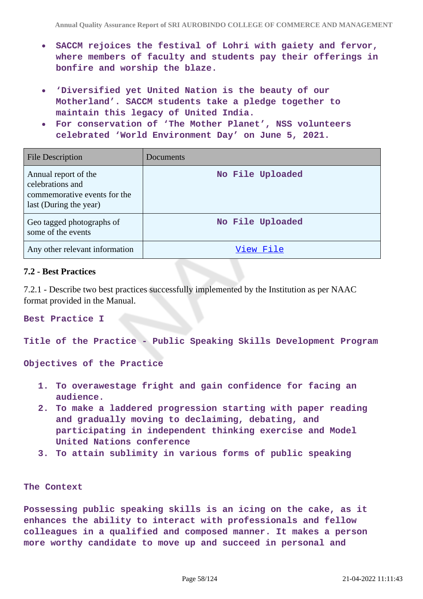- **SACCM rejoices the festival of Lohri with gaiety and fervor, where members of faculty and students pay their offerings in bonfire and worship the blaze.**
- **'Diversified yet United Nation is the beauty of our Motherland'. SACCM students take a pledge together to maintain this legacy of United India.**
- **For conservation of 'The Mother Planet', NSS volunteers celebrated 'World Environment Day' on June 5, 2021.**

| <b>File Description</b>                                                                            | Documents        |
|----------------------------------------------------------------------------------------------------|------------------|
| Annual report of the<br>celebrations and<br>commemorative events for the<br>last (During the year) | No File Uploaded |
| Geo tagged photographs of<br>some of the events                                                    | No File Uploaded |
| Any other relevant information                                                                     | View File        |

#### **7.2 - Best Practices**

7.2.1 - Describe two best practices successfully implemented by the Institution as per NAAC format provided in the Manual.

**Best Practice I**

**Title of the Practice - Public Speaking Skills Development Program**

**Objectives of the Practice**

- **1. To overawestage fright and gain confidence for facing an audience.**
- **2. To make a laddered progression starting with paper reading and gradually moving to declaiming, debating, and participating in independent thinking exercise and Model United Nations conference**
- **3. To attain sublimity in various forms of public speaking**

#### **The Context**

**Possessing public speaking skills is an icing on the cake, as it enhances the ability to interact with professionals and fellow colleagues in a qualified and composed manner. It makes a person more worthy candidate to move up and succeed in personal and**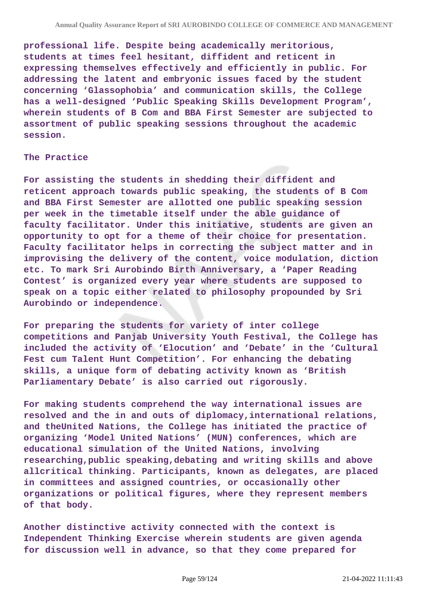**professional life. Despite being academically meritorious, students at times feel hesitant, diffident and reticent in expressing themselves effectively and efficiently in public. For addressing the latent and embryonic issues faced by the student concerning 'Glassophobia' and communication skills, the College has a well-designed 'Public Speaking Skills Development Program', wherein students of B Com and BBA First Semester are subjected to assortment of public speaking sessions throughout the academic session.**

#### **The Practice**

**For assisting the students in shedding their diffident and reticent approach towards public speaking, the students of B Com and BBA First Semester are allotted one public speaking session per week in the timetable itself under the able guidance of faculty facilitator. Under this initiative, students are given an opportunity to opt for a theme of their choice for presentation. Faculty facilitator helps in correcting the subject matter and in improvising the delivery of the content, voice modulation, diction etc. To mark Sri Aurobindo Birth Anniversary, a 'Paper Reading Contest' is organized every year where students are supposed to speak on a topic either related to philosophy propounded by Sri Aurobindo or independence.**

**For preparing the students for variety of inter college competitions and Panjab University Youth Festival, the College has included the activity of 'Elocution' and 'Debate' in the 'Cultural Fest cum Talent Hunt Competition'. For enhancing the debating skills, a unique form of debating activity known as 'British Parliamentary Debate' is also carried out rigorously.**

**For making students comprehend the way international issues are resolved and the in and outs of diplomacy,international relations, and theUnited Nations, the College has initiated the practice of organizing 'Model United Nations' (MUN) conferences, which are educational simulation of the United Nations, involving researching,public speaking,debating and writing skills and above allcritical thinking. Participants, known as delegates, are placed in committees and assigned countries, or occasionally other organizations or political figures, where they represent members of that body.**

**Another distinctive activity connected with the context is Independent Thinking Exercise wherein students are given agenda for discussion well in advance, so that they come prepared for**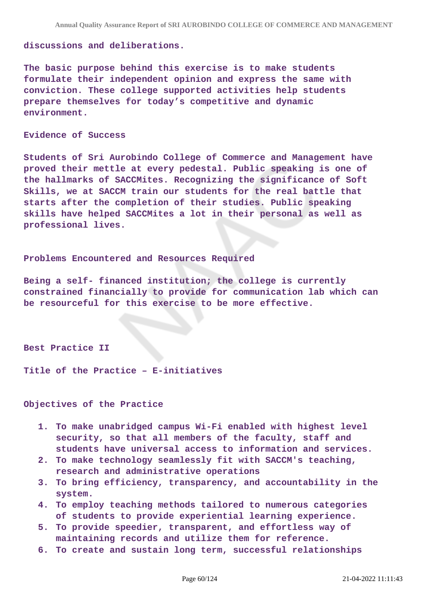#### **discussions and deliberations.**

**The basic purpose behind this exercise is to make students formulate their independent opinion and express the same with conviction. These college supported activities help students prepare themselves for today's competitive and dynamic environment.**

#### **Evidence of Success**

**Students of Sri Aurobindo College of Commerce and Management have proved their mettle at every pedestal. Public speaking is one of the hallmarks of SACCMites. Recognizing the significance of Soft Skills, we at SACCM train our students for the real battle that starts after the completion of their studies. Public speaking skills have helped SACCMites a lot in their personal as well as professional lives.**

#### **Problems Encountered and Resources Required**

**Being a self- financed institution; the college is currently constrained financially to provide for communication lab which can be resourceful for this exercise to be more effective.**

#### **Best Practice II**

**Title of the Practice – E-initiatives**

### **Objectives of the Practice**

- **1. To make unabridged campus Wi-Fi enabled with highest level security, so that all members of the faculty, staff and students have universal access to information and services.**
- **2. To make technology seamlessly fit with SACCM's teaching, research and administrative operations**
- **3. To bring efficiency, transparency, and accountability in the system.**
- **4. To employ teaching methods tailored to numerous categories of students to provide experiential learning experience.**
- **5. To provide speedier, transparent, and effortless way of maintaining records and utilize them for reference.**
- **6. To create and sustain long term, successful relationships**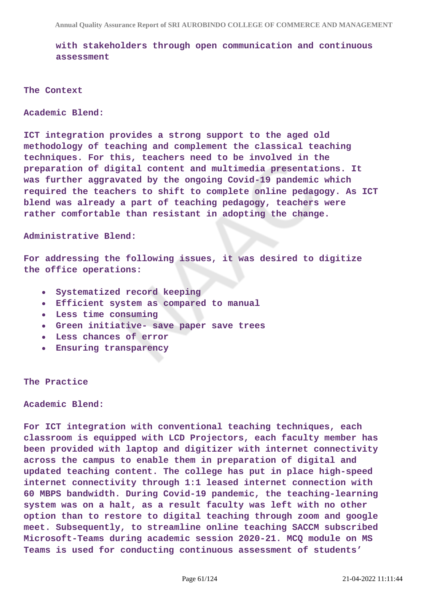**with stakeholders through open communication and continuous assessment**

**The Context**

**Academic Blend:**

**ICT integration provides a strong support to the aged old methodology of teaching and complement the classical teaching techniques. For this, teachers need to be involved in the preparation of digital content and multimedia presentations. It was further aggravated by the ongoing Covid-19 pandemic which required the teachers to shift to complete online pedagogy. As ICT blend was already a part of teaching pedagogy, teachers were rather comfortable than resistant in adopting the change.**

**Administrative Blend:**

**For addressing the following issues, it was desired to digitize the office operations:**

- **Systematized record keeping**
- **Efficient system as compared to manual**
- **Less time consuming**
- **Green initiative- save paper save trees**
- **Less chances of error**
- **Ensuring transparency**

#### **The Practice**

**Academic Blend:**

**For ICT integration with conventional teaching techniques, each classroom is equipped with LCD Projectors, each faculty member has been provided with laptop and digitizer with internet connectivity across the campus to enable them in preparation of digital and updated teaching content. The college has put in place high-speed internet connectivity through 1:1 leased internet connection with 60 MBPS bandwidth. During Covid-19 pandemic, the teaching-learning system was on a halt, as a result faculty was left with no other option than to restore to digital teaching through zoom and google meet. Subsequently, to streamline online teaching SACCM subscribed Microsoft-Teams during academic session 2020-21. MCQ module on MS Teams is used for conducting continuous assessment of students'**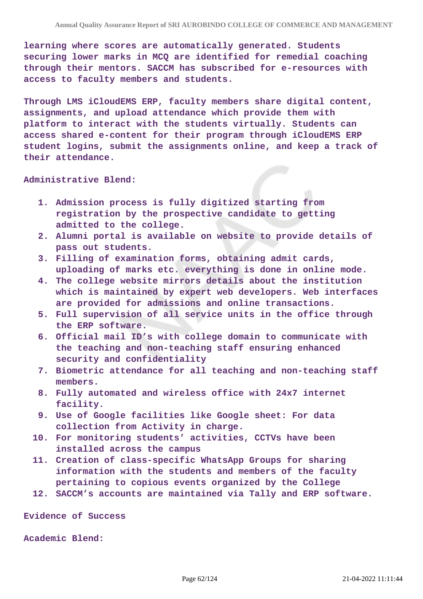**learning where scores are automatically generated. Students securing lower marks in MCQ are identified for remedial coaching through their mentors. SACCM has subscribed for e-resources with access to faculty members and students.**

**Through LMS iCloudEMS ERP, faculty members share digital content, assignments, and upload attendance which provide them with platform to interact with the students virtually. Students can access shared e-content for their program through iCloudEMS ERP student logins, submit the assignments online, and keep a track of their attendance.**

**Administrative Blend:**

- **1. Admission process is fully digitized starting from registration by the prospective candidate to getting admitted to the college.**
- **2. Alumni portal is available on website to provide details of pass out students.**
- **3. Filling of examination forms, obtaining admit cards, uploading of marks etc. everything is done in online mode.**
- **4. The college website mirrors details about the institution which is maintained by expert web developers. Web interfaces are provided for admissions and online transactions.**
- **5. Full supervision of all service units in the office through the ERP software.**
- **6. Official mail ID's with college domain to communicate with the teaching and non-teaching staff ensuring enhanced security and confidentiality**
- **7. Biometric attendance for all teaching and non-teaching staff members.**
- **8. Fully automated and wireless office with 24x7 internet facility.**
- **9. Use of Google facilities like Google sheet: For data collection from Activity in charge.**
- **10. For monitoring students' activities, CCTVs have been installed across the campus**
- **11. Creation of class-specific WhatsApp Groups for sharing information with the students and members of the faculty pertaining to copious events organized by the College**
- **12. SACCM's accounts are maintained via Tally and ERP software.**

**Evidence of Success**

**Academic Blend:**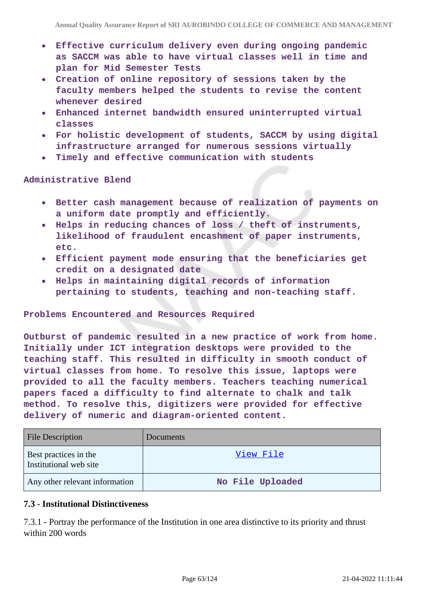- **Effective curriculum delivery even during ongoing pandemic as SACCM was able to have virtual classes well in time and plan for Mid Semester Tests**
- **Creation of online repository of sessions taken by the faculty members helped the students to revise the content whenever desired**
- **Enhanced internet bandwidth ensured uninterrupted virtual classes**
- **For holistic development of students, SACCM by using digital infrastructure arranged for numerous sessions virtually**
- **Timely and effective communication with students**

**Administrative Blend**

- **Better cash management because of realization of payments on a uniform date promptly and efficiently.**
- **Helps in reducing chances of loss / theft of instruments,**  $\bullet$ **likelihood of fraudulent encashment of paper instruments, etc.**
- **Efficient payment mode ensuring that the beneficiaries get credit on a designated date**
- **Helps in maintaining digital records of information pertaining to students, teaching and non-teaching staff.**

#### **Problems Encountered and Resources Required**

**Outburst of pandemic resulted in a new practice of work from home. Initially under ICT integration desktops were provided to the teaching staff. This resulted in difficulty in smooth conduct of virtual classes from home. To resolve this issue, laptops were provided to all the faculty members. Teachers teaching numerical papers faced a difficulty to find alternate to chalk and talk method. To resolve this, digitizers were provided for effective delivery of numeric and diagram-oriented content.**

| <b>File Description</b>                         | Documents        |
|-------------------------------------------------|------------------|
| Best practices in the<br>Institutional web site | View File        |
| Any other relevant information                  | No File Uploaded |

## **7.3 - Institutional Distinctiveness**

7.3.1 - Portray the performance of the Institution in one area distinctive to its priority and thrust within 200 words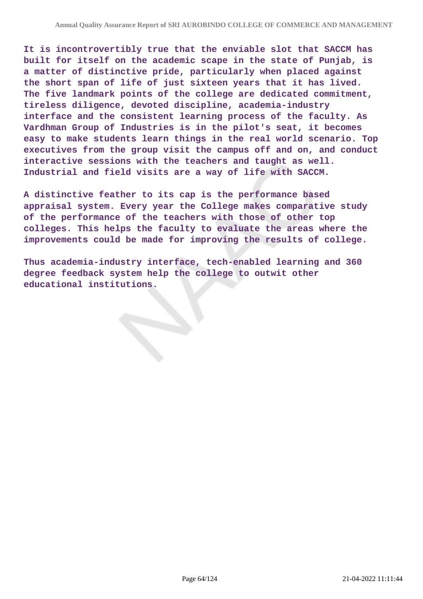**It is incontrovertibly true that the enviable slot that SACCM has built for itself on the academic scape in the state of Punjab, is a matter of distinctive pride, particularly when placed against the short span of life of just sixteen years that it has lived. The five landmark points of the college are dedicated commitment, tireless diligence, devoted discipline, academia-industry interface and the consistent learning process of the faculty. As Vardhman Group of Industries is in the pilot's seat, it becomes easy to make students learn things in the real world scenario. Top executives from the group visit the campus off and on, and conduct interactive sessions with the teachers and taught as well. Industrial and field visits are a way of life with SACCM.**

**A distinctive feather to its cap is the performance based appraisal system. Every year the College makes comparative study of the performance of the teachers with those of other top colleges. This helps the faculty to evaluate the areas where the improvements could be made for improving the results of college.**

**Thus academia-industry interface, tech-enabled learning and 360 degree feedback system help the college to outwit other educational institutions.**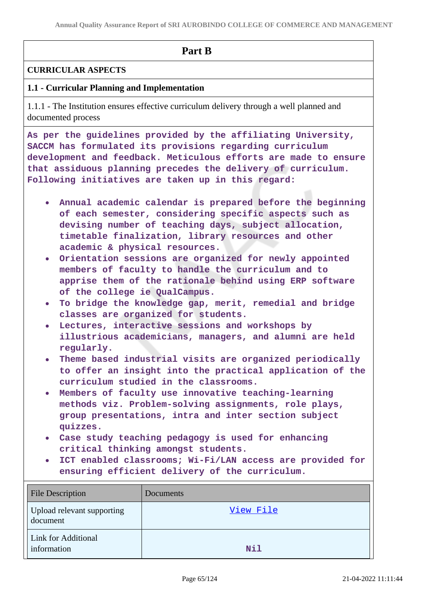## **Part B**

## **CURRICULAR ASPECTS**

## **1.1 - Curricular Planning and Implementation**

1.1.1 - The Institution ensures effective curriculum delivery through a well planned and documented process

**As per the guidelines provided by the affiliating University, SACCM has formulated its provisions regarding curriculum development and feedback. Meticulous efforts are made to ensure that assiduous planning precedes the delivery of curriculum. Following initiatives are taken up in this regard:**

- **Annual academic calendar is prepared before the beginning of each semester, considering specific aspects such as devising number of teaching days, subject allocation, timetable finalization, library resources and other academic & physical resources.**
- **Orientation sessions are organized for newly appointed members of faculty to handle the curriculum and to apprise them of the rationale behind using ERP software of the college ie QualCampus.**
- **To bridge the knowledge gap, merit, remedial and bridge classes are organized for students.**
- **Lectures, interactive sessions and workshops by illustrious academicians, managers, and alumni are held regularly.**
- **Theme based industrial visits are organized periodically to offer an insight into the practical application of the curriculum studied in the classrooms.**
- **Members of faculty use innovative teaching-learning methods viz. Problem-solving assignments, role plays, group presentations, intra and inter section subject quizzes.**
- **Case study teaching pedagogy is used for enhancing critical thinking amongst students.**
- **ICT enabled classrooms; Wi-Fi/LAN access are provided for ensuring efficient delivery of the curriculum.**

| <b>File Description</b>                | Documents |
|----------------------------------------|-----------|
| Upload relevant supporting<br>document | View File |
| Link for Additional<br>information     | Nil       |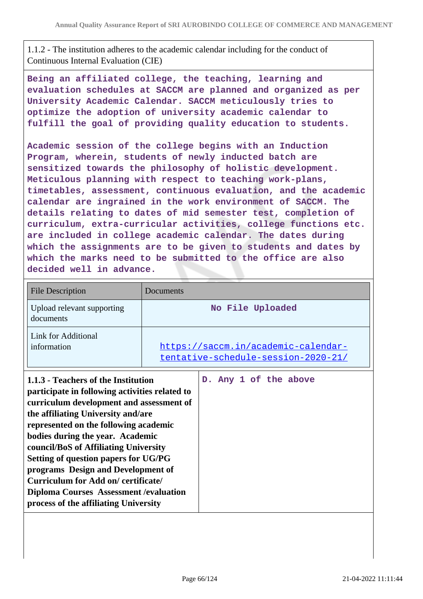1.1.2 - The institution adheres to the academic calendar including for the conduct of Continuous Internal Evaluation (CIE)

**Being an affiliated college, the teaching, learning and evaluation schedules at SACCM are planned and organized as per University Academic Calendar. SACCM meticulously tries to optimize the adoption of university academic calendar to fulfill the goal of providing quality education to students.**

**Academic session of the college begins with an Induction Program, wherein, students of newly inducted batch are sensitized towards the philosophy of holistic development. Meticulous planning with respect to teaching work-plans, timetables, assessment, continuous evaluation, and the academic calendar are ingrained in the work environment of SACCM. The details relating to dates of mid semester test, completion of curriculum, extra-curricular activities, college functions etc. are included in college academic calendar. The dates during which the assignments are to be given to students and dates by which the marks need to be submitted to the office are also decided well in advance.**

| <b>File Description</b>                                                                                                                                                                                                                                                                                                                                                                                                                                                                                      | Documents                                                                  |
|--------------------------------------------------------------------------------------------------------------------------------------------------------------------------------------------------------------------------------------------------------------------------------------------------------------------------------------------------------------------------------------------------------------------------------------------------------------------------------------------------------------|----------------------------------------------------------------------------|
| Upload relevant supporting<br>documents                                                                                                                                                                                                                                                                                                                                                                                                                                                                      | No File Uploaded                                                           |
| Link for Additional<br>information                                                                                                                                                                                                                                                                                                                                                                                                                                                                           | https://saccm.in/academic-calendar-<br>tentative-schedule-session-2020-21/ |
| 1.1.3 - Teachers of the Institution<br>participate in following activities related to<br>curriculum development and assessment of<br>the affiliating University and/are<br>represented on the following academic<br>bodies during the year. Academic<br>council/BoS of Affiliating University<br>Setting of question papers for UG/PG<br>programs Design and Development of<br>Curriculum for Add on/certificate/<br><b>Diploma Courses Assessment / evaluation</b><br>process of the affiliating University | D. Any 1 of the above                                                      |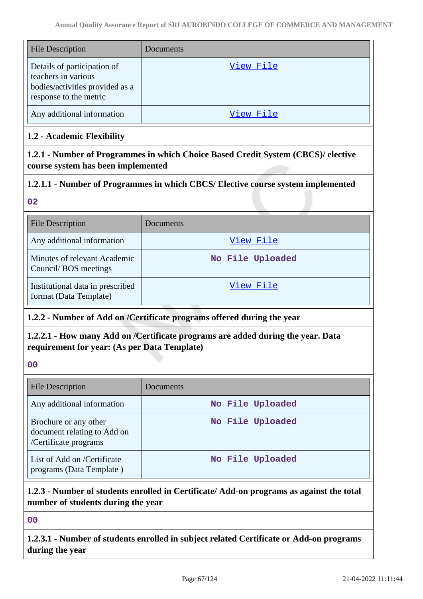| <b>File Description</b>                                                                                         | Documents |
|-----------------------------------------------------------------------------------------------------------------|-----------|
| Details of participation of<br>teachers in various<br>bodies/activities provided as a<br>response to the metric | View File |
| Any additional information                                                                                      | View File |

## **1.2 - Academic Flexibility**

**1.2.1 - Number of Programmes in which Choice Based Credit System (CBCS)/ elective course system has been implemented**

## **1.2.1.1 - Number of Programmes in which CBCS/ Elective course system implemented**

## **02**

| <b>File Description</b>                                    | Documents        |
|------------------------------------------------------------|------------------|
| Any additional information                                 | View File        |
| Minutes of relevant Academic<br>Council/BOS meetings       | No File Uploaded |
| Institutional data in prescribed<br>format (Data Template) | View File        |

## **1.2.2 - Number of Add on /Certificate programs offered during the year**

## **1.2.2.1 - How many Add on /Certificate programs are added during the year. Data requirement for year: (As per Data Template)**

### **00**

| <b>File Description</b>                                                       | Documents        |
|-------------------------------------------------------------------------------|------------------|
| Any additional information                                                    | No File Uploaded |
| Brochure or any other<br>document relating to Add on<br>/Certificate programs | No File Uploaded |
| List of Add on /Certificate<br>programs (Data Template)                       | No File Uploaded |

## **1.2.3 - Number of students enrolled in Certificate/ Add-on programs as against the total number of students during the year**

## **00**

**1.2.3.1 - Number of students enrolled in subject related Certificate or Add-on programs during the year**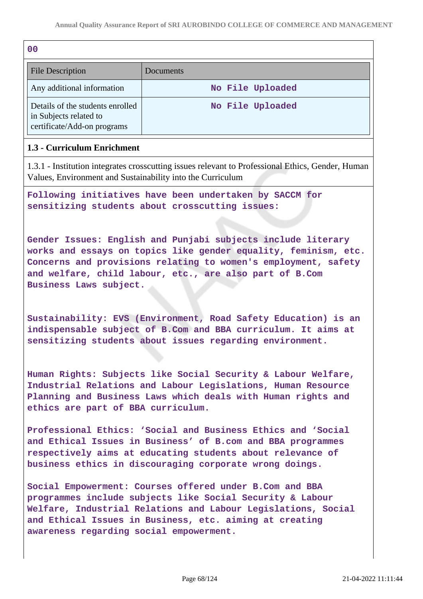| 0 <sub>0</sub>                                                                            |                  |
|-------------------------------------------------------------------------------------------|------------------|
| <b>File Description</b>                                                                   | Documents        |
| Any additional information                                                                | No File Uploaded |
| Details of the students enrolled<br>in Subjects related to<br>certificate/Add-on programs | No File Uploaded |

### **1.3 - Curriculum Enrichment**

1.3.1 - Institution integrates crosscutting issues relevant to Professional Ethics, Gender, Human Values, Environment and Sustainability into the Curriculum

**Following initiatives have been undertaken by SACCM for sensitizing students about crosscutting issues:**

**Gender Issues: English and Punjabi subjects include literary works and essays on topics like gender equality, feminism, etc. Concerns and provisions relating to women's employment, safety and welfare, child labour, etc., are also part of B.Com Business Laws subject.**

**Sustainability: EVS (Environment, Road Safety Education) is an indispensable subject of B.Com and BBA curriculum. It aims at sensitizing students about issues regarding environment.**

**Human Rights: Subjects like Social Security & Labour Welfare, Industrial Relations and Labour Legislations, Human Resource Planning and Business Laws which deals with Human rights and ethics are part of BBA curriculum.**

**Professional Ethics: 'Social and Business Ethics and 'Social and Ethical Issues in Business' of B.com and BBA programmes respectively aims at educating students about relevance of business ethics in discouraging corporate wrong doings.**

**Social Empowerment: Courses offered under B.Com and BBA programmes include subjects like Social Security & Labour Welfare, Industrial Relations and Labour Legislations, Social and Ethical Issues in Business, etc. aiming at creating awareness regarding social empowerment.**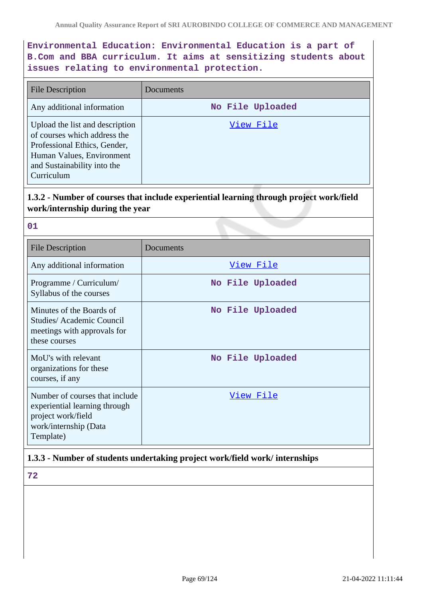## **Environmental Education: Environmental Education is a part of B.Com and BBA curriculum. It aims at sensitizing students about issues relating to environmental protection.**

| <b>File Description</b>                                                                                                                                                   | Documents        |
|---------------------------------------------------------------------------------------------------------------------------------------------------------------------------|------------------|
| Any additional information                                                                                                                                                | No File Uploaded |
| Upload the list and description<br>of courses which address the<br>Professional Ethics, Gender,<br>Human Values, Environment<br>and Sustainability into the<br>Curriculum | View File        |

## **1.3.2 - Number of courses that include experiential learning through project work/field work/internship during the year**

|          | . . |
|----------|-----|
| M.<br>۰. |     |

| <b>File Description</b>                                                                                                     | Documents        |
|-----------------------------------------------------------------------------------------------------------------------------|------------------|
| Any additional information                                                                                                  | View File        |
| Programme / Curriculum/<br>Syllabus of the courses                                                                          | No File Uploaded |
| Minutes of the Boards of<br><b>Studies/Academic Council</b><br>meetings with approvals for<br>these courses                 | No File Uploaded |
| MoU's with relevant<br>organizations for these<br>courses, if any                                                           | No File Uploaded |
| Number of courses that include<br>experiential learning through<br>project work/field<br>work/internship (Data<br>Template) | View File        |

## **1.3.3 - Number of students undertaking project work/field work/ internships**

**72**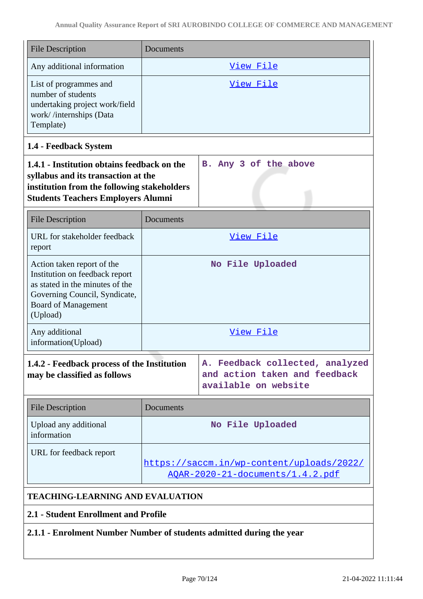| <b>File Description</b>                                                                                                                                                        | Documents                                                                             |                                                                                          |
|--------------------------------------------------------------------------------------------------------------------------------------------------------------------------------|---------------------------------------------------------------------------------------|------------------------------------------------------------------------------------------|
| Any additional information                                                                                                                                                     |                                                                                       | View File                                                                                |
| List of programmes and<br>number of students<br>undertaking project work/field<br>work//internships (Data<br>Template)                                                         |                                                                                       | <u>View File</u>                                                                         |
| 1.4 - Feedback System                                                                                                                                                          |                                                                                       |                                                                                          |
| 1.4.1 - Institution obtains feedback on the<br>syllabus and its transaction at the<br>institution from the following stakeholders<br><b>Students Teachers Employers Alumni</b> |                                                                                       | B. Any 3 of the above                                                                    |
| <b>File Description</b>                                                                                                                                                        | Documents                                                                             |                                                                                          |
| URL for stakeholder feedback<br>report                                                                                                                                         |                                                                                       | View File                                                                                |
| Action taken report of the<br>Institution on feedback report<br>as stated in the minutes of the<br>Governing Council, Syndicate,<br><b>Board of Management</b><br>(Upload)     |                                                                                       | No File Uploaded                                                                         |
| Any additional<br>information(Upload)                                                                                                                                          |                                                                                       | View File                                                                                |
| 1.4.2 - Feedback process of the Institution<br>may be classified as follows                                                                                                    |                                                                                       | A. Feedback collected, analyzed<br>and action taken and feedback<br>available on website |
| <b>File Description</b>                                                                                                                                                        | Documents                                                                             |                                                                                          |
| Upload any additional<br>information                                                                                                                                           |                                                                                       | No File Uploaded                                                                         |
| URL for feedback report                                                                                                                                                        | https://saccm.in/wp-content/uploads/2022/<br><u> AQAR-2020-21-documents/1.4.2.pdf</u> |                                                                                          |
| <b>TEACHING-LEARNING AND EVALUATION</b>                                                                                                                                        |                                                                                       |                                                                                          |
| 2.1 - Student Enrollment and Profile                                                                                                                                           |                                                                                       |                                                                                          |

**2.1.1 - Enrolment Number Number of students admitted during the year**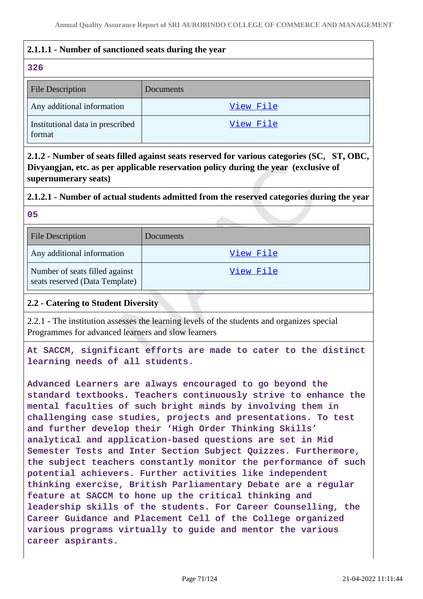## **2.1.1.1 - Number of sanctioned seats during the year**

### **326**

| <b>File Description</b>                    | Documents |
|--------------------------------------------|-----------|
| Any additional information                 | View File |
| Institutional data in prescribed<br>format | View File |

**2.1.2 - Number of seats filled against seats reserved for various categories (SC, ST, OBC, Divyangjan, etc. as per applicable reservation policy during the year (exclusive of supernumerary seats)**

# **2.1.2.1 - Number of actual students admitted from the reserved categories during the year**

**05**

| <b>File Description</b>                                          | Documents |
|------------------------------------------------------------------|-----------|
| Any additional information                                       | View File |
| Number of seats filled against<br>seats reserved (Data Template) | View File |

## **2.2 - Catering to Student Diversity**

2.2.1 - The institution assesses the learning levels of the students and organizes special Programmes for advanced learners and slow learners

**At SACCM, significant efforts are made to cater to the distinct learning needs of all students.**

**Advanced Learners are always encouraged to go beyond the standard textbooks. Teachers continuously strive to enhance the mental faculties of such bright minds by involving them in challenging case studies, projects and presentations. To test and further develop their 'High Order Thinking Skills' analytical and application-based questions are set in Mid Semester Tests and Inter Section Subject Quizzes. Furthermore, the subject teachers constantly monitor the performance of such potential achievers. Further activities like independent thinking exercise, British Parliamentary Debate are a regular feature at SACCM to hone up the critical thinking and leadership skills of the students. For Career Counselling, the Career Guidance and Placement Cell of the College organized various programs virtually to guide and mentor the various career aspirants.**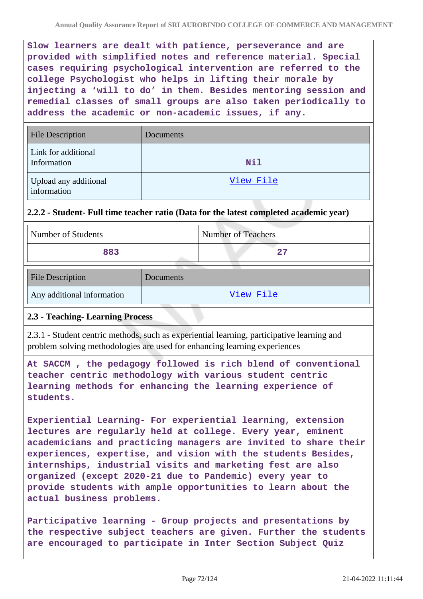**Slow learners are dealt with patience, perseverance and are provided with simplified notes and reference material. Special cases requiring psychological intervention are referred to the college Psychologist who helps in lifting their morale by injecting a 'will to do' in them. Besides mentoring session and remedial classes of small groups are also taken periodically to address the academic or non-academic issues, if any.**

| <b>File Description</b>              | Documents |
|--------------------------------------|-----------|
| Link for additional<br>Information   | Nil       |
| Upload any additional<br>information | View File |

## **2.2.2 - Student- Full time teacher ratio (Data for the latest completed academic year)**

| Number of Students | Number of Teachers |
|--------------------|--------------------|
| 883                | ⌒ヮ                 |

| <b>File Description</b>    | Documents |
|----------------------------|-----------|
| Any additional information | View File |

## **2.3 - Teaching- Learning Process**

2.3.1 - Student centric methods, such as experiential learning, participative learning and problem solving methodologies are used for enhancing learning experiences

**At SACCM , the pedagogy followed is rich blend of conventional teacher centric methodology with various student centric learning methods for enhancing the learning experience of students.**

**Experiential Learning- For experiential learning, extension lectures are regularly held at college. Every year, eminent academicians and practicing managers are invited to share their experiences, expertise, and vision with the students Besides, internships, industrial visits and marketing fest are also organized (except 2020-21 due to Pandemic) every year to provide students with ample opportunities to learn about the actual business problems.**

**Participative learning - Group projects and presentations by the respective subject teachers are given. Further the students are encouraged to participate in Inter Section Subject Quiz**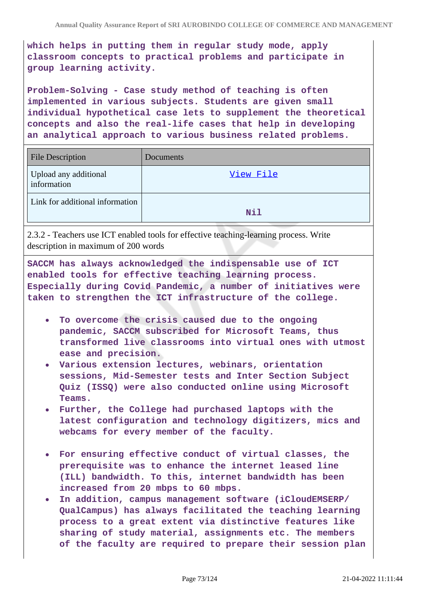**which helps in putting them in regular study mode, apply classroom concepts to practical problems and participate in group learning activity.**

**Problem-Solving - Case study method of teaching is often implemented in various subjects. Students are given small individual hypothetical case lets to supplement the theoretical concepts and also the real-life cases that help in developing an analytical approach to various business related problems.**

| <b>File Description</b>              | Documents |
|--------------------------------------|-----------|
| Upload any additional<br>information | View File |
| Link for additional information      | Nil       |

2.3.2 - Teachers use ICT enabled tools for effective teaching-learning process. Write description in maximum of 200 words

**SACCM has always acknowledged the indispensable use of ICT enabled tools for effective teaching learning process. Especially during Covid Pandemic, a number of initiatives were taken to strengthen the ICT infrastructure of the college.**

- **To overcome the crisis caused due to the ongoing pandemic, SACCM subscribed for Microsoft Teams, thus transformed live classrooms into virtual ones with utmost ease and precision.**
- **Various extension lectures, webinars, orientation sessions, Mid-Semester tests and Inter Section Subject Quiz (ISSQ) were also conducted online using Microsoft Teams.**
- **Further, the College had purchased laptops with the latest configuration and technology digitizers, mics and webcams for every member of the faculty.**
- **For ensuring effective conduct of virtual classes, the prerequisite was to enhance the internet leased line (ILL) bandwidth. To this, internet bandwidth has been increased from 20 mbps to 60 mbps.**
- **In addition, campus management software (iCloudEMSERP/ QualCampus) has always facilitated the teaching learning process to a great extent via distinctive features like sharing of study material, assignments etc. The members of the faculty are required to prepare their session plan**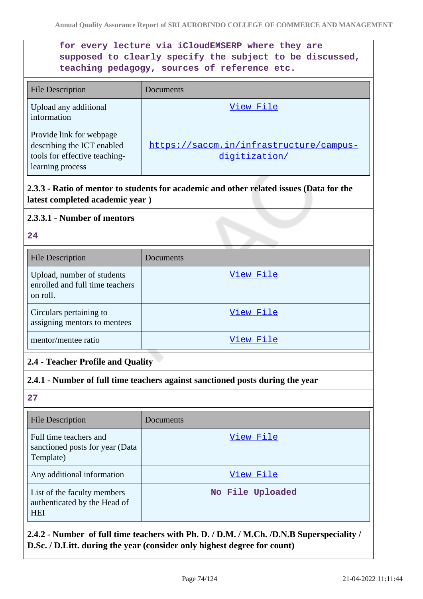# **for every lecture via iCloudEMSERP where they are supposed to clearly specify the subject to be discussed, teaching pedagogy, sources of reference etc.**

| <b>File Description</b>                                                                                     | Documents                                                |
|-------------------------------------------------------------------------------------------------------------|----------------------------------------------------------|
| Upload any additional<br>information                                                                        | View File                                                |
| Provide link for webpage<br>describing the ICT enabled<br>tools for effective teaching-<br>learning process | https://saccm.in/infrastructure/campus-<br>digitization/ |

# **2.3.3 - Ratio of mentor to students for academic and other related issues (Data for the latest completed academic year )**

### **2.3.3.1 - Number of mentors**

## **24**

| <b>File Description</b>                                                   | Documents |
|---------------------------------------------------------------------------|-----------|
| Upload, number of students<br>enrolled and full time teachers<br>on roll. | View File |
| Circulars pertaining to<br>assigning mentors to mentees                   | View File |
| mentor/mentee ratio                                                       | View File |

# **2.4 - Teacher Profile and Quality**

### **2.4.1 - Number of full time teachers against sanctioned posts during the year**

# **27**

| <b>File Description</b>                                                   | Documents        |
|---------------------------------------------------------------------------|------------------|
| Full time teachers and<br>sanctioned posts for year (Data<br>Template)    | View File        |
| Any additional information                                                | View File        |
| List of the faculty members<br>authenticated by the Head of<br><b>HEI</b> | No File Uploaded |

# **2.4.2 - Number of full time teachers with Ph. D. / D.M. / M.Ch. /D.N.B Superspeciality / D.Sc. / D.Litt. during the year (consider only highest degree for count)**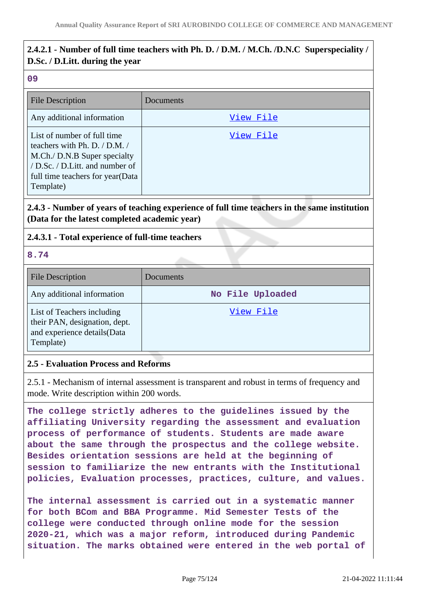# **2.4.2.1 - Number of full time teachers with Ph. D. / D.M. / M.Ch. /D.N.C Superspeciality / D.Sc. / D.Litt. during the year**

#### **09**

| File Description                                                                                                                                                                  | Documents |
|-----------------------------------------------------------------------------------------------------------------------------------------------------------------------------------|-----------|
| Any additional information                                                                                                                                                        | View File |
| List of number of full time<br>teachers with Ph. D. / D.M. /<br>M.Ch./ D.N.B Super specialty<br>/ D.Sc. / D.Litt. and number of<br>full time teachers for year (Data<br>Template) | View File |

# **2.4.3 - Number of years of teaching experience of full time teachers in the same institution (Data for the latest completed academic year)**

## **2.4.3.1 - Total experience of full-time teachers**

**8.74**

| <b>File Description</b>                                                                                  | Documents        |
|----------------------------------------------------------------------------------------------------------|------------------|
| Any additional information                                                                               | No File Uploaded |
| List of Teachers including<br>their PAN, designation, dept.<br>and experience details (Data<br>Template) | View File        |

### **2.5 - Evaluation Process and Reforms**

2.5.1 - Mechanism of internal assessment is transparent and robust in terms of frequency and mode. Write description within 200 words.

**The college strictly adheres to the guidelines issued by the affiliating University regarding the assessment and evaluation process of performance of students. Students are made aware about the same through the prospectus and the college website. Besides orientation sessions are held at the beginning of session to familiarize the new entrants with the Institutional policies, Evaluation processes, practices, culture, and values.**

**The internal assessment is carried out in a systematic manner for both BCom and BBA Programme. Mid Semester Tests of the college were conducted through online mode for the session 2020-21, which was a major reform, introduced during Pandemic situation. The marks obtained were entered in the web portal of**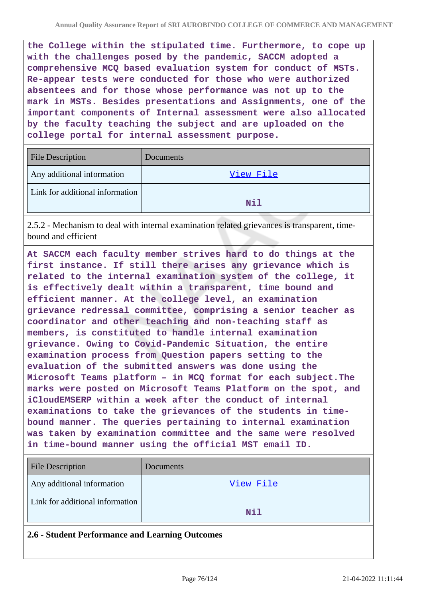**the College within the stipulated time. Furthermore, to cope up with the challenges posed by the pandemic, SACCM adopted a comprehensive MCQ based evaluation system for conduct of MSTs. Re-appear tests were conducted for those who were authorized absentees and for those whose performance was not up to the mark in MSTs. Besides presentations and Assignments, one of the important components of Internal assessment were also allocated by the faculty teaching the subject and are uploaded on the college portal for internal assessment purpose.**

| File Description                | Documents |
|---------------------------------|-----------|
| Any additional information      | View File |
| Link for additional information | Nil       |

2.5.2 - Mechanism to deal with internal examination related grievances is transparent, timebound and efficient

**At SACCM each faculty member strives hard to do things at the first instance. If still there arises any grievance which is related to the internal examination system of the college, it is effectively dealt within a transparent, time bound and efficient manner. At the college level, an examination grievance redressal committee, comprising a senior teacher as coordinator and other teaching and non-teaching staff as members, is constituted to handle internal examination grievance. Owing to Covid-Pandemic Situation, the entire examination process from Question papers setting to the evaluation of the submitted answers was done using the Microsoft Teams platform – in MCQ format for each subject.The marks were posted on Microsoft Teams Platform on the spot, and iCloudEMSERP within a week after the conduct of internal examinations to take the grievances of the students in timebound manner. The queries pertaining to internal examination was taken by examination committee and the same were resolved in time-bound manner using the official MST email ID.**

| <b>File Description</b>         | Documents |
|---------------------------------|-----------|
| Any additional information      | View File |
| Link for additional information | Nil       |
|                                 |           |

#### **2.6 - Student Performance and Learning Outcomes**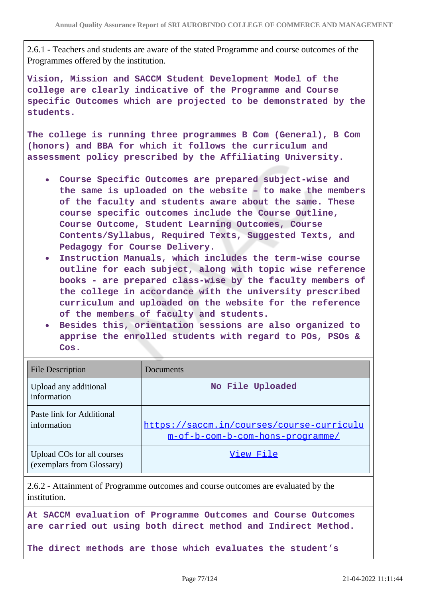2.6.1 - Teachers and students are aware of the stated Programme and course outcomes of the Programmes offered by the institution.

**Vision, Mission and SACCM Student Development Model of the college are clearly indicative of the Programme and Course specific Outcomes which are projected to be demonstrated by the students.**

**The college is running three programmes B Com (General), B Com (honors) and BBA for which it follows the curriculum and assessment policy prescribed by the Affiliating University.**

- **Course Specific Outcomes are prepared subject-wise and the same is uploaded on the website – to make the members of the faculty and students aware about the same. These course specific outcomes include the Course Outline, Course Outcome, Student Learning Outcomes, Course Contents/Syllabus, Required Texts, Suggested Texts, and Pedagogy for Course Delivery.**
- **Instruction Manuals, which includes the term-wise course outline for each subject, along with topic wise reference books - are prepared class-wise by the faculty members of the college in accordance with the university prescribed curriculum and uploaded on the website for the reference of the members of faculty and students.**
- **Besides this, orientation sessions are also organized to apprise the enrolled students with regard to POs, PSOs & Cos.**

| <b>File Description</b>                                 | Documents                                                                     |
|---------------------------------------------------------|-------------------------------------------------------------------------------|
| Upload any additional<br>information                    | No File Uploaded                                                              |
| Paste link for Additional<br>information                | https://saccm.in/courses/course-curriculu<br>m-of-b-com-b-com-hons-programme/ |
| Upload COs for all courses<br>(exemplars from Glossary) | View File                                                                     |

2.6.2 - Attainment of Programme outcomes and course outcomes are evaluated by the institution.

**At SACCM evaluation of Programme Outcomes and Course Outcomes are carried out using both direct method and Indirect Method.**

**The direct methods are those which evaluates the student's**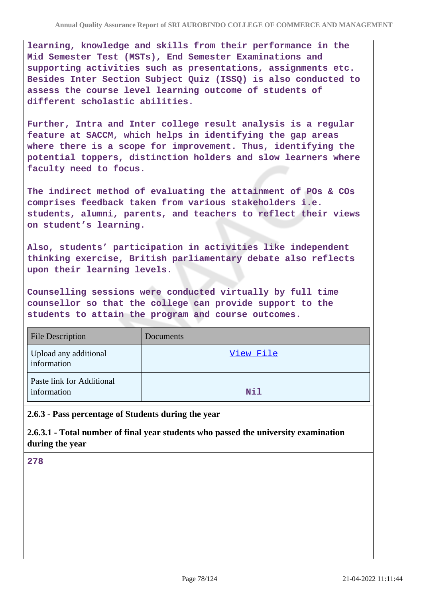**learning, knowledge and skills from their performance in the Mid Semester Test (MSTs), End Semester Examinations and supporting activities such as presentations, assignments etc. Besides Inter Section Subject Quiz (ISSQ) is also conducted to assess the course level learning outcome of students of different scholastic abilities.**

**Further, Intra and Inter college result analysis is a regular feature at SACCM, which helps in identifying the gap areas where there is a scope for improvement. Thus, identifying the potential toppers, distinction holders and slow learners where faculty need to focus.**

**The indirect method of evaluating the attainment of POs & COs comprises feedback taken from various stakeholders i.e. students, alumni, parents, and teachers to reflect their views on student's learning.**

**Also, students' participation in activities like independent thinking exercise, British parliamentary debate also reflects upon their learning levels.**

**Counselling sessions were conducted virtually by full time counsellor so that the college can provide support to the students to attain the program and course outcomes.**

| <b>File Description</b>                  | Documents  |
|------------------------------------------|------------|
| Upload any additional<br>information     | View File  |
| Paste link for Additional<br>information | <b>Nil</b> |

**2.6.3 - Pass percentage of Students during the year**

**2.6.3.1 - Total number of final year students who passed the university examination during the year**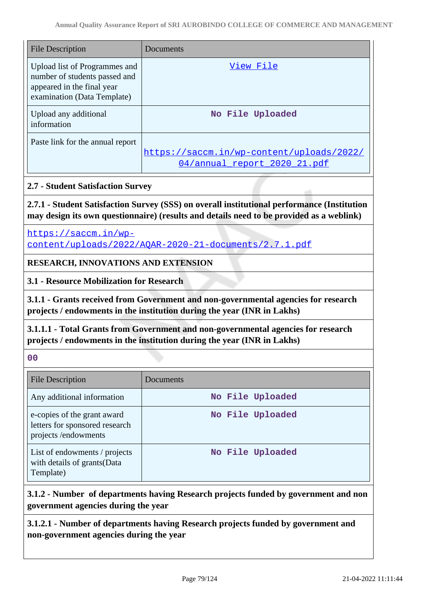| <b>File Description</b>                                                                                                     | Documents                                                                 |
|-----------------------------------------------------------------------------------------------------------------------------|---------------------------------------------------------------------------|
| Upload list of Programmes and<br>number of students passed and<br>appeared in the final year<br>examination (Data Template) | View File                                                                 |
| Upload any additional<br>information                                                                                        | No File Uploaded                                                          |
| Paste link for the annual report                                                                                            | https://saccm.in/wp-content/uploads/2022/<br>04/annual report 2020 21.pdf |

## **2.7 - Student Satisfaction Survey**

**2.7.1 - Student Satisfaction Survey (SSS) on overall institutional performance (Institution may design its own questionnaire) (results and details need to be provided as a weblink)**

[https://saccm.in/wp-](https://saccm.in/wp-content/uploads/2022/AQAR-2020-21-documents/2.7.1.pdf)

[content/uploads/2022/AQAR-2020-21-documents/2.7.1.pdf](https://saccm.in/wp-content/uploads/2022/AQAR-2020-21-documents/2.7.1.pdf)

# **RESEARCH, INNOVATIONS AND EXTENSION**

**3.1 - Resource Mobilization for Research**

**3.1.1 - Grants received from Government and non-governmental agencies for research projects / endowments in the institution during the year (INR in Lakhs)**

**3.1.1.1 - Total Grants from Government and non-governmental agencies for research projects / endowments in the institution during the year (INR in Lakhs)**

**00**

| File Description                                                                     | Documents        |
|--------------------------------------------------------------------------------------|------------------|
| Any additional information                                                           | No File Uploaded |
| e-copies of the grant award<br>letters for sponsored research<br>projects/endowments | No File Uploaded |
| List of endowments / projects<br>with details of grants (Data<br>Template)           | No File Uploaded |

# **3.1.2 - Number of departments having Research projects funded by government and non government agencies during the year**

**3.1.2.1 - Number of departments having Research projects funded by government and non-government agencies during the year**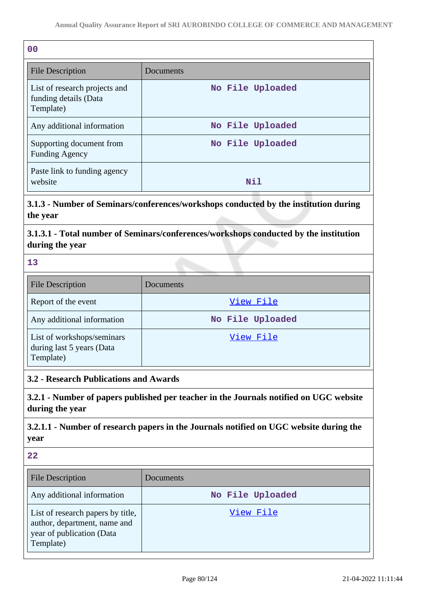| 0 <sup>0</sup>                                                      |                  |
|---------------------------------------------------------------------|------------------|
| <b>File Description</b>                                             | Documents        |
| List of research projects and<br>funding details (Data<br>Template) | No File Uploaded |
| Any additional information                                          | No File Uploaded |
| Supporting document from<br><b>Funding Agency</b>                   | No File Uploaded |
| Paste link to funding agency<br>website                             | Nil              |

**3.1.3 - Number of Seminars/conferences/workshops conducted by the institution during the year**

**3.1.3.1 - Total number of Seminars/conferences/workshops conducted by the institution during the year**

**13**

| <b>File Description</b>                                              | Documents        |
|----------------------------------------------------------------------|------------------|
| Report of the event                                                  | View File        |
| Any additional information                                           | No File Uploaded |
| List of workshops/seminars<br>during last 5 years (Data<br>Template) | View File        |

**3.2 - Research Publications and Awards**

**3.2.1 - Number of papers published per teacher in the Journals notified on UGC website during the year**

**3.2.1.1 - Number of research papers in the Journals notified on UGC website during the year**

| <b>File Description</b>                                                                                     | Documents        |
|-------------------------------------------------------------------------------------------------------------|------------------|
| Any additional information                                                                                  | No File Uploaded |
| List of research papers by title,<br>author, department, name and<br>year of publication (Data<br>Template) | View File        |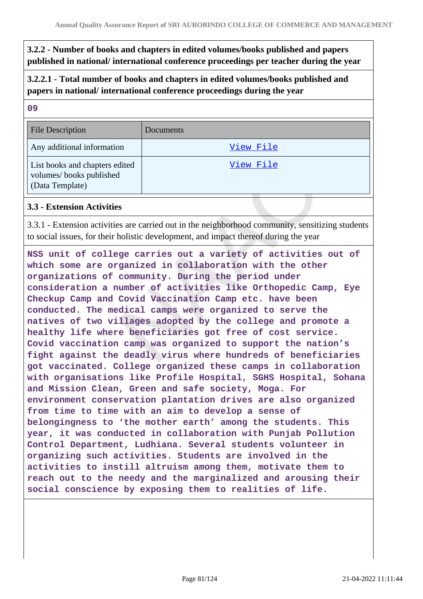# **3.2.2 - Number of books and chapters in edited volumes/books published and papers published in national/ international conference proceedings per teacher during the year**

**3.2.2.1 - Total number of books and chapters in edited volumes/books published and papers in national/ international conference proceedings during the year**

| w  | ٠ |
|----|---|
|    |   |
|    | o |
| ×  |   |
| I  | ı |
| M. | ٧ |
| -  | w |
|    |   |

| <b>File Description</b>                                                      | Documents |
|------------------------------------------------------------------------------|-----------|
| Any additional information                                                   | View File |
| List books and chapters edited<br>volumes/books published<br>(Data Template) | View File |

### **3.3 - Extension Activities**

3.3.1 - Extension activities are carried out in the neighborhood community, sensitizing students to social issues, for their holistic development, and impact thereof during the year

**NSS unit of college carries out a variety of activities out of which some are organized in collaboration with the other organizations of community. During the period under consideration a number of activities like Orthopedic Camp, Eye Checkup Camp and Covid Vaccination Camp etc. have been conducted. The medical camps were organized to serve the natives of two villages adopted by the college and promote a healthy life where beneficiaries got free of cost service. Covid vaccination camp was organized to support the nation's fight against the deadly virus where hundreds of beneficiaries got vaccinated. College organized these camps in collaboration with organisations like Profile Hospital, SGHS Hospital, Sohana and Mission Clean, Green and safe society, Moga. For environment conservation plantation drives are also organized from time to time with an aim to develop a sense of belongingness to 'the mother earth' among the students. This year, it was conducted in collaboration with Punjab Pollution Control Department, Ludhiana. Several students volunteer in organizing such activities. Students are involved in the activities to instill altruism among them, motivate them to reach out to the needy and the marginalized and arousing their social conscience by exposing them to realities of life.**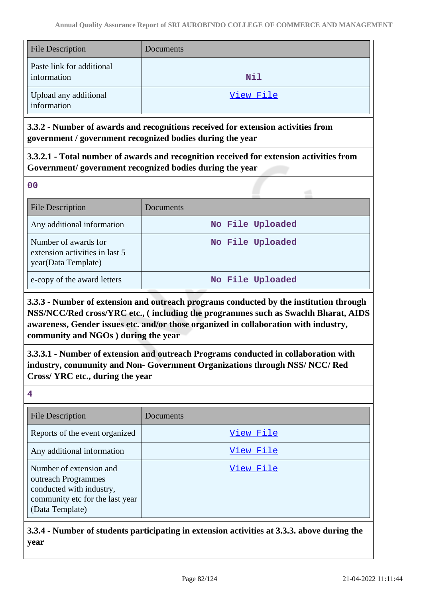| <b>File Description</b>                  | Documents |
|------------------------------------------|-----------|
| Paste link for additional<br>information | Nil       |
| Upload any additional<br>information     | View File |

**3.3.2 - Number of awards and recognitions received for extension activities from government / government recognized bodies during the year**

**3.3.2.1 - Total number of awards and recognition received for extension activities from Government/ government recognized bodies during the year**

**00**

| <b>File Description</b>                                                       | Documents        |
|-------------------------------------------------------------------------------|------------------|
| Any additional information                                                    | No File Uploaded |
| Number of awards for<br>extension activities in last 5<br>year(Data Template) | No File Uploaded |
| e-copy of the award letters                                                   | No File Uploaded |

**3.3.3 - Number of extension and outreach programs conducted by the institution through NSS/NCC/Red cross/YRC etc., ( including the programmes such as Swachh Bharat, AIDS awareness, Gender issues etc. and/or those organized in collaboration with industry, community and NGOs ) during the year**

**3.3.3.1 - Number of extension and outreach Programs conducted in collaboration with industry, community and Non- Government Organizations through NSS/ NCC/ Red Cross/ YRC etc., during the year**

**4**

| File Description                                                                                                                 | Documents |
|----------------------------------------------------------------------------------------------------------------------------------|-----------|
| Reports of the event organized                                                                                                   | View File |
| Any additional information                                                                                                       | View File |
| Number of extension and<br>outreach Programmes<br>conducted with industry,<br>community etc for the last year<br>(Data Template) | View File |

**3.3.4 - Number of students participating in extension activities at 3.3.3. above during the year**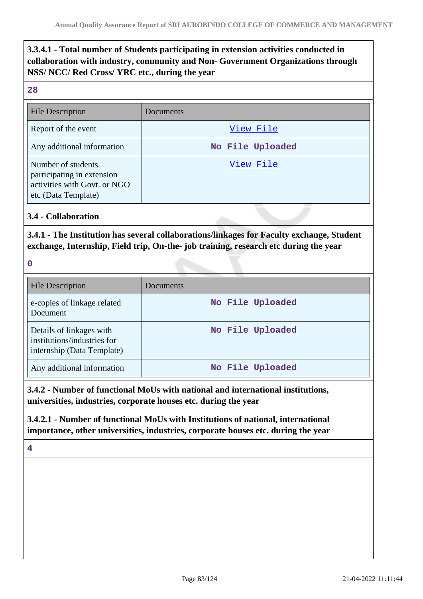# **3.3.4.1 - Total number of Students participating in extension activities conducted in collaboration with industry, community and Non- Government Organizations through NSS/ NCC/ Red Cross/ YRC etc., during the year**

#### **28**

| <b>File Description</b>                                                                                 | Documents        |
|---------------------------------------------------------------------------------------------------------|------------------|
| Report of the event                                                                                     | View File        |
| Any additional information                                                                              | No File Uploaded |
| Number of students<br>participating in extension<br>activities with Govt. or NGO<br>etc (Data Template) | View File        |

**3.4 - Collaboration**

**3.4.1 - The Institution has several collaborations/linkages for Faculty exchange, Student exchange, Internship, Field trip, On-the- job training, research etc during the year**

**0**

| <b>File Description</b>                                                               | Documents        |
|---------------------------------------------------------------------------------------|------------------|
| e-copies of linkage related<br>Document                                               | No File Uploaded |
| Details of linkages with<br>institutions/industries for<br>internship (Data Template) | No File Uploaded |
| Any additional information                                                            | No File Uploaded |

**3.4.2 - Number of functional MoUs with national and international institutions, universities, industries, corporate houses etc. during the year**

**3.4.2.1 - Number of functional MoUs with Institutions of national, international importance, other universities, industries, corporate houses etc. during the year**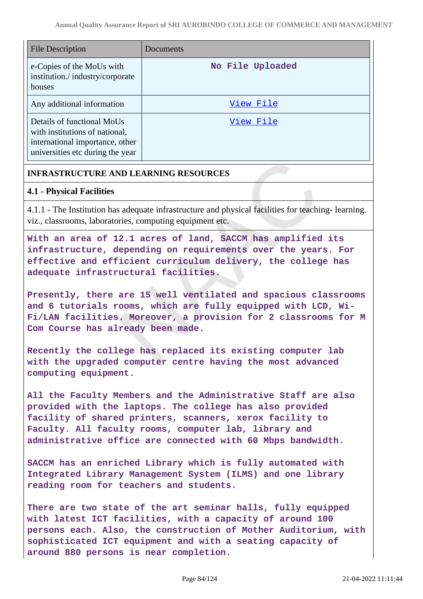| <b>File Description</b>                                                                                                             | Documents        |
|-------------------------------------------------------------------------------------------------------------------------------------|------------------|
| e-Copies of the MoUs with<br>institution./industry/corporate<br>houses                                                              | No File Uploaded |
| Any additional information                                                                                                          | View File        |
| Details of functional MoUs<br>with institutions of national,<br>international importance, other<br>universities etc during the year | View File        |

# **INFRASTRUCTURE AND LEARNING RESOURCES**

## **4.1 - Physical Facilities**

4.1.1 - The Institution has adequate infrastructure and physical facilities for teaching- learning. viz., classrooms, laboratories, computing equipment etc.

**With an area of 12.1 acres of land, SACCM has amplified its infrastructure, depending on requirements over the years. For effective and efficient curriculum delivery, the college has adequate infrastructural facilities.**

**Presently, there are 15 well ventilated and spacious classrooms and 6 tutorials rooms, which are fully equipped with LCD, Wi-Fi/LAN facilities. Moreover, a provision for 2 classrooms for M Com Course has already been made.**

**Recently the college has replaced its existing computer lab with the upgraded computer centre having the most advanced computing equipment.**

**All the Faculty Members and the Administrative Staff are also provided with the laptops. The college has also provided facility of shared printers, scanners, xerox facility to Faculty. All faculty rooms, computer lab, library and administrative office are connected with 60 Mbps bandwidth.**

**SACCM has an enriched Library which is fully automated with Integrated Library Management System (ILMS) and one library reading room for teachers and students.**

**There are two state of the art seminar halls, fully equipped with latest ICT facilities, with a capacity of around 100 persons each. Also, the construction of Mother Auditorium, with sophisticated ICT equipment and with a seating capacity of around 880 persons is near completion.**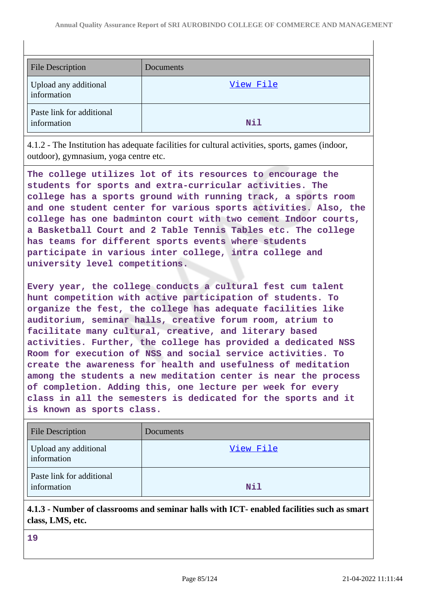| <b>File Description</b>                  | Documents |
|------------------------------------------|-----------|
| Upload any additional<br>information     | View File |
| Paste link for additional<br>information | Nil       |

4.1.2 - The Institution has adequate facilities for cultural activities, sports, games (indoor, outdoor), gymnasium, yoga centre etc.

**The college utilizes lot of its resources to encourage the students for sports and extra-curricular activities. The college has a sports ground with running track, a sports room and one student center for various sports activities. Also, the college has one badminton court with two cement Indoor courts, a Basketball Court and 2 Table Tennis Tables etc. The college has teams for different sports events where students participate in various inter college, intra college and university level competitions.**

**Every year, the college conducts a cultural fest cum talent hunt competition with active participation of students. To organize the fest, the college has adequate facilities like auditorium, seminar halls, creative forum room, atrium to facilitate many cultural, creative, and literary based activities. Further, the college has provided a dedicated NSS Room for execution of NSS and social service activities. To create the awareness for health and usefulness of meditation among the students a new meditation center is near the process of completion. Adding this, one lecture per week for every class in all the semesters is dedicated for the sports and it is known as sports class.**

| <b>File Description</b>                  | <b>Documents</b> |
|------------------------------------------|------------------|
| Upload any additional<br>information     | View File        |
| Paste link for additional<br>information | Nil              |

**4.1.3 - Number of classrooms and seminar halls with ICT- enabled facilities such as smart class, LMS, etc.**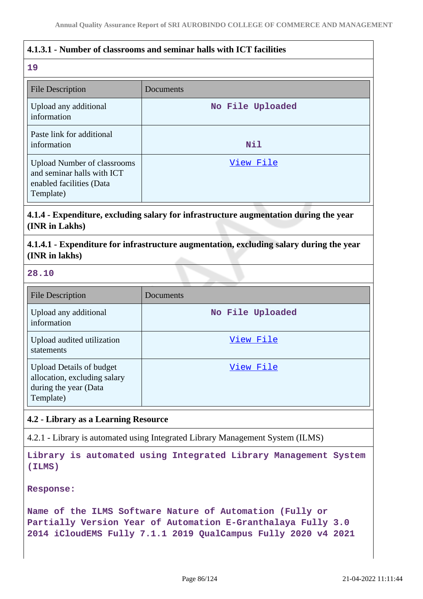## **4.1.3.1 - Number of classrooms and seminar halls with ICT facilities**

## **19**

| <b>File Description</b>                                                                                   | Documents        |  |
|-----------------------------------------------------------------------------------------------------------|------------------|--|
| Upload any additional<br>information                                                                      | No File Uploaded |  |
| Paste link for additional<br>information                                                                  | Nil              |  |
| <b>Upload Number of classrooms</b><br>and seminar halls with ICT<br>enabled facilities (Data<br>Template) | View File        |  |

**4.1.4 - Expenditure, excluding salary for infrastructure augmentation during the year (INR in Lakhs)**

**4.1.4.1 - Expenditure for infrastructure augmentation, excluding salary during the year (INR in lakhs)**

#### **28.10**

| <b>File Description</b>                                                                               | Documents        |
|-------------------------------------------------------------------------------------------------------|------------------|
| Upload any additional<br>information                                                                  | No File Uploaded |
| Upload audited utilization<br>statements                                                              | View File        |
| <b>Upload Details of budget</b><br>allocation, excluding salary<br>during the year (Data<br>Template) | View File        |

#### **4.2 - Library as a Learning Resource**

4.2.1 - Library is automated using Integrated Library Management System (ILMS)

**Library is automated using Integrated Library Management System (ILMS)**

**Response:**

**Name of the ILMS Software Nature of Automation (Fully or Partially Version Year of Automation E-Granthalaya Fully 3.0 2014 iCloudEMS Fully 7.1.1 2019 QualCampus Fully 2020 v4 2021**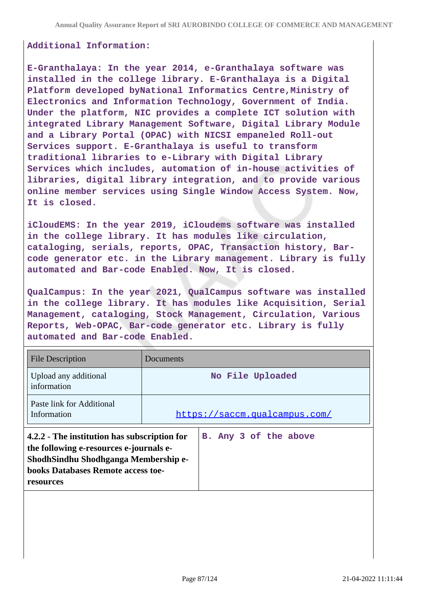#### **Additional Information:**

**E-Granthalaya: In the year 2014, e-Granthalaya software was installed in the college library. E-Granthalaya is a Digital Platform developed byNational Informatics Centre,Ministry of Electronics and Information Technology, Government of India. Under the platform, NIC provides a complete ICT solution with integrated Library Management Software, Digital Library Module and a Library Portal (OPAC) with NICSI empaneled Roll-out Services support. E-Granthalaya is useful to transform traditional libraries to e-Library with Digital Library Services which includes, automation of in-house activities of libraries, digital library integration, and to provide various online member services using Single Window Access System. Now, It is closed.**

**iCloudEMS: In the year 2019, iCloudems software was installed in the college library. It has modules like circulation, cataloging, serials, reports, OPAC, Transaction history, Barcode generator etc. in the Library management. Library is fully automated and Bar-code Enabled. Now, It is closed.**

**QualCampus: In the year 2021, QualCampus software was installed in the college library. It has modules like Acquisition, Serial Management, cataloging, Stock Management, Circulation, Various Reports, Web-OPAC, Bar-code generator etc. Library is fully automated and Bar-code Enabled.**

| <b>File Description</b>                                                                                                                                                                   | Documents                     |  |
|-------------------------------------------------------------------------------------------------------------------------------------------------------------------------------------------|-------------------------------|--|
| Upload any additional<br>information                                                                                                                                                      | No File Uploaded              |  |
| Paste link for Additional<br>Information                                                                                                                                                  | https://saccm.qualcampus.com/ |  |
| 4.2.2 - The institution has subscription for<br>the following e-resources e-journals e-<br>ShodhSindhu Shodhganga Membership e-<br><b>books Databases Remote access toe-</b><br>resources | B. Any 3 of the above         |  |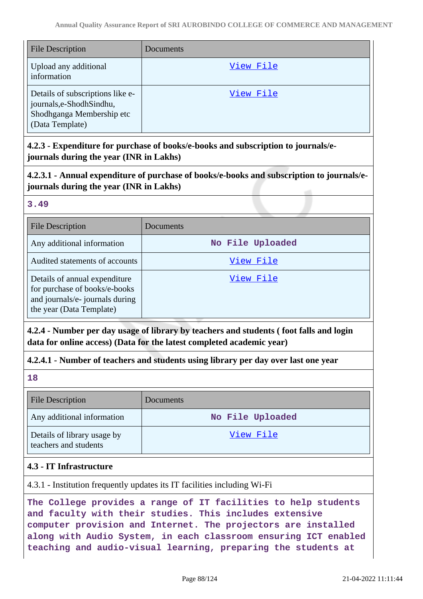| <b>File Description</b>                                                                                     | Documents |
|-------------------------------------------------------------------------------------------------------------|-----------|
| Upload any additional<br>information                                                                        | View File |
| Details of subscriptions like e-<br>journals,e-ShodhSindhu,<br>Shodhganga Membership etc<br>(Data Template) | View File |

**4.2.3 - Expenditure for purchase of books/e-books and subscription to journals/ejournals during the year (INR in Lakhs)**

**4.2.3.1 - Annual expenditure of purchase of books/e-books and subscription to journals/ejournals during the year (INR in Lakhs)**

#### **3.49**

| <b>File Description</b>                                                                                                       | Documents        |
|-------------------------------------------------------------------------------------------------------------------------------|------------------|
| Any additional information                                                                                                    | No File Uploaded |
| Audited statements of accounts                                                                                                | View File        |
| Details of annual expenditure<br>for purchase of books/e-books<br>and journals/e- journals during<br>the year (Data Template) | View File        |

**4.2.4 - Number per day usage of library by teachers and students ( foot falls and login data for online access) (Data for the latest completed academic year)**

# **4.2.4.1 - Number of teachers and students using library per day over last one year**

**18**

| <b>File Description</b>                              | Documents        |
|------------------------------------------------------|------------------|
| Any additional information                           | No File Uploaded |
| Details of library usage by<br>teachers and students | View File        |

### **4.3 - IT Infrastructure**

4.3.1 - Institution frequently updates its IT facilities including Wi-Fi

**The College provides a range of IT facilities to help students and faculty with their studies. This includes extensive computer provision and Internet. The projectors are installed along with Audio System, in each classroom ensuring ICT enabled teaching and audio-visual learning, preparing the students at**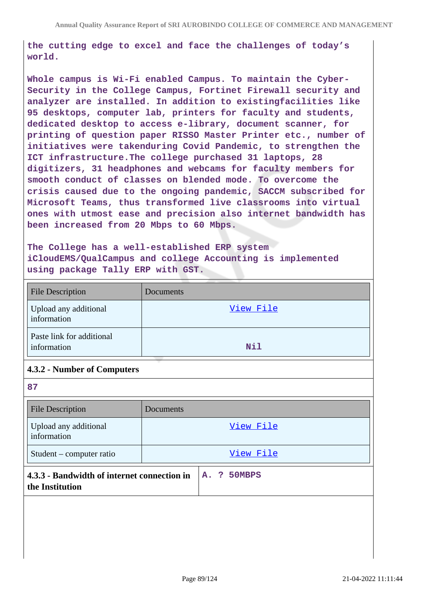**the cutting edge to excel and face the challenges of today's world.**

**Whole campus is Wi-Fi enabled Campus. To maintain the Cyber-Security in the College Campus, Fortinet Firewall security and analyzer are installed. In addition to existingfacilities like 95 desktops, computer lab, printers for faculty and students, dedicated desktop to access e-library, document scanner, for printing of question paper RISSO Master Printer etc., number of initiatives were takenduring Covid Pandemic, to strengthen the ICT infrastructure.The college purchased 31 laptops, 28 digitizers, 31 headphones and webcams for faculty members for smooth conduct of classes on blended mode. To overcome the crisis caused due to the ongoing pandemic, SACCM subscribed for Microsoft Teams, thus transformed live classrooms into virtual ones with utmost ease and precision also internet bandwidth has been increased from 20 Mbps to 60 Mbps.**

**The College has a well-established ERP system iCloudEMS/QualCampus and college Accounting is implemented using package Tally ERP with GST.**

| <b>File Description</b>                  | Documents |
|------------------------------------------|-----------|
| Upload any additional<br>information     | View File |
| Paste link for additional<br>information | Nil       |

### **4.3.2 - Number of Computers**

| 87                                                             |           |  |             |  |
|----------------------------------------------------------------|-----------|--|-------------|--|
| <b>File Description</b>                                        | Documents |  |             |  |
| Upload any additional<br>information                           |           |  | View File   |  |
| Student – computer ratio                                       |           |  | View File   |  |
| 4.3.3 - Bandwidth of internet connection in<br>the Institution |           |  | A. ? 50MBPS |  |
|                                                                |           |  |             |  |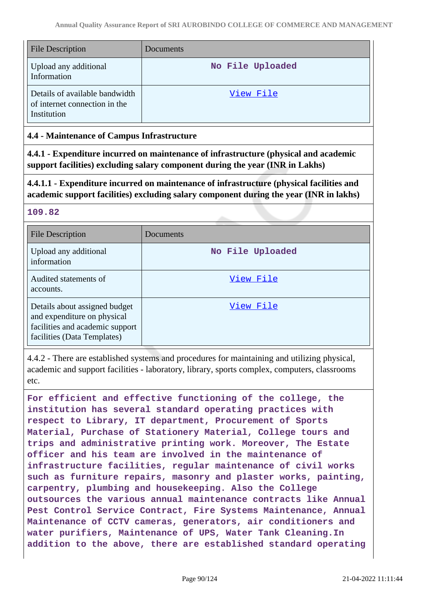| <b>File Description</b>                                                        | Documents        |
|--------------------------------------------------------------------------------|------------------|
| Upload any additional<br>Information                                           | No File Uploaded |
| Details of available bandwidth<br>of internet connection in the<br>Institution | View File        |

## **4.4 - Maintenance of Campus Infrastructure**

**4.4.1 - Expenditure incurred on maintenance of infrastructure (physical and academic support facilities) excluding salary component during the year (INR in Lakhs)**

**4.4.1.1 - Expenditure incurred on maintenance of infrastructure (physical facilities and academic support facilities) excluding salary component during the year (INR in lakhs)**

### **109.82**

| <b>File Description</b>                                                                                                        | Documents        |
|--------------------------------------------------------------------------------------------------------------------------------|------------------|
| Upload any additional<br>information                                                                                           | No File Uploaded |
| Audited statements of<br>accounts.                                                                                             | View File        |
| Details about assigned budget<br>and expenditure on physical<br>facilities and academic support<br>facilities (Data Templates) | View File        |

4.4.2 - There are established systems and procedures for maintaining and utilizing physical, academic and support facilities - laboratory, library, sports complex, computers, classrooms etc.

**For efficient and effective functioning of the college, the institution has several standard operating practices with respect to Library, IT department, Procurement of Sports Material, Purchase of Stationery Material, College tours and trips and administrative printing work. Moreover, The Estate officer and his team are involved in the maintenance of infrastructure facilities, regular maintenance of civil works such as furniture repairs, masonry and plaster works, painting, carpentry, plumbing and housekeeping. Also the College outsources the various annual maintenance contracts like Annual Pest Control Service Contract, Fire Systems Maintenance, Annual Maintenance of CCTV cameras, generators, air conditioners and water purifiers, Maintenance of UPS, Water Tank Cleaning.In addition to the above, there are established standard operating**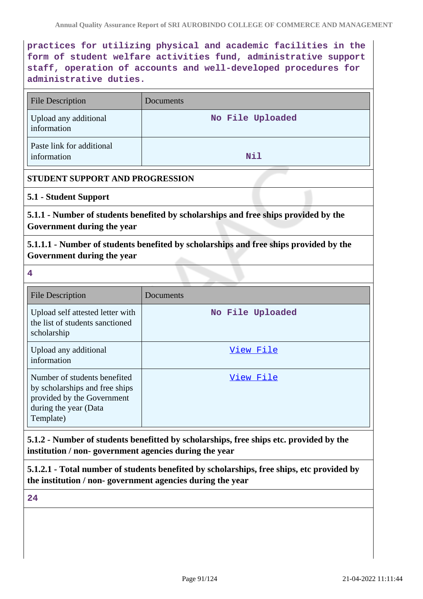**practices for utilizing physical and academic facilities in the form of student welfare activities fund, administrative support staff, operation of accounts and well-developed procedures for administrative duties.**

| <b>File Description</b>                                                                                                            | Documents        |  |
|------------------------------------------------------------------------------------------------------------------------------------|------------------|--|
| Upload any additional<br>information                                                                                               | No File Uploaded |  |
| Paste link for additional<br>information                                                                                           | <b>Nil</b>       |  |
| STUDENT SUPPORT AND PROGRESSION                                                                                                    |                  |  |
| 5.1 - Student Support                                                                                                              |                  |  |
| 5.1.1 - Number of students benefited by scholarships and free ships provided by the<br>Government during the year                  |                  |  |
| 5.1.1.1 - Number of students benefited by scholarships and free ships provided by the<br>Government during the year                |                  |  |
| $\overline{\mathbf{4}}$                                                                                                            |                  |  |
| <b>File Description</b>                                                                                                            | Documents        |  |
| Upload self attested letter with<br>the list of students sanctioned<br>scholarship                                                 | No File Uploaded |  |
| Upload any additional<br>information                                                                                               | View File        |  |
| Number of students benefited<br>by scholarships and free ships<br>provided by the Government<br>during the year (Data<br>Template) | View File        |  |

**5.1.2 - Number of students benefitted by scholarships, free ships etc. provided by the institution / non- government agencies during the year**

**5.1.2.1 - Total number of students benefited by scholarships, free ships, etc provided by the institution / non- government agencies during the year**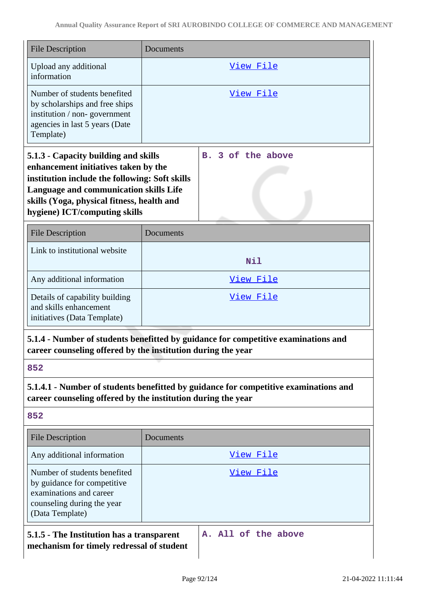| <b>File Description</b>                                                                                                                                                                                                                                 | Documents         |  |
|---------------------------------------------------------------------------------------------------------------------------------------------------------------------------------------------------------------------------------------------------------|-------------------|--|
| Upload any additional<br>information                                                                                                                                                                                                                    | View File         |  |
| Number of students benefited<br>by scholarships and free ships<br>institution / non-government<br>agencies in last 5 years (Date<br>Template)                                                                                                           | View File         |  |
| 5.1.3 - Capacity building and skills<br>enhancement initiatives taken by the<br>institution include the following: Soft skills<br>Language and communication skills Life<br>skills (Yoga, physical fitness, health and<br>hygiene) ICT/computing skills | B. 3 of the above |  |
| <b>File Description</b>                                                                                                                                                                                                                                 | Documents         |  |
| Link to institutional website                                                                                                                                                                                                                           | Nil               |  |
| Any additional information                                                                                                                                                                                                                              | View File         |  |
| Details of capability building<br>and skills enhancement<br>initiatives (Data Template)                                                                                                                                                                 | <u>View File</u>  |  |
| 5.1.4 - Number of students benefitted by guidance for competitive examinations and<br>career counseling offered by the institution during the year                                                                                                      |                   |  |
| 852                                                                                                                                                                                                                                                     |                   |  |
| 5.1.4.1 - Number of students benefitted by guidance for competitive examinations and<br>career counseling offered by the institution during the year                                                                                                    |                   |  |
| 852                                                                                                                                                                                                                                                     |                   |  |
| <b>File Description</b>                                                                                                                                                                                                                                 | Documents         |  |
| Any additional information                                                                                                                                                                                                                              | View File         |  |
| Number of students benefited<br>by guidance for competitive<br>examinations and career<br>counseling during the year<br>(Data Template)                                                                                                                 | <u>View File</u>  |  |
| A. All of the above<br>5.1.5 - The Institution has a transparent<br>mechanism for timely redressal of student                                                                                                                                           |                   |  |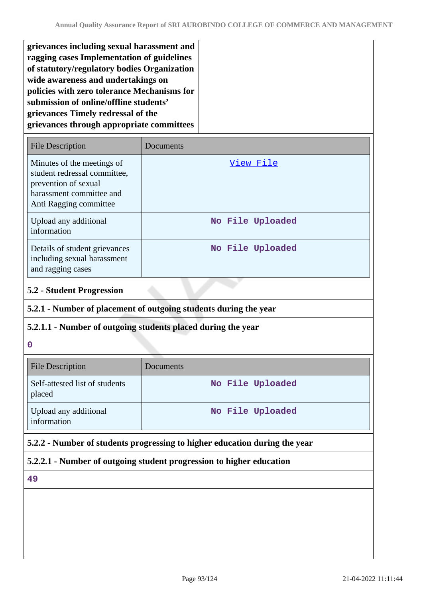| grievances including sexual harassment and  |
|---------------------------------------------|
| ragging cases Implementation of guidelines  |
| of statutory/regulatory bodies Organization |
| wide awareness and undertakings on          |
| policies with zero tolerance Mechanisms for |
| submission of online/offline students'      |
| grievances Timely redressal of the          |
| grievances through appropriate committees   |

| <b>File Description</b>                                                                                                                  | Documents        |
|------------------------------------------------------------------------------------------------------------------------------------------|------------------|
| Minutes of the meetings of<br>student redressal committee,<br>prevention of sexual<br>harassment committee and<br>Anti Ragging committee | View File        |
| Upload any additional<br>information                                                                                                     | No File Uploaded |
| Details of student grievances<br>including sexual harassment<br>and ragging cases                                                        | No File Uploaded |

## **5.2 - Student Progression**

## **5.2.1 - Number of placement of outgoing students during the year**

# **5.2.1.1 - Number of outgoing students placed during the year**

**0**

| <b>File Description</b>                  | Documents        |
|------------------------------------------|------------------|
| Self-attested list of students<br>placed | No File Uploaded |
| Upload any additional<br>information     | No File Uploaded |

# **5.2.2 - Number of students progressing to higher education during the year**

### **5.2.2.1 - Number of outgoing student progression to higher education**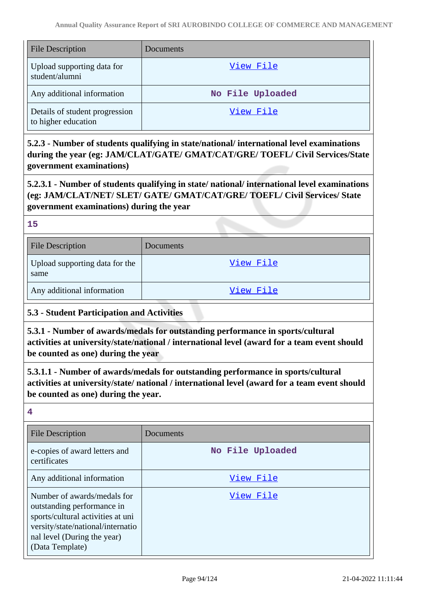| <b>File Description</b>                               | Documents        |
|-------------------------------------------------------|------------------|
| Upload supporting data for<br>student/alumni          | View File        |
| Any additional information                            | No File Uploaded |
| Details of student progression<br>to higher education | View File        |

**5.2.3 - Number of students qualifying in state/national/ international level examinations during the year (eg: JAM/CLAT/GATE/ GMAT/CAT/GRE/ TOEFL/ Civil Services/State government examinations)**

**5.2.3.1 - Number of students qualifying in state/ national/ international level examinations (eg: JAM/CLAT/NET/ SLET/ GATE/ GMAT/CAT/GRE/ TOEFL/ Civil Services/ State government examinations) during the year**

**15**

| <b>File Description</b>                | Documents |
|----------------------------------------|-----------|
| Upload supporting data for the<br>same | View File |
| Any additional information             | View File |

# **5.3 - Student Participation and Activities**

**5.3.1 - Number of awards/medals for outstanding performance in sports/cultural activities at university/state/national / international level (award for a team event should be counted as one) during the year**

**5.3.1.1 - Number of awards/medals for outstanding performance in sports/cultural activities at university/state/ national / international level (award for a team event should be counted as one) during the year.**

| <b>File Description</b>                                                                                                                                                               | Documents        |
|---------------------------------------------------------------------------------------------------------------------------------------------------------------------------------------|------------------|
| e-copies of award letters and<br>certificates                                                                                                                                         | No File Uploaded |
| Any additional information                                                                                                                                                            | View File        |
| Number of awards/medals for<br>outstanding performance in<br>sports/cultural activities at uni<br>versity/state/national/internatio<br>nal level (During the year)<br>(Data Template) | View File        |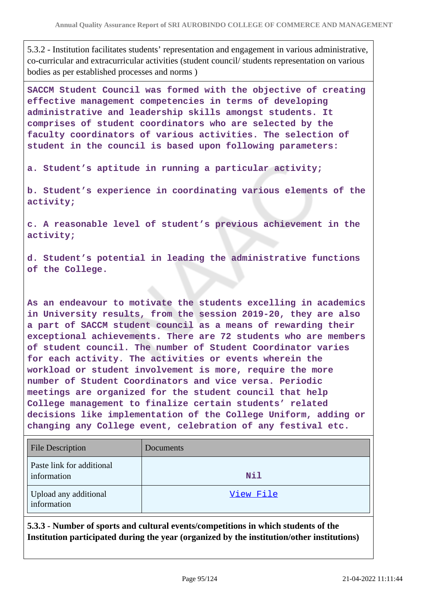5.3.2 - Institution facilitates students' representation and engagement in various administrative, co-curricular and extracurricular activities (student council/ students representation on various bodies as per established processes and norms )

**SACCM Student Council was formed with the objective of creating effective management competencies in terms of developing administrative and leadership skills amongst students. It comprises of student coordinators who are selected by the faculty coordinators of various activities. The selection of student in the council is based upon following parameters:**

**a. Student's aptitude in running a particular activity;**

**b. Student's experience in coordinating various elements of the activity;**

**c. A reasonable level of student's previous achievement in the activity;**

**d. Student's potential in leading the administrative functions of the College.**

**As an endeavour to motivate the students excelling in academics in University results, from the session 2019-20, they are also a part of SACCM student council as a means of rewarding their exceptional achievements. There are 72 students who are members of student council. The number of Student Coordinator varies for each activity. The activities or events wherein the workload or student involvement is more, require the more number of Student Coordinators and vice versa. Periodic meetings are organized for the student council that help College management to finalize certain students' related decisions like implementation of the College Uniform, adding or changing any College event, celebration of any festival etc.**

| <b>File Description</b>                  | Documents |
|------------------------------------------|-----------|
| Paste link for additional<br>information | Nil       |
| Upload any additional<br>information     | View File |

**5.3.3 - Number of sports and cultural events/competitions in which students of the Institution participated during the year (organized by the institution/other institutions)**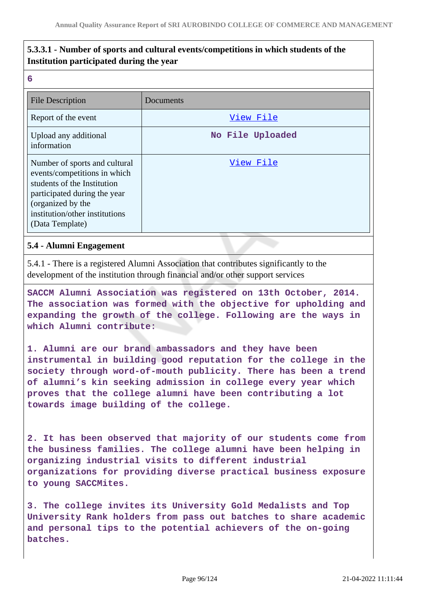# **5.3.3.1 - Number of sports and cultural events/competitions in which students of the Institution participated during the year**

**6**

| <b>File Description</b>                                                                                                                                                                                | Documents        |
|--------------------------------------------------------------------------------------------------------------------------------------------------------------------------------------------------------|------------------|
| Report of the event                                                                                                                                                                                    | View File        |
| Upload any additional<br>information                                                                                                                                                                   | No File Uploaded |
| Number of sports and cultural<br>events/competitions in which<br>students of the Institution<br>participated during the year<br>(organized by the<br>institution/other institutions<br>(Data Template) | View File        |

#### **5.4 - Alumni Engagement**

5.4.1 - There is a registered Alumni Association that contributes significantly to the development of the institution through financial and/or other support services

**SACCM Alumni Association was registered on 13th October, 2014. The association was formed with the objective for upholding and expanding the growth of the college. Following are the ways in which Alumni contribute:**

**1. Alumni are our brand ambassadors and they have been instrumental in building good reputation for the college in the society through word-of-mouth publicity. There has been a trend of alumni's kin seeking admission in college every year which proves that the college alumni have been contributing a lot towards image building of the college.**

**2. It has been observed that majority of our students come from the business families. The college alumni have been helping in organizing industrial visits to different industrial organizations for providing diverse practical business exposure to young SACCMites.**

**3. The college invites its University Gold Medalists and Top University Rank holders from pass out batches to share academic and personal tips to the potential achievers of the on-going batches.**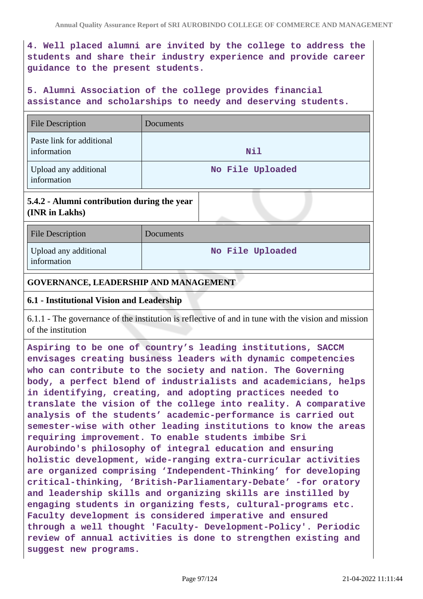**4. Well placed alumni are invited by the college to address the students and share their industry experience and provide career guidance to the present students.**

# **5. Alumni Association of the college provides financial assistance and scholarships to needy and deserving students.**

| <b>File Description</b>                  | Documents        |
|------------------------------------------|------------------|
| Paste link for additional<br>information | Nil              |
| Upload any additional<br>information     | No File Uploaded |

# **5.4.2 - Alumni contribution during the year (INR in Lakhs)**

| <b>File Description</b>              | Documents        |
|--------------------------------------|------------------|
| Upload any additional<br>information | No File Uploaded |

### **GOVERNANCE, LEADERSHIP AND MANAGEMENT**

#### **6.1 - Institutional Vision and Leadership**

6.1.1 - The governance of the institution is reflective of and in tune with the vision and mission of the institution

**Aspiring to be one of country's leading institutions, SACCM envisages creating business leaders with dynamic competencies who can contribute to the society and nation. The Governing body, a perfect blend of industrialists and academicians, helps in identifying, creating, and adopting practices needed to translate the vision of the college into reality. A comparative analysis of the students' academic-performance is carried out semester-wise with other leading institutions to know the areas requiring improvement. To enable students imbibe Sri Aurobindo's philosophy of integral education and ensuring holistic development, wide-ranging extra-curricular activities are organized comprising 'Independent-Thinking' for developing critical-thinking, 'British-Parliamentary-Debate' -for oratory and leadership skills and organizing skills are instilled by engaging students in organizing fests, cultural-programs etc. Faculty development is considered imperative and ensured through a well thought 'Faculty- Development-Policy'. Periodic review of annual activities is done to strengthen existing and suggest new programs.**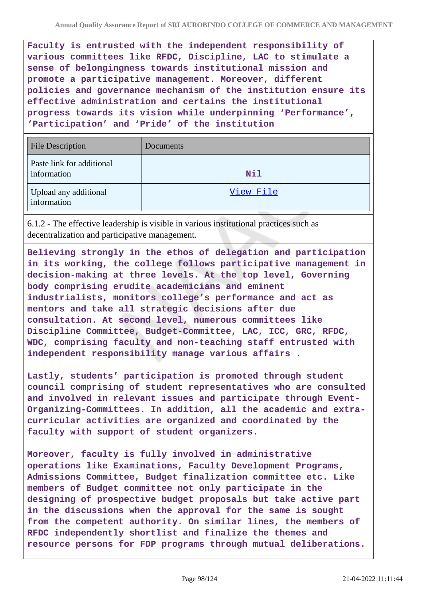**Faculty is entrusted with the independent responsibility of various committees like RFDC, Discipline, LAC to stimulate a sense of belongingness towards institutional mission and promote a participative management. Moreover, different policies and governance mechanism of the institution ensure its effective administration and certains the institutional progress towards its vision while underpinning 'Performance', 'Participation' and 'Pride' of the institution**

| <b>File Description</b>                  | Documents |
|------------------------------------------|-----------|
| Paste link for additional<br>information | Nil       |
| Upload any additional<br>information     | View File |

6.1.2 - The effective leadership is visible in various institutional practices such as decentralization and participative management.

**Believing strongly in the ethos of delegation and participation in its working, the college follows participative management in decision-making at three levels. At the top level, Governing body comprising erudite academicians and eminent industrialists, monitors college's performance and act as mentors and take all strategic decisions after due consultation. At second level, numerous committees like Discipline Committee, Budget-Committee, LAC, ICC, GRC, RFDC, WDC, comprising faculty and non-teaching staff entrusted with independent responsibility manage various affairs .**

**Lastly, students' participation is promoted through student council comprising of student representatives who are consulted and involved in relevant issues and participate through Event-Organizing-Committees. In addition, all the academic and extracurricular activities are organized and coordinated by the faculty with support of student organizers.**

**Moreover, faculty is fully involved in administrative operations like Examinations, Faculty Development Programs, Admissions Committee, Budget finalization committee etc. Like members of Budget committee not only participate in the designing of prospective budget proposals but take active part in the discussions when the approval for the same is sought from the competent authority. On similar lines, the members of RFDC independently shortlist and finalize the themes and resource persons for FDP programs through mutual deliberations.**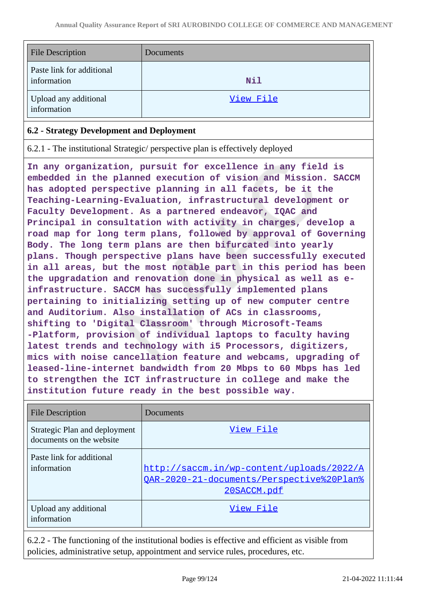| File Description                         | Documents |
|------------------------------------------|-----------|
| Paste link for additional<br>information | Nil       |
| Upload any additional<br>information     | View File |

### **6.2 - Strategy Development and Deployment**

6.2.1 - The institutional Strategic/ perspective plan is effectively deployed

**In any organization, pursuit for excellence in any field is embedded in the planned execution of vision and Mission. SACCM has adopted perspective planning in all facets, be it the Teaching-Learning-Evaluation, infrastructural development or Faculty Development. As a partnered endeavor, IQAC and Principal in consultation with activity in charges, develop a road map for long term plans, followed by approval of Governing Body. The long term plans are then bifurcated into yearly plans. Though perspective plans have been successfully executed in all areas, but the most notable part in this period has been the upgradation and renovation done in physical as well as einfrastructure. SACCM has successfully implemented plans pertaining to initializing setting up of new computer centre and Auditorium. Also installation of ACs in classrooms, shifting to 'Digital Classroom' through Microsoft-Teams -Platform, provision of individual laptops to faculty having latest trends and technology with i5 Processors, digitizers, mics with noise cancellation feature and webcams, upgrading of leased-line-internet bandwidth from 20 Mbps to 60 Mbps has led to strengthen the ICT infrastructure in college and make the institution future ready in the best possible way.**

| <b>File Description</b>                                   | Documents                                                                                             |
|-----------------------------------------------------------|-------------------------------------------------------------------------------------------------------|
| Strategic Plan and deployment<br>documents on the website | View File                                                                                             |
| Paste link for additional<br>information                  | http://saccm.in/wp-content/uploads/2022/A<br>OAR-2020-21-documents/Perspective%20Plan%<br>20SACCM.pdf |
| Upload any additional<br>information                      | View File                                                                                             |

6.2.2 - The functioning of the institutional bodies is effective and efficient as visible from policies, administrative setup, appointment and service rules, procedures, etc.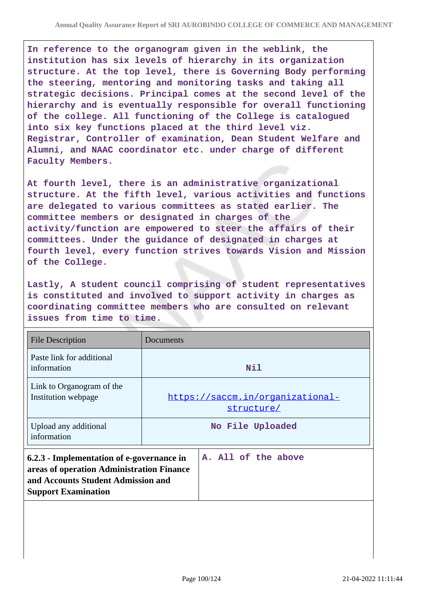**In reference to the organogram given in the weblink, the institution has six levels of hierarchy in its organization structure. At the top level, there is Governing Body performing the steering, mentoring and monitoring tasks and taking all strategic decisions. Principal comes at the second level of the hierarchy and is eventually responsible for overall functioning of the college. All functioning of the College is catalogued into six key functions placed at the third level viz. Registrar, Controller of examination, Dean Student Welfare and Alumni, and NAAC coordinator etc. under charge of different Faculty Members.**

**At fourth level, there is an administrative organizational structure. At the fifth level, various activities and functions are delegated to various committees as stated earlier. The committee members or designated in charges of the activity/function are empowered to steer the affairs of their committees. Under the guidance of designated in charges at fourth level, every function strives towards Vision and Mission of the College.**

**Lastly, A student council comprising of student representatives is constituted and involved to support activity in charges as coordinating committee members who are consulted on relevant issues from time to time.**

| <b>File Description</b>                                                                                                                                    | Documents |                                                |
|------------------------------------------------------------------------------------------------------------------------------------------------------------|-----------|------------------------------------------------|
| Paste link for additional<br>information                                                                                                                   |           | Nil                                            |
| Link to Organogram of the<br>Institution webpage                                                                                                           |           | https://saccm.in/organizational-<br>structure/ |
| Upload any additional<br>information                                                                                                                       |           | No File Uploaded                               |
| 6.2.3 - Implementation of e-governance in<br>areas of operation Administration Finance<br>and Accounts Student Admission and<br><b>Support Examination</b> |           | A. All of the above                            |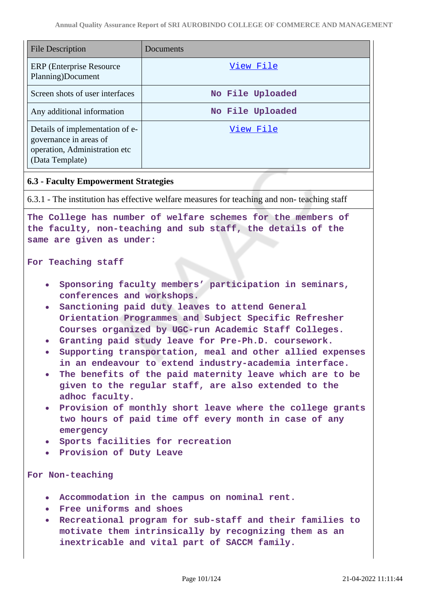| <b>File Description</b>                                                                                       | Documents        |
|---------------------------------------------------------------------------------------------------------------|------------------|
| ERP (Enterprise Resource)<br>Planning)Document                                                                | View File        |
| Screen shots of user interfaces                                                                               | No File Uploaded |
| Any additional information                                                                                    | No File Uploaded |
| Details of implementation of e-<br>governance in areas of<br>operation, Administration etc<br>(Data Template) | View File        |

#### **6.3 - Faculty Empowerment Strategies**

6.3.1 - The institution has effective welfare measures for teaching and non- teaching staff

**The College has number of welfare schemes for the members of the faculty, non-teaching and sub staff, the details of the same are given as under:**

#### **For Teaching staff**

- **Sponsoring faculty members' participation in seminars, conferences and workshops.**
- **Sanctioning paid duty leaves to attend General Orientation Programmes and Subject Specific Refresher Courses organized by UGC-run Academic Staff Colleges.**
- **Granting paid study leave for Pre-Ph.D. coursework.**
- **Supporting transportation, meal and other allied expenses in an endeavour to extend industry-academia interface.**
- **The benefits of the paid maternity leave which are to be given to the regular staff, are also extended to the adhoc faculty.**
- **Provision of monthly short leave where the college grants two hours of paid time off every month in case of any emergency**
- **Sports facilities for recreation**
- **Provision of Duty Leave**

#### **For Non-teaching**

- **Accommodation in the campus on nominal rent.**
- **Free uniforms and shoes**
- **Recreational program for sub-staff and their families to motivate them intrinsically by recognizing them as an inextricable and vital part of SACCM family.**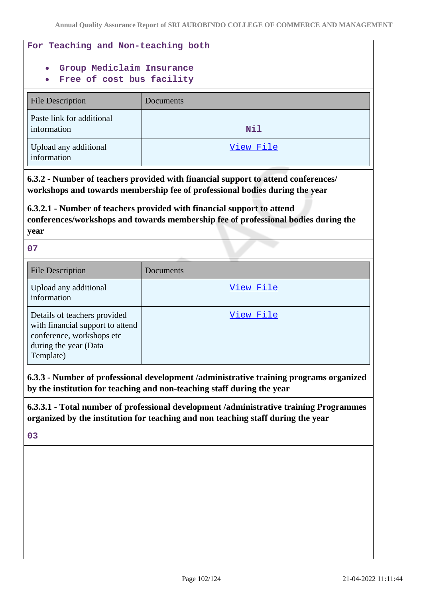# **For Teaching and Non-teaching both**

- **Group Mediclaim Insurance**
- **Free of cost bus facility**

| <b>File Description</b>                  | Documents |
|------------------------------------------|-----------|
| Paste link for additional<br>information | Nil       |
| Upload any additional<br>information     | View File |

**6.3.2 - Number of teachers provided with financial support to attend conferences/ workshops and towards membership fee of professional bodies during the year**

**6.3.2.1 - Number of teachers provided with financial support to attend conferences/workshops and towards membership fee of professional bodies during the year**

#### **07**

| <b>File Description</b>                                                                                                             | Documents |
|-------------------------------------------------------------------------------------------------------------------------------------|-----------|
| Upload any additional<br>information                                                                                                | View File |
| Details of teachers provided<br>with financial support to attend<br>conference, workshops etc<br>during the year (Data<br>Template) | View File |

**6.3.3 - Number of professional development /administrative training programs organized by the institution for teaching and non-teaching staff during the year**

**6.3.3.1 - Total number of professional development /administrative training Programmes organized by the institution for teaching and non teaching staff during the year**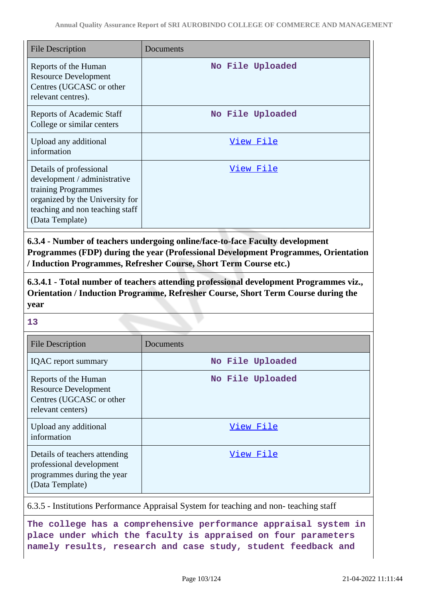| <b>File Description</b>                                                                                                                                                 | Documents        |
|-------------------------------------------------------------------------------------------------------------------------------------------------------------------------|------------------|
| Reports of the Human<br><b>Resource Development</b><br>Centres (UGCASC or other<br>relevant centres).                                                                   | No File Uploaded |
| <b>Reports of Academic Staff</b><br>College or similar centers                                                                                                          | No File Uploaded |
| Upload any additional<br>information                                                                                                                                    | <u>View File</u> |
| Details of professional<br>development / administrative<br>training Programmes<br>organized by the University for<br>teaching and non teaching staff<br>(Data Template) | <u>View File</u> |

**6.3.4 - Number of teachers undergoing online/face-to-face Faculty development Programmes (FDP) during the year (Professional Development Programmes, Orientation / Induction Programmes, Refresher Course, Short Term Course etc.)**

**6.3.4.1 - Total number of teachers attending professional development Programmes viz., Orientation / Induction Programme, Refresher Course, Short Term Course during the year**

**13**

| <b>File Description</b>                                                                                    | Documents        |
|------------------------------------------------------------------------------------------------------------|------------------|
| <b>IQAC</b> report summary                                                                                 | No File Uploaded |
| Reports of the Human<br><b>Resource Development</b><br>Centres (UGCASC or other<br>relevant centers)       | No File Uploaded |
| Upload any additional<br>information                                                                       | View File        |
| Details of teachers attending<br>professional development<br>programmes during the year<br>(Data Template) | View File        |

6.3.5 - Institutions Performance Appraisal System for teaching and non- teaching staff

**The college has a comprehensive performance appraisal system in place under which the faculty is appraised on four parameters namely results, research and case study, student feedback and**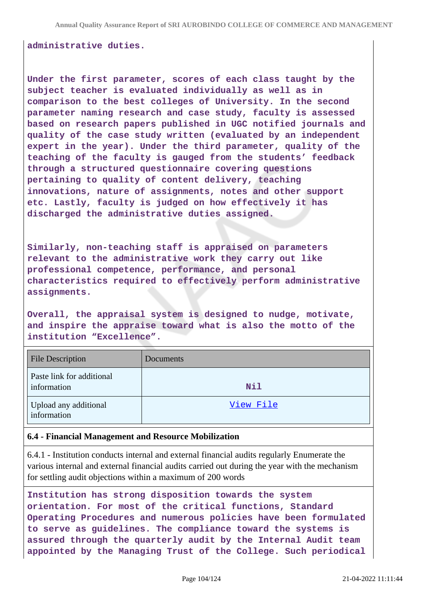#### **administrative duties.**

**Under the first parameter, scores of each class taught by the subject teacher is evaluated individually as well as in comparison to the best colleges of University. In the second parameter naming research and case study, faculty is assessed based on research papers published in UGC notified journals and quality of the case study written (evaluated by an independent expert in the year). Under the third parameter, quality of the teaching of the faculty is gauged from the students' feedback through a structured questionnaire covering questions pertaining to quality of content delivery, teaching innovations, nature of assignments, notes and other support etc. Lastly, faculty is judged on how effectively it has discharged the administrative duties assigned.**

**Similarly, non-teaching staff is appraised on parameters relevant to the administrative work they carry out like professional competence, performance, and personal characteristics required to effectively perform administrative assignments.**

**Overall, the appraisal system is designed to nudge, motivate, and inspire the appraise toward what is also the motto of the institution "Excellence".**

| <b>File Description</b>                  | Documents |
|------------------------------------------|-----------|
| Paste link for additional<br>information | Nil       |
| Upload any additional<br>information     | View File |

#### **6.4 - Financial Management and Resource Mobilization**

6.4.1 - Institution conducts internal and external financial audits regularly Enumerate the various internal and external financial audits carried out during the year with the mechanism for settling audit objections within a maximum of 200 words

**Institution has strong disposition towards the system orientation. For most of the critical functions, Standard Operating Procedures and numerous policies have been formulated to serve as guidelines. The compliance toward the systems is assured through the quarterly audit by the Internal Audit team appointed by the Managing Trust of the College. Such periodical**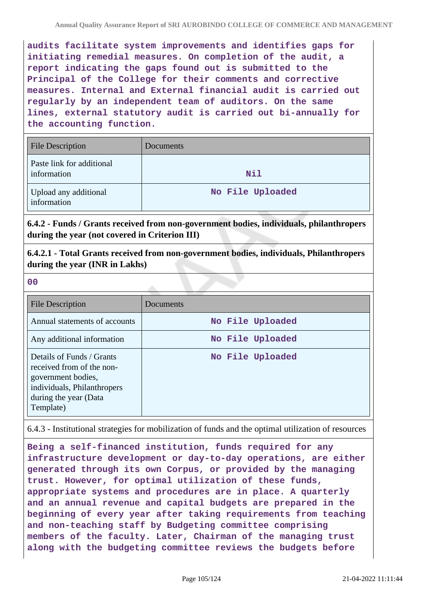**audits facilitate system improvements and identifies gaps for initiating remedial measures. On completion of the audit, a report indicating the gaps found out is submitted to the Principal of the College for their comments and corrective measures. Internal and External financial audit is carried out regularly by an independent team of auditors. On the same lines, external statutory audit is carried out bi-annually for the accounting function.**

| <b>File Description</b>                  | Documents        |
|------------------------------------------|------------------|
| Paste link for additional<br>information | Nil              |
| Upload any additional<br>information     | No File Uploaded |

**6.4.2 - Funds / Grants received from non-government bodies, individuals, philanthropers during the year (not covered in Criterion III)**

**6.4.2.1 - Total Grants received from non-government bodies, individuals, Philanthropers during the year (INR in Lakhs)**

**00**

| File Description                                                                                                                                  | Documents        |
|---------------------------------------------------------------------------------------------------------------------------------------------------|------------------|
| Annual statements of accounts                                                                                                                     | No File Uploaded |
| Any additional information                                                                                                                        | No File Uploaded |
| Details of Funds / Grants<br>received from of the non-<br>government bodies,<br>individuals, Philanthropers<br>during the year (Data<br>Template) | No File Uploaded |

6.4.3 - Institutional strategies for mobilization of funds and the optimal utilization of resources

**Being a self-financed institution, funds required for any infrastructure development or day-to-day operations, are either generated through its own Corpus, or provided by the managing trust. However, for optimal utilization of these funds, appropriate systems and procedures are in place. A quarterly and an annual revenue and capital budgets are prepared in the beginning of every year after taking requirements from teaching and non-teaching staff by Budgeting committee comprising members of the faculty. Later, Chairman of the managing trust along with the budgeting committee reviews the budgets before**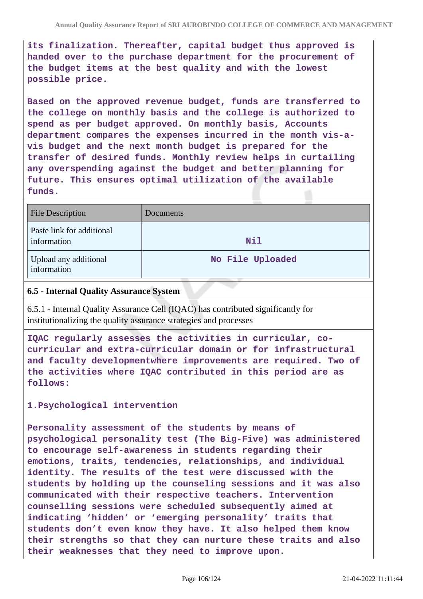**its finalization. Thereafter, capital budget thus approved is handed over to the purchase department for the procurement of the budget items at the best quality and with the lowest possible price.**

**Based on the approved revenue budget, funds are transferred to the college on monthly basis and the college is authorized to spend as per budget approved. On monthly basis, Accounts department compares the expenses incurred in the month vis-avis budget and the next month budget is prepared for the transfer of desired funds. Monthly review helps in curtailing any overspending against the budget and better planning for future. This ensures optimal utilization of the available funds.**

| <b>File Description</b>                  | Documents        |
|------------------------------------------|------------------|
| Paste link for additional<br>information | <b>Nil</b>       |
| Upload any additional<br>information     | No File Uploaded |

### **6.5 - Internal Quality Assurance System**

6.5.1 - Internal Quality Assurance Cell (IQAC) has contributed significantly for institutionalizing the quality assurance strategies and processes

**IQAC regularly assesses the activities in curricular, cocurricular and extra-curricular domain or for infrastructural and faculty developmentwhere improvements are required. Two of the activities where IQAC contributed in this period are as follows:**

#### **1.Psychological intervention**

**Personality assessment of the students by means of psychological personality test (The Big-Five) was administered to encourage self-awareness in students regarding their emotions, traits, tendencies, relationships, and individual identity. The results of the test were discussed with the students by holding up the counseling sessions and it was also communicated with their respective teachers. Intervention counselling sessions were scheduled subsequently aimed at indicating 'hidden' or 'emerging personality' traits that students don't even know they have. It also helped them know their strengths so that they can nurture these traits and also their weaknesses that they need to improve upon.**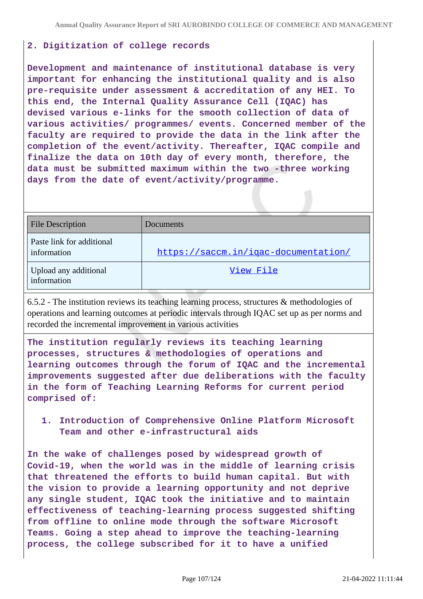## **2. Digitization of college records**

**Development and maintenance of institutional database is very important for enhancing the institutional quality and is also pre-requisite under assessment & accreditation of any HEI. To this end, the Internal Quality Assurance Cell (IQAC) has devised various e-links for the smooth collection of data of various activities/ programmes/ events. Concerned member of the faculty are required to provide the data in the link after the completion of the event/activity. Thereafter, IQAC compile and finalize the data on 10th day of every month, therefore, the data must be submitted maximum within the two -three working days from the date of event/activity/programme.**

| File Description                         | <b>Documents</b>                     |
|------------------------------------------|--------------------------------------|
| Paste link for additional<br>information | https://saccm.in/igac-documentation/ |
| Upload any additional<br>information     | View File                            |

6.5.2 - The institution reviews its teaching learning process, structures & methodologies of operations and learning outcomes at periodic intervals through IQAC set up as per norms and recorded the incremental improvement in various activities

**The institution regularly reviews its teaching learning processes, structures & methodologies of operations and learning outcomes through the forum of IQAC and the incremental improvements suggested after due deliberations with the faculty in the form of Teaching Learning Reforms for current period comprised of:**

**1. Introduction of Comprehensive Online Platform Microsoft Team and other e-infrastructural aids**

**In the wake of challenges posed by widespread growth of Covid-19, when the world was in the middle of learning crisis that threatened the efforts to build human capital. But with the vision to provide a learning opportunity and not deprive any single student, IQAC took the initiative and to maintain effectiveness of teaching-learning process suggested shifting from offline to online mode through the software Microsoft Teams. Going a step ahead to improve the teaching-learning process, the college subscribed for it to have a unified**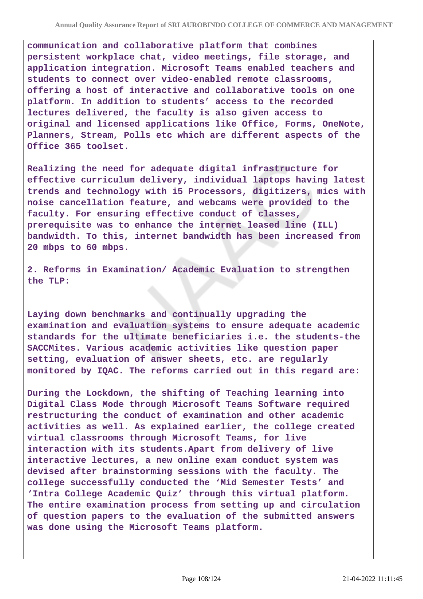**communication and collaborative platform that combines persistent workplace chat, video meetings, file storage, and application integration. Microsoft Teams enabled teachers and students to connect over video-enabled remote classrooms, offering a host of interactive and collaborative tools on one platform. In addition to students' access to the recorded lectures delivered, the faculty is also given access to original and licensed applications like Office, Forms, OneNote, Planners, Stream, Polls etc which are different aspects of the Office 365 toolset.**

**Realizing the need for adequate digital infrastructure for effective curriculum delivery, individual laptops having latest trends and technology with i5 Processors, digitizers, mics with noise cancellation feature, and webcams were provided to the faculty. For ensuring effective conduct of classes, prerequisite was to enhance the internet leased line (ILL) bandwidth. To this, internet bandwidth has been increased from 20 mbps to 60 mbps.**

**2. Reforms in Examination/ Academic Evaluation to strengthen the TLP:**

**Laying down benchmarks and continually upgrading the examination and evaluation systems to ensure adequate academic standards for the ultimate beneficiaries i.e. the students-the SACCMites. Various academic activities like question paper setting, evaluation of answer sheets, etc. are regularly monitored by IQAC. The reforms carried out in this regard are:**

**During the Lockdown, the shifting of Teaching learning into Digital Class Mode through Microsoft Teams Software required restructuring the conduct of examination and other academic activities as well. As explained earlier, the college created virtual classrooms through Microsoft Teams, for live interaction with its students.Apart from delivery of live interactive lectures, a new online exam conduct system was devised after brainstorming sessions with the faculty. The college successfully conducted the 'Mid Semester Tests' and 'Intra College Academic Quiz' through this virtual platform. The entire examination process from setting up and circulation of question papers to the evaluation of the submitted answers was done using the Microsoft Teams platform.**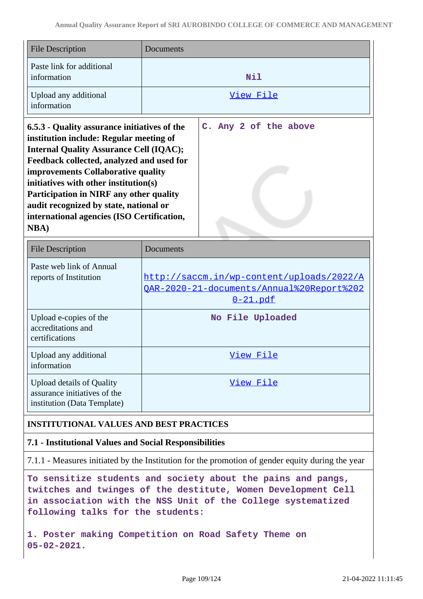| <b>File Description</b>                                                                                                                                                                                                                                                                                                                                                                                                         | Documents             |  |  |  |
|---------------------------------------------------------------------------------------------------------------------------------------------------------------------------------------------------------------------------------------------------------------------------------------------------------------------------------------------------------------------------------------------------------------------------------|-----------------------|--|--|--|
| Paste link for additional<br>information                                                                                                                                                                                                                                                                                                                                                                                        | Nil                   |  |  |  |
| Upload any additional<br>information                                                                                                                                                                                                                                                                                                                                                                                            | View File             |  |  |  |
| 6.5.3 - Quality assurance initiatives of the<br>institution include: Regular meeting of<br><b>Internal Quality Assurance Cell (IQAC);</b><br>Feedback collected, analyzed and used for<br>improvements Collaborative quality<br>initiatives with other institution(s)<br><b>Participation in NIRF any other quality</b><br>audit recognized by state, national or<br>international agencies (ISO Certification,<br><b>NBA</b> ) | C. Any 2 of the above |  |  |  |

| <b>File Description</b>                                                                         | Documents                                                                                                 |
|-------------------------------------------------------------------------------------------------|-----------------------------------------------------------------------------------------------------------|
| Paste web link of Annual<br>reports of Institution                                              | http://saccm.in/wp-content/uploads/2022/A<br>OAR-2020-21-documents/Annual%20Report%202<br><u>0-21.pdf</u> |
| Upload e-copies of the<br>accreditations and<br>certifications                                  | No File Uploaded                                                                                          |
| Upload any additional<br>information                                                            | View File                                                                                                 |
| <b>Upload details of Quality</b><br>assurance initiatives of the<br>institution (Data Template) | View File                                                                                                 |

# **INSTITUTIONAL VALUES AND BEST PRACTICES**

# **7.1 - Institutional Values and Social Responsibilities**

7.1.1 - Measures initiated by the Institution for the promotion of gender equity during the year

**To sensitize students and society about the pains and pangs, twitches and twinges of the destitute, Women Development Cell in association with the NSS Unit of the College systematized following talks for the students:**

**1. Poster making Competition on Road Safety Theme on 05-02-2021.**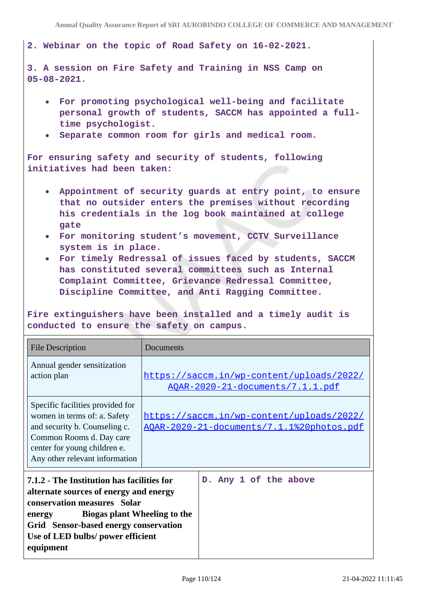**2. Webinar on the topic of Road Safety on 16-02-2021.**

**3. A session on Fire Safety and Training in NSS Camp on 05-08-2021.**

- **For promoting psychological well-being and facilitate personal growth of students, SACCM has appointed a fulltime psychologist.**
- **Separate common room for girls and medical room.**

**For ensuring safety and security of students, following initiatives had been taken:**

- **Appointment of security guards at entry point, to ensure that no outsider enters the premises without recording his credentials in the log book maintained at college gate**
- **For monitoring student's movement, CCTV Surveillance system is in place.**
- **For timely Redressal of issues faced by students, SACCM has constituted several committees such as Internal Complaint Committee, Grievance Redressal Committee, Discipline Committee, and Anti Ragging Committee.**

**Fire extinguishers have been installed and a timely audit is conducted to ensure the safety on campus.**

| <b>File Description</b>                                                                                                                                                                                                                                  | Documents                                                                                      |  |  |
|----------------------------------------------------------------------------------------------------------------------------------------------------------------------------------------------------------------------------------------------------------|------------------------------------------------------------------------------------------------|--|--|
| Annual gender sensitization<br>action plan                                                                                                                                                                                                               | https://saccm.in/wp-content/uploads/2022/<br><u> AQAR-2020-21-documents/7.1.1.pdf</u>          |  |  |
| Specific facilities provided for<br>women in terms of: a. Safety<br>and security b. Counseling c.<br>Common Rooms d. Day care<br>center for young children e.<br>Any other relevant information                                                          | https://saccm.in/wp-content/uploads/2022/<br><u> AQAR-2020-21-documents/7.1.1%20photos.pdf</u> |  |  |
| 7.1.2 - The Institution has facilities for<br>alternate sources of energy and energy<br>conservation measures Solar<br>Biogas plant Wheeling to the<br>energy<br>Grid Sensor-based energy conservation<br>Use of LED bulbs/ power efficient<br>equipment | D. Any 1 of the above                                                                          |  |  |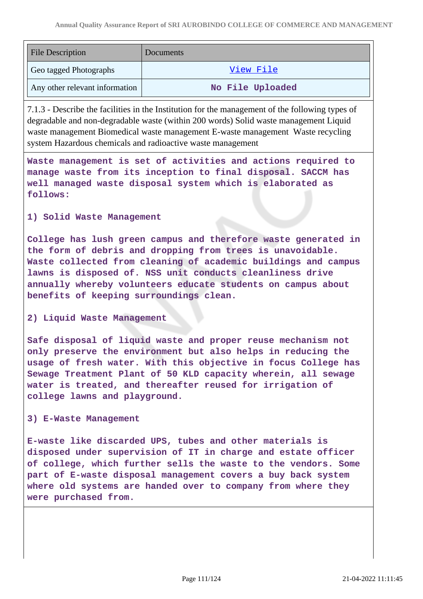| <b>File Description</b>        | Documents        |
|--------------------------------|------------------|
| Geo tagged Photographs         | View File        |
| Any other relevant information | No File Uploaded |

7.1.3 - Describe the facilities in the Institution for the management of the following types of degradable and non-degradable waste (within 200 words) Solid waste management Liquid waste management Biomedical waste management E-waste management Waste recycling system Hazardous chemicals and radioactive waste management

**Waste management is set of activities and actions required to manage waste from its inception to final disposal. SACCM has well managed waste disposal system which is elaborated as follows:**

## **1) Solid Waste Management**

**College has lush green campus and therefore waste generated in the form of debris and dropping from trees is unavoidable. Waste collected from cleaning of academic buildings and campus lawns is disposed of. NSS unit conducts cleanliness drive annually whereby volunteers educate students on campus about benefits of keeping surroundings clean.**

### **2) Liquid Waste Management**

**Safe disposal of liquid waste and proper reuse mechanism not only preserve the environment but also helps in reducing the usage of fresh water. With this objective in focus College has Sewage Treatment Plant of 50 KLD capacity wherein, all sewage water is treated, and thereafter reused for irrigation of college lawns and playground.**

#### **3) E-Waste Management**

**E-waste like discarded UPS, tubes and other materials is disposed under supervision of IT in charge and estate officer of college, which further sells the waste to the vendors. Some part of E-waste disposal management covers a buy back system where old systems are handed over to company from where they were purchased from.**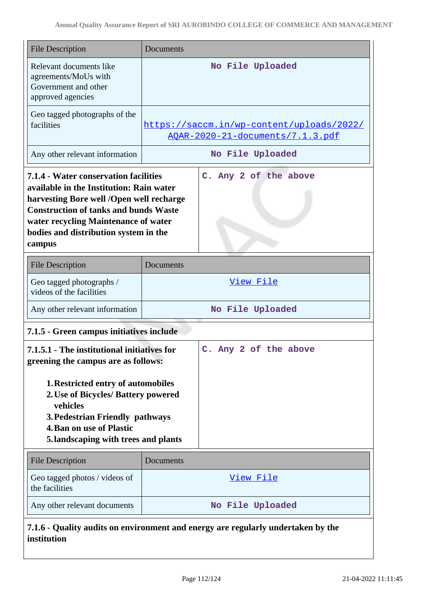| <b>File Description</b>                                                                                                                                                                                                                                                  | Documents                                                                     |  |  |
|--------------------------------------------------------------------------------------------------------------------------------------------------------------------------------------------------------------------------------------------------------------------------|-------------------------------------------------------------------------------|--|--|
| Relevant documents like<br>agreements/MoUs with<br>Government and other<br>approved agencies                                                                                                                                                                             | No File Uploaded                                                              |  |  |
| Geo tagged photographs of the<br>facilities                                                                                                                                                                                                                              | https://saccm.in/wp-content/uploads/2022/<br>AOAR-2020-21-documents/7.1.3.pdf |  |  |
| Any other relevant information                                                                                                                                                                                                                                           | No File Uploaded                                                              |  |  |
| 7.1.4 - Water conservation facilities<br>available in the Institution: Rain water<br>harvesting Bore well /Open well recharge<br><b>Construction of tanks and bunds Waste</b><br>water recycling Maintenance of water<br>bodies and distribution system in the<br>campus | C. Any 2 of the above                                                         |  |  |
| <b>File Description</b>                                                                                                                                                                                                                                                  | Documents                                                                     |  |  |
| Geo tagged photographs /<br>videos of the facilities                                                                                                                                                                                                                     | View File                                                                     |  |  |
| Any other relevant information                                                                                                                                                                                                                                           | No File Uploaded                                                              |  |  |
| 7.1.5 - Green campus initiatives include                                                                                                                                                                                                                                 |                                                                               |  |  |
| 7.1.5.1 - The institutional initiatives for<br>greening the campus are as follows:                                                                                                                                                                                       | C. Any 2 of the above                                                         |  |  |
| 1. Restricted entry of automobiles<br>2. Use of Bicycles/ Battery powered<br>vehicles<br>3. Pedestrian Friendly pathways<br><b>4. Ban on use of Plastic</b><br>5. landscaping with trees and plants                                                                      |                                                                               |  |  |
| <b>File Description</b>                                                                                                                                                                                                                                                  | Documents                                                                     |  |  |
| Geo tagged photos / videos of<br>the facilities                                                                                                                                                                                                                          | View File                                                                     |  |  |
| Any other relevant documents                                                                                                                                                                                                                                             | No File Uploaded                                                              |  |  |
| 7.1.6 - Quality audits on environment and energy are regularly undertaken by the<br>institution                                                                                                                                                                          |                                                                               |  |  |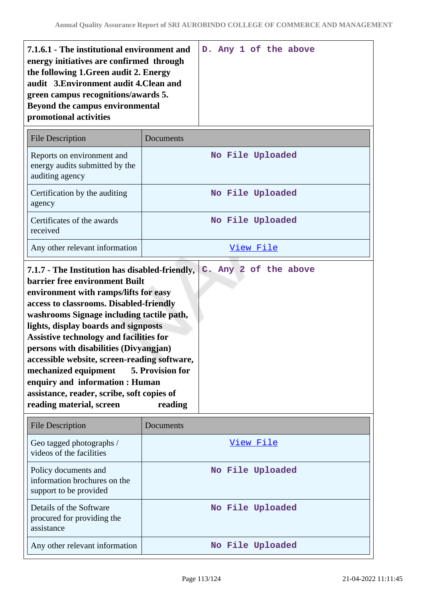| the following 1. Green audit 2. Energy                                                                                                      |  |
|---------------------------------------------------------------------------------------------------------------------------------------------|--|
| audit 3. Environment audit 4. Clean and<br>green campus recognitions/awards 5.<br>Beyond the campus environmental<br>promotional activities |  |

| <b>File Description</b>                                                         | Documents        |
|---------------------------------------------------------------------------------|------------------|
| Reports on environment and<br>energy audits submitted by the<br>auditing agency | No File Uploaded |
| Certification by the auditing<br>agency                                         | No File Uploaded |
| Certificates of the awards<br>received                                          | No File Uploaded |
| Any other relevant information                                                  | View File        |

| 7.1.7 - The Institution has disabled-friendly,<br><b>barrier free environment Built</b><br>environment with ramps/lifts for easy<br>access to classrooms. Disabled-friendly<br>washrooms Signage including tactile path,<br>lights, display boards and signposts<br><b>Assistive technology and facilities for</b><br>persons with disabilities (Divyangjan)<br>accessible website, screen-reading software,<br>mechanized equipment 5. Provision for<br>enquiry and information : Human |  |  | C. Any 2 of the above |  |
|------------------------------------------------------------------------------------------------------------------------------------------------------------------------------------------------------------------------------------------------------------------------------------------------------------------------------------------------------------------------------------------------------------------------------------------------------------------------------------------|--|--|-----------------------|--|
| assistance, reader, scribe, soft copies of<br>reading material, screen<br>reading                                                                                                                                                                                                                                                                                                                                                                                                        |  |  |                       |  |

| <b>File Description</b>                                                        | Documents        |
|--------------------------------------------------------------------------------|------------------|
| Geo tagged photographs /<br>videos of the facilities                           | View File        |
| Policy documents and<br>information brochures on the<br>support to be provided | No File Uploaded |
| Details of the Software<br>procured for providing the<br>assistance            | No File Uploaded |
| Any other relevant information                                                 | No File Uploaded |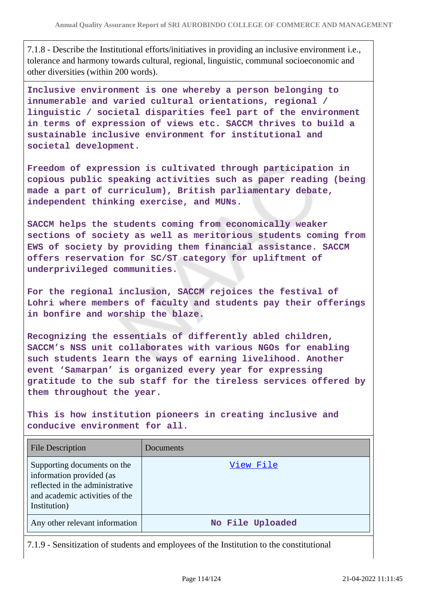7.1.8 - Describe the Institutional efforts/initiatives in providing an inclusive environment i.e., tolerance and harmony towards cultural, regional, linguistic, communal socioeconomic and other diversities (within 200 words).

**Inclusive environment is one whereby a person belonging to innumerable and varied cultural orientations, regional / linguistic / societal disparities feel part of the environment in terms of expression of views etc. SACCM thrives to build a sustainable inclusive environment for institutional and societal development.**

**Freedom of expression is cultivated through participation in copious public speaking activities such as paper reading (being made a part of curriculum), British parliamentary debate, independent thinking exercise, and MUNs.**

**SACCM helps the students coming from economically weaker sections of society as well as meritorious students coming from EWS of society by providing them financial assistance. SACCM offers reservation for SC/ST category for upliftment of underprivileged communities.**

**For the regional inclusion, SACCM rejoices the festival of Lohri where members of faculty and students pay their offerings in bonfire and worship the blaze.**

**Recognizing the essentials of differently abled children, SACCM's NSS unit collaborates with various NGOs for enabling such students learn the ways of earning livelihood. Another event 'Samarpan' is organized every year for expressing gratitude to the sub staff for the tireless services offered by them throughout the year.**

**This is how institution pioneers in creating inclusive and conducive environment for all.**

| <b>File Description</b>                                                                                                                      | Documents        |
|----------------------------------------------------------------------------------------------------------------------------------------------|------------------|
| Supporting documents on the<br>information provided (as<br>reflected in the administrative<br>and academic activities of the<br>Institution) | View File        |
| Any other relevant information                                                                                                               | No File Uploaded |

7.1.9 - Sensitization of students and employees of the Institution to the constitutional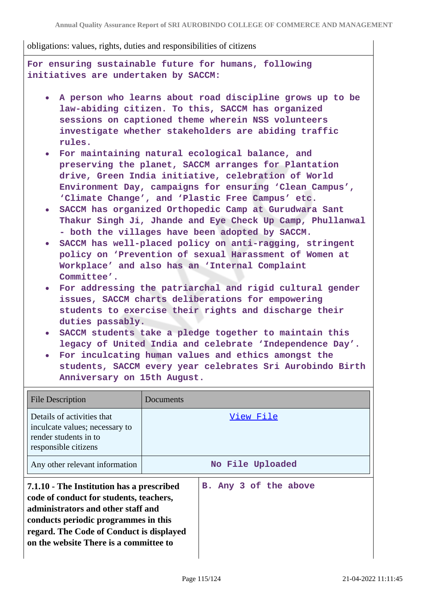obligations: values, rights, duties and responsibilities of citizens

**For ensuring sustainable future for humans, following initiatives are undertaken by SACCM:**

- **A person who learns about road discipline grows up to be law-abiding citizen. To this, SACCM has organized sessions on captioned theme wherein NSS volunteers investigate whether stakeholders are abiding traffic rules.**
- **For maintaining natural ecological balance, and preserving the planet, SACCM arranges for Plantation drive, Green India initiative, celebration of World Environment Day, campaigns for ensuring 'Clean Campus', 'Climate Change', and 'Plastic Free Campus' etc.**
- **SACCM has organized Orthopedic Camp at Gurudwara Sant Thakur Singh Ji, Jhande and Eye Check Up Camp, Phullanwal - both the villages have been adopted by SACCM.**
- **SACCM has well-placed policy on anti-ragging, stringent policy on 'Prevention of sexual Harassment of Women at Workplace' and also has an 'Internal Complaint Committee'.**
- **For addressing the patriarchal and rigid cultural gender issues, SACCM charts deliberations for empowering students to exercise their rights and discharge their duties passably.**
- **SACCM students take a pledge together to maintain this legacy of United India and celebrate 'Independence Day'.**
- **For inculcating human values and ethics amongst the students, SACCM every year celebrates Sri Aurobindo Birth Anniversary on 15th August.**

| <b>File Description</b>                                                                                                                                                                                                                                  | Documents |                       |  |
|----------------------------------------------------------------------------------------------------------------------------------------------------------------------------------------------------------------------------------------------------------|-----------|-----------------------|--|
| Details of activities that<br>inculcate values; necessary to<br>render students in to<br>responsible citizens                                                                                                                                            | View File |                       |  |
| Any other relevant information                                                                                                                                                                                                                           |           | No File Uploaded      |  |
| 7.1.10 - The Institution has a prescribed<br>code of conduct for students, teachers,<br>administrators and other staff and<br>conducts periodic programmes in this<br>regard. The Code of Conduct is displayed<br>on the website There is a committee to |           | B. Any 3 of the above |  |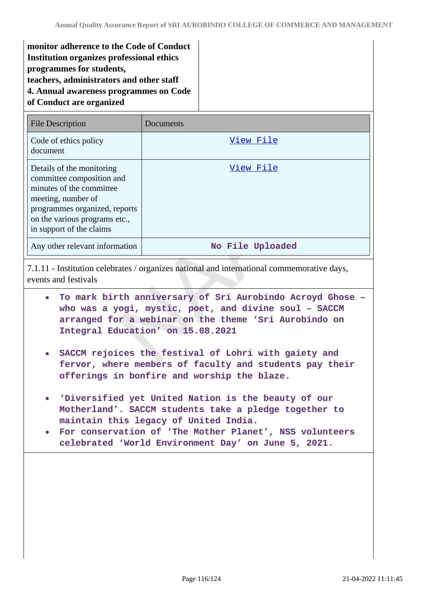**monitor adherence to the Code of Conduct Institution organizes professional ethics programmes for students, teachers, administrators and other staff 4. Annual awareness programmes on Code of Conduct are organized**

| <b>File Description</b>                                                                                                                                                                                | Documents        |
|--------------------------------------------------------------------------------------------------------------------------------------------------------------------------------------------------------|------------------|
| Code of ethics policy<br>document                                                                                                                                                                      | View File        |
| Details of the monitoring<br>committee composition and<br>minutes of the committee<br>meeting, number of<br>programmes organized, reports<br>on the various programs etc.,<br>in support of the claims | View File        |
| Any other relevant information                                                                                                                                                                         | No File Uploaded |

7.1.11 - Institution celebrates / organizes national and international commemorative days, events and festivals

- **To mark birth anniversary of Sri Aurobindo Acroyd Ghose – who was a yogi, mystic, poet, and divine soul – SACCM arranged for a webinar on the theme 'Sri Aurobindo on Integral Education' on 15.08.2021**
- **SACCM rejoices the festival of Lohri with gaiety and fervor, where members of faculty and students pay their offerings in bonfire and worship the blaze.**
- **'Diversified yet United Nation is the beauty of our Motherland'. SACCM students take a pledge together to maintain this legacy of United India.**
- **For conservation of 'The Mother Planet', NSS volunteers celebrated 'World Environment Day' on June 5, 2021.**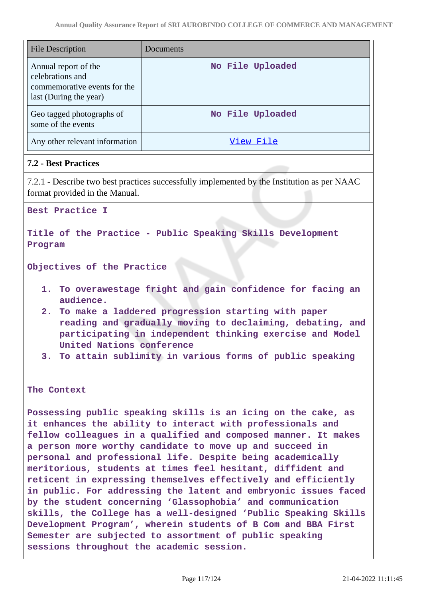| <b>File Description</b>                                                                            | Documents        |
|----------------------------------------------------------------------------------------------------|------------------|
| Annual report of the<br>celebrations and<br>commemorative events for the<br>last (During the year) | No File Uploaded |
| Geo tagged photographs of<br>some of the events                                                    | No File Uploaded |
| Any other relevant information                                                                     | View File        |

# **7.2 - Best Practices**

7.2.1 - Describe two best practices successfully implemented by the Institution as per NAAC format provided in the Manual.

**Best Practice I**

**Title of the Practice - Public Speaking Skills Development Program**

**Objectives of the Practice**

- **1. To overawestage fright and gain confidence for facing an audience.**
- **2. To make a laddered progression starting with paper reading and gradually moving to declaiming, debating, and participating in independent thinking exercise and Model United Nations conference**
- **3. To attain sublimity in various forms of public speaking**

**The Context**

**Possessing public speaking skills is an icing on the cake, as it enhances the ability to interact with professionals and fellow colleagues in a qualified and composed manner. It makes a person more worthy candidate to move up and succeed in personal and professional life. Despite being academically meritorious, students at times feel hesitant, diffident and reticent in expressing themselves effectively and efficiently in public. For addressing the latent and embryonic issues faced by the student concerning 'Glassophobia' and communication skills, the College has a well-designed 'Public Speaking Skills Development Program', wherein students of B Com and BBA First Semester are subjected to assortment of public speaking sessions throughout the academic session.**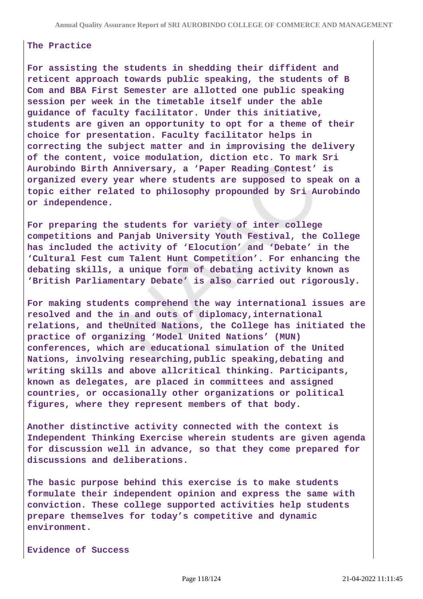#### **The Practice**

**For assisting the students in shedding their diffident and reticent approach towards public speaking, the students of B Com and BBA First Semester are allotted one public speaking session per week in the timetable itself under the able guidance of faculty facilitator. Under this initiative, students are given an opportunity to opt for a theme of their choice for presentation. Faculty facilitator helps in correcting the subject matter and in improvising the delivery of the content, voice modulation, diction etc. To mark Sri Aurobindo Birth Anniversary, a 'Paper Reading Contest' is organized every year where students are supposed to speak on a topic either related to philosophy propounded by Sri Aurobindo or independence.**

**For preparing the students for variety of inter college competitions and Panjab University Youth Festival, the College has included the activity of 'Elocution' and 'Debate' in the 'Cultural Fest cum Talent Hunt Competition'. For enhancing the debating skills, a unique form of debating activity known as 'British Parliamentary Debate' is also carried out rigorously.**

**For making students comprehend the way international issues are resolved and the in and outs of diplomacy,international relations, and theUnited Nations, the College has initiated the practice of organizing 'Model United Nations' (MUN) conferences, which are educational simulation of the United Nations, involving researching,public speaking,debating and writing skills and above allcritical thinking. Participants, known as delegates, are placed in committees and assigned countries, or occasionally other organizations or political figures, where they represent members of that body.**

**Another distinctive activity connected with the context is Independent Thinking Exercise wherein students are given agenda for discussion well in advance, so that they come prepared for discussions and deliberations.**

**The basic purpose behind this exercise is to make students formulate their independent opinion and express the same with conviction. These college supported activities help students prepare themselves for today's competitive and dynamic environment.**

**Evidence of Success**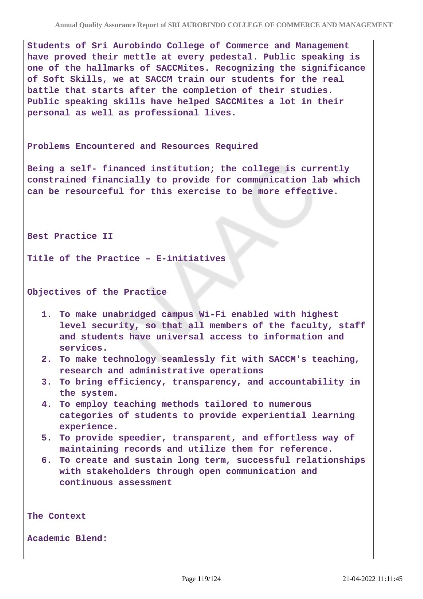**Students of Sri Aurobindo College of Commerce and Management have proved their mettle at every pedestal. Public speaking is one of the hallmarks of SACCMites. Recognizing the significance of Soft Skills, we at SACCM train our students for the real battle that starts after the completion of their studies. Public speaking skills have helped SACCMites a lot in their personal as well as professional lives.**

#### **Problems Encountered and Resources Required**

**Being a self- financed institution; the college is currently constrained financially to provide for communication lab which can be resourceful for this exercise to be more effective.**

**Best Practice II**

**Title of the Practice – E-initiatives**

**Objectives of the Practice**

- **1. To make unabridged campus Wi-Fi enabled with highest level security, so that all members of the faculty, staff and students have universal access to information and services.**
- **2. To make technology seamlessly fit with SACCM's teaching, research and administrative operations**
- **3. To bring efficiency, transparency, and accountability in the system.**
- **4. To employ teaching methods tailored to numerous categories of students to provide experiential learning experience.**
- **5. To provide speedier, transparent, and effortless way of maintaining records and utilize them for reference.**
- **6. To create and sustain long term, successful relationships with stakeholders through open communication and continuous assessment**

**The Context**

**Academic Blend:**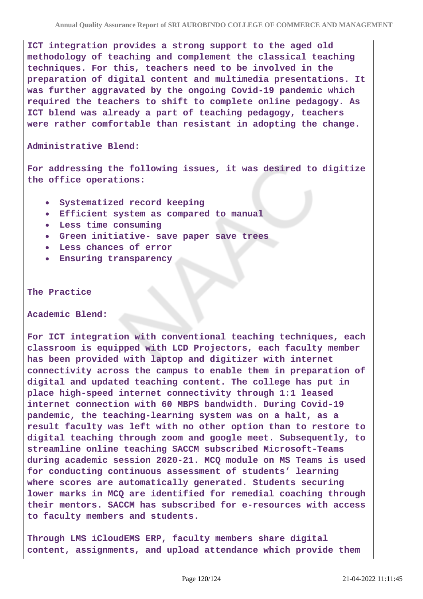**ICT integration provides a strong support to the aged old methodology of teaching and complement the classical teaching techniques. For this, teachers need to be involved in the preparation of digital content and multimedia presentations. It was further aggravated by the ongoing Covid-19 pandemic which required the teachers to shift to complete online pedagogy. As ICT blend was already a part of teaching pedagogy, teachers were rather comfortable than resistant in adopting the change.**

**Administrative Blend:**

**For addressing the following issues, it was desired to digitize the office operations:**

- **Systematized record keeping**
- **Efficient system as compared to manual**
- **Less time consuming**
- **Green initiative- save paper save trees**
- **Less chances of error**
- **Ensuring transparency**

**The Practice**

**Academic Blend:**

**For ICT integration with conventional teaching techniques, each classroom is equipped with LCD Projectors, each faculty member has been provided with laptop and digitizer with internet connectivity across the campus to enable them in preparation of digital and updated teaching content. The college has put in place high-speed internet connectivity through 1:1 leased internet connection with 60 MBPS bandwidth. During Covid-19 pandemic, the teaching-learning system was on a halt, as a result faculty was left with no other option than to restore to digital teaching through zoom and google meet. Subsequently, to streamline online teaching SACCM subscribed Microsoft-Teams during academic session 2020-21. MCQ module on MS Teams is used for conducting continuous assessment of students' learning where scores are automatically generated. Students securing lower marks in MCQ are identified for remedial coaching through their mentors. SACCM has subscribed for e-resources with access to faculty members and students.**

**Through LMS iCloudEMS ERP, faculty members share digital content, assignments, and upload attendance which provide them**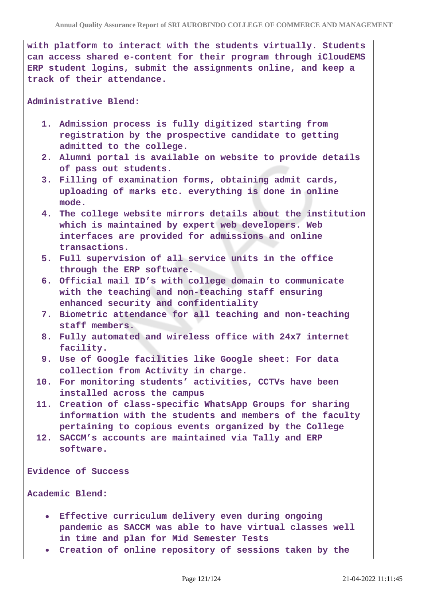**with platform to interact with the students virtually. Students can access shared e-content for their program through iCloudEMS ERP student logins, submit the assignments online, and keep a track of their attendance.**

**Administrative Blend:**

- **1. Admission process is fully digitized starting from registration by the prospective candidate to getting admitted to the college.**
- **2. Alumni portal is available on website to provide details of pass out students.**
- **3. Filling of examination forms, obtaining admit cards, uploading of marks etc. everything is done in online mode.**
- **4. The college website mirrors details about the institution which is maintained by expert web developers. Web interfaces are provided for admissions and online transactions.**
- **5. Full supervision of all service units in the office through the ERP software.**
- **6. Official mail ID's with college domain to communicate with the teaching and non-teaching staff ensuring enhanced security and confidentiality**
- **7. Biometric attendance for all teaching and non-teaching staff members.**
- **8. Fully automated and wireless office with 24x7 internet facility.**
- **9. Use of Google facilities like Google sheet: For data collection from Activity in charge.**
- **10. For monitoring students' activities, CCTVs have been installed across the campus**
- **11. Creation of class-specific WhatsApp Groups for sharing information with the students and members of the faculty pertaining to copious events organized by the College**
- **12. SACCM's accounts are maintained via Tally and ERP software.**

**Evidence of Success**

**Academic Blend:**

- **Effective curriculum delivery even during ongoing pandemic as SACCM was able to have virtual classes well in time and plan for Mid Semester Tests**
- **Creation of online repository of sessions taken by the**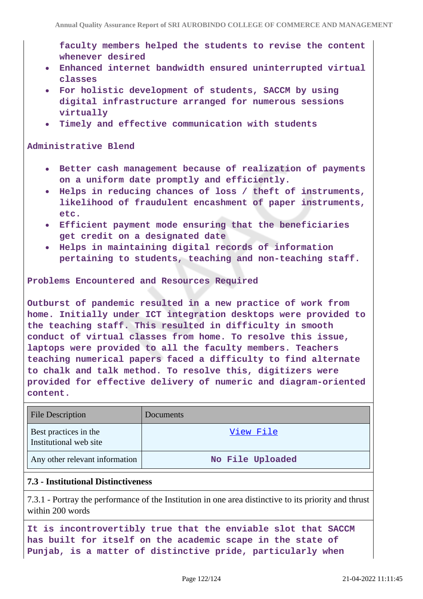**faculty members helped the students to revise the content whenever desired**

- **Enhanced internet bandwidth ensured uninterrupted virtual classes**
- **For holistic development of students, SACCM by using digital infrastructure arranged for numerous sessions virtually**
- **Timely and effective communication with students**

### **Administrative Blend**

- **Better cash management because of realization of payments on a uniform date promptly and efficiently.**
- **Helps in reducing chances of loss / theft of instruments, likelihood of fraudulent encashment of paper instruments, etc.**
- **Efficient payment mode ensuring that the beneficiaries get credit on a designated date**
- **Helps in maintaining digital records of information pertaining to students, teaching and non-teaching staff.**

**Problems Encountered and Resources Required**

**Outburst of pandemic resulted in a new practice of work from home. Initially under ICT integration desktops were provided to the teaching staff. This resulted in difficulty in smooth conduct of virtual classes from home. To resolve this issue, laptops were provided to all the faculty members. Teachers teaching numerical papers faced a difficulty to find alternate to chalk and talk method. To resolve this, digitizers were provided for effective delivery of numeric and diagram-oriented content.**

| <b>File Description</b>                         | Documents        |
|-------------------------------------------------|------------------|
| Best practices in the<br>Institutional web site | View File        |
| Any other relevant information                  | No File Uploaded |

## **7.3 - Institutional Distinctiveness**

7.3.1 - Portray the performance of the Institution in one area distinctive to its priority and thrust within 200 words

**It is incontrovertibly true that the enviable slot that SACCM has built for itself on the academic scape in the state of Punjab, is a matter of distinctive pride, particularly when**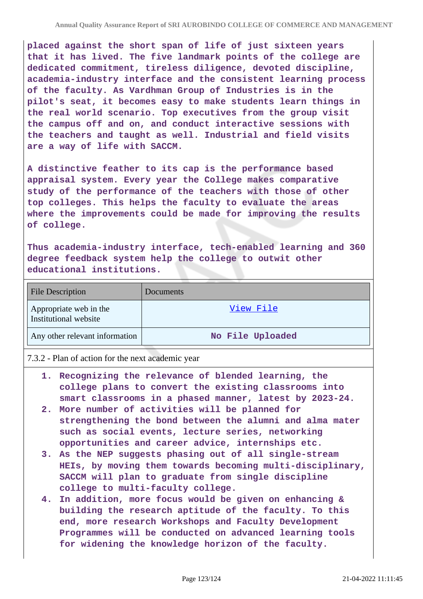**placed against the short span of life of just sixteen years that it has lived. The five landmark points of the college are dedicated commitment, tireless diligence, devoted discipline, academia-industry interface and the consistent learning process of the faculty. As Vardhman Group of Industries is in the pilot's seat, it becomes easy to make students learn things in the real world scenario. Top executives from the group visit the campus off and on, and conduct interactive sessions with the teachers and taught as well. Industrial and field visits are a way of life with SACCM.**

**A distinctive feather to its cap is the performance based appraisal system. Every year the College makes comparative study of the performance of the teachers with those of other top colleges. This helps the faculty to evaluate the areas where the improvements could be made for improving the results of college.**

**Thus academia-industry interface, tech-enabled learning and 360 degree feedback system help the college to outwit other educational institutions.**

| File Description                                | <b>Documents</b> |
|-------------------------------------------------|------------------|
| Appropriate web in the<br>Institutional website | View File        |
| Any other relevant information                  | No File Uploaded |

7.3.2 - Plan of action for the next academic year

- **1. Recognizing the relevance of blended learning, the college plans to convert the existing classrooms into smart classrooms in a phased manner, latest by 2023-24.**
- **2. More number of activities will be planned for strengthening the bond between the alumni and alma mater such as social events, lecture series, networking opportunities and career advice, internships etc.**
- **3. As the NEP suggests phasing out of all single-stream HEIs, by moving them towards becoming multi-disciplinary, SACCM will plan to graduate from single discipline college to multi-faculty college.**
- **4. In addition, more focus would be given on enhancing & building the research aptitude of the faculty. To this end, more research Workshops and Faculty Development Programmes will be conducted on advanced learning tools for widening the knowledge horizon of the faculty.**